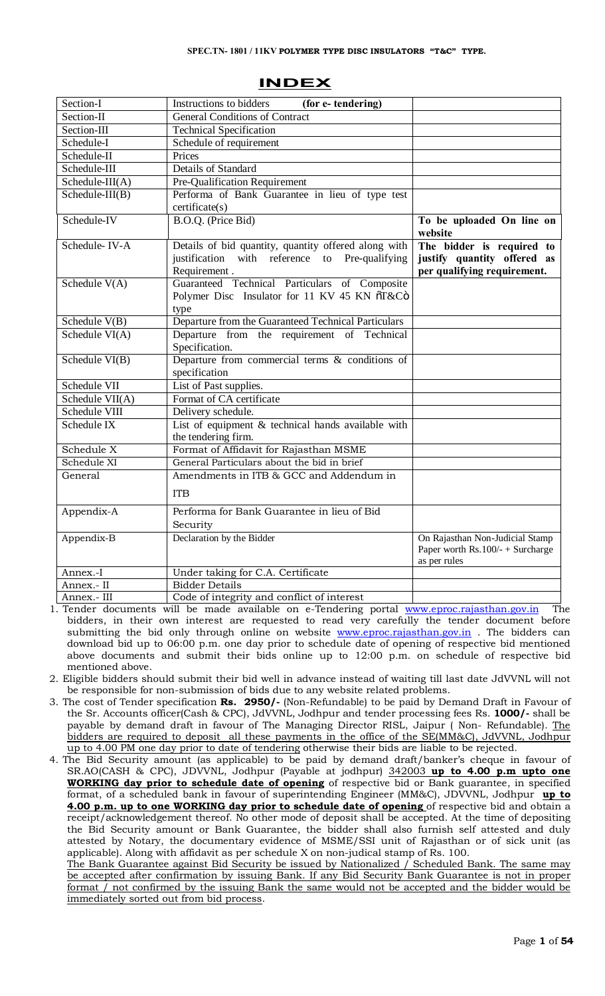| Section-I             | Instructions to bidders<br>(for e-tendering)                                                                           |                                                                                         |  |  |  |
|-----------------------|------------------------------------------------------------------------------------------------------------------------|-----------------------------------------------------------------------------------------|--|--|--|
| Section-II            | <b>General Conditions of Contract</b>                                                                                  |                                                                                         |  |  |  |
| Section-III           | <b>Technical Specification</b>                                                                                         |                                                                                         |  |  |  |
| Schedule-I            | Schedule of requirement                                                                                                |                                                                                         |  |  |  |
| Schedule-II           | Prices                                                                                                                 |                                                                                         |  |  |  |
| Schedule-III          | Details of Standard                                                                                                    |                                                                                         |  |  |  |
| Schedule- $III(A)$    | Pre-Qualification Requirement                                                                                          |                                                                                         |  |  |  |
| $S$ chedule- $III(B)$ | Performa of Bank Guarantee in lieu of type test<br>certificate(s)                                                      |                                                                                         |  |  |  |
| Schedule-IV           | B.O.Q. (Price Bid)                                                                                                     | To be uploaded On line on<br>website                                                    |  |  |  |
| Schedule-IV-A         | Details of bid quantity, quantity offered along with<br>justification with reference to Pre-qualifying<br>Requirement. | The bidder is required to<br>justify quantity offered as<br>per qualifying requirement. |  |  |  |
| Schedule $V(A)$       | Guaranteed Technical Particulars of Composite<br>Polymer Disc Insulator for 11 KV 45 KN õT&Cö<br>type                  |                                                                                         |  |  |  |
| Schedule $V(B)$       | Departure from the Guaranteed Technical Particulars                                                                    |                                                                                         |  |  |  |
| Schedule $VI(A)$      | Departure from the requirement of Technical<br>Specification.                                                          |                                                                                         |  |  |  |
| Schedule VI(B)        | Departure from commercial terms $\&$ conditions of<br>specification                                                    |                                                                                         |  |  |  |
| Schedule VII          | List of Past supplies.                                                                                                 |                                                                                         |  |  |  |
| Schedule VII(A)       | Format of CA certificate                                                                                               |                                                                                         |  |  |  |
| Schedule VIII         | Delivery schedule.                                                                                                     |                                                                                         |  |  |  |
| Schedule IX           | List of equipment $&$ technical hands available with<br>the tendering firm.                                            |                                                                                         |  |  |  |
| Schedule X            | Format of Affidavit for Rajasthan MSME                                                                                 |                                                                                         |  |  |  |
| Schedule XI           | General Particulars about the bid in brief                                                                             |                                                                                         |  |  |  |
| General               | Amendments in ITB & GCC and Addendum in                                                                                |                                                                                         |  |  |  |
|                       | <b>ITB</b>                                                                                                             |                                                                                         |  |  |  |
| Appendix-A            | Performa for Bank Guarantee in lieu of Bid<br>Security                                                                 |                                                                                         |  |  |  |
| Appendix-B            | Declaration by the Bidder                                                                                              | On Rajasthan Non-Judicial Stamp<br>Paper worth $Rs.100/- + Surcharge$<br>as per rules   |  |  |  |
| Annex.-I              | Under taking for C.A. Certificate                                                                                      |                                                                                         |  |  |  |
| Annex.- II            | <b>Bidder Details</b>                                                                                                  |                                                                                         |  |  |  |
| Annex.- III           | Code of integrity and conflict of interest                                                                             |                                                                                         |  |  |  |

# **INDEX**

1. Tender documents will be made available on e-Tendering portal www.eproc.rajasthan.gov.in The bidders, in their own interest are requested to read very carefully the tender document before submitting the bid only through online on website www.eproc.rajasthan.gov.in . The bidders can download bid up to 06:00 p.m. one day prior to schedule date of opening of respective bid mentioned above documents and submit their bids online up to 12:00 p.m. on schedule of respective bid mentioned above.

2. Eligible bidders should submit their bid well in advance instead of waiting till last date JdVVNL will not be responsible for non-submission of bids due to any website related problems.

- 3. The cost of Tender specification **Rs. 2950/-** (Non-Refundable) to be paid by Demand Draft in Favour of the Sr. Accounts officer(Cash & CPC), JdVVNL, Jodhpur and tender processing fees Rs. **1000/-** shall be payable by demand draft in favour of The Managing Director RISL, Jaipur ( Non- Refundable). The bidders are required to deposit all these payments in the office of the SE(MM&C), JdVVNL, Jodhpur up to 4.00 PM one day prior to date of tendering otherwise their bids are liable to be rejected.
- 4. The Bid Security amount (as applicable) to be paid by demand draft/banker's cheque in favour of SR.AO(CASH & CPC), JDVVNL, Jodhpur (Payable at jodhpur) 342003 **up to 4.00 p.m upto one WORKING day prior to schedule date of opening** of respective bid or Bank guarantee, in specified format, of a scheduled bank in favour of superintending Engineer (MM&C), JDVVNL, Jodhpur **up to 4.00 p.m. up to one WORKING day prior to schedule date of opening** of respective bid and obtain a receipt/acknowledgement thereof. No other mode of deposit shall be [accepted. At the time of depo](http://www.eproc.rajasthan.gov.in/)siting the Bid Security amount or Bank Guarantee, the bidder shall also furnish self attested and duly attested by Notary, the documentary evidence of MS[ME/SSI unit of Rajasthan](http://www.eproc.rajasthan.gov.in/) or of sick unit (as applicable). Along with affidavit as per schedule X on non-judical stamp of Rs. 100.

The Bank Guarantee against Bid Security be issued by Nationalized / Scheduled Bank. The same may be accepted after confirmation by issuing Bank. If any Bid Security Bank Guarantee is not in proper format / not confirmed by the issuing Bank the same would not be accepted and the bidder would be immediately sorted out from bid process.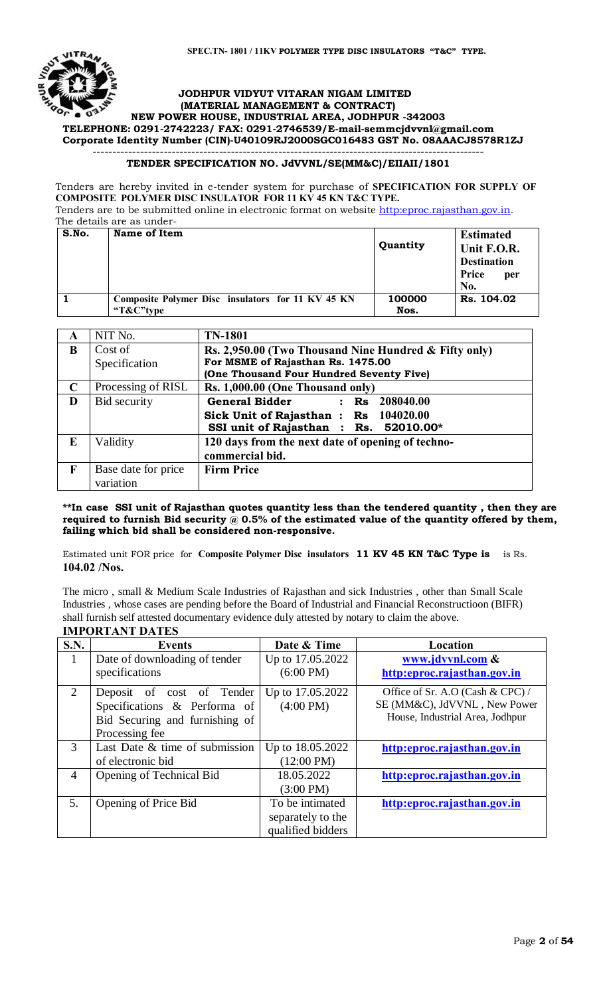

#### **JODHPUR VIDYUT VITARAN NIGAM LIMITED (MATERIAL MANAGEMENT & CONTRACT)**

#### **NEW POWER HOUSE, INDUSTRIAL AREA, JODHPUR -342003 TELEPHONE: 0291-2742223/ FAX: 0291-2746539/E-mail-semmcjdvvnl@gmail.com Corporate Identity Number (CIN)-U40109RJ2000SGC016483 GST No. 08AAACJ8578R1ZJ** ---------------------------------------------------------------------------------------------------

#### **TENDER SPECIFICATION NO. JdVVNL/SE(MM&C)/EIIAII/1801**

Tenders are hereby invited in e-tender system for purchase of **SPECIFICATION FOR SUPPLY OF COMPOSITE POLYMER DISC INSULATOR FOR 11 KV 45 KN T&C TYPE.** Tenders are to be submitted online in electronic format on website http:eproc.rajasthan.gov.in.

The details are as under-

| S.No. | Name of Item                                                   | Quantity       | <b>Estimated</b><br>Unit F.O.R.                  |
|-------|----------------------------------------------------------------|----------------|--------------------------------------------------|
|       |                                                                |                | <b>Destination</b><br><b>Price</b><br>per<br>No. |
|       | Composite Polymer Disc insulators for 11 KV 45 KN<br>"T&C"type | 100000<br>Nos. | Rs. 104.02                                       |

| A            | NIT No.             | <b>TN-1801</b>                                        |
|--------------|---------------------|-------------------------------------------------------|
| B            | Cost of             | Rs. 2,950.00 (Two Thousand Nine Hundred & Fifty only) |
|              | Specification       | For MSME of Rajasthan Rs. 1475.00                     |
|              |                     | (One Thousand Four Hundred Seventy Five)              |
| $\mathbf C$  | Processing of RISL  | Rs. 1,000.00 (One Thousand only)                      |
| D            | Bid security        | General Bidder : Rs 208040.00                         |
|              |                     | Sick Unit of Rajasthan: Rs 104020.00                  |
|              |                     | SSI unit of Rajasthan : Rs. 52010.00*                 |
| E            | Validity            | 120 days from the next date of opening of techno-     |
|              |                     | commercial bid.                                       |
| $\mathbf{F}$ | Base date for price | <b>Firm Price</b>                                     |
|              | variation           |                                                       |

**\*\*In case SSI unit of Rajasthan quotes quantity less than the tendered quantity , then they are required to furnish Bid security @ 0.5% of the estimated value of the quantity offered by them, failing which bid shall be considered non-responsive.**

Estimated unit FOR price for **Composite Polymer Disc insulators 11 KV 45 KN T&C Type is** is Rs. **104.02 /Nos.**

The micro , small & Medium Scale Industries of Rajasthan and sick Industries , other than Small Scale Industries , whose cases are pending before the Board of Industrial and Financial Reconstructioon (BIFR) shall furnish self attested documentary evidence duly attested by notary to claim the above.

|             | <b>IMPORTANT DATES</b>         |                      |                                  |  |  |  |
|-------------|--------------------------------|----------------------|----------------------------------|--|--|--|
| <b>S.N.</b> | Events                         | Date & Time          | Location                         |  |  |  |
| 1           | Date of downloading of tender  | Up to 17.05.2022     | www.jdvvnl.com &                 |  |  |  |
|             | specifications                 | $(6:00 \text{ PM})$  | http:eproc.rajasthan.gov.in      |  |  |  |
| 2           | Deposit of cost of Tender      | Up to 17.05.2022     | Office of Sr. A.O (Cash & CPC) / |  |  |  |
|             | Specifications & Performa of   | $(4:00 \text{ PM})$  | SE (MM&C), JdVVNL, New Power     |  |  |  |
|             | Bid Securing and furnishing of |                      | House, Industrial Area, Jodhpur  |  |  |  |
|             | Processing fee                 |                      |                                  |  |  |  |
| 3           | Last Date & time of submission | Up to 18.05.2022     | http:eproc.rajasthan.gov.in      |  |  |  |
|             | of electronic bid              | $(12:00 \text{ PM})$ |                                  |  |  |  |
| 4           | Opening of Technical Bid       | 18.05.2022           | http:eproc.rajasthan.gov.in      |  |  |  |
|             |                                | $(3:00 \text{ PM})$  |                                  |  |  |  |
| 5.          | Opening of Price Bid           | To be intimated      | http:eproc.rajasthan.gov.in      |  |  |  |
|             |                                | separately to the    |                                  |  |  |  |
|             |                                | qualified bidders    |                                  |  |  |  |

#### Page **2** of **54**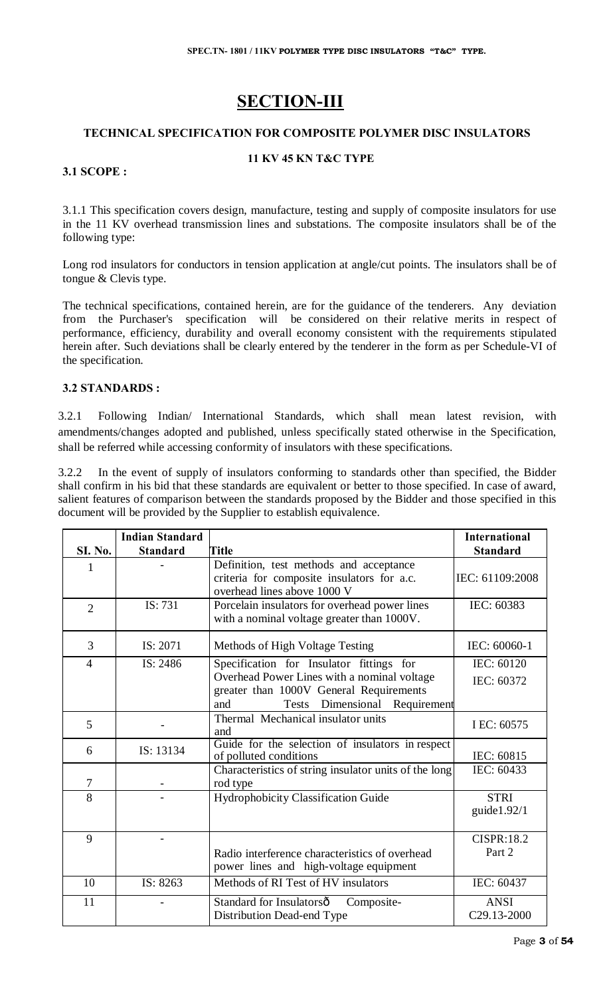# **SECTION-III**

# **TECHNICAL SPECIFICATION FOR COMPOSITE POLYMER DISC INSULATORS**

#### **11 KV 45 KN T&C TYPE**

# **3.1 SCOPE :**

3.1.1 This specification covers design, manufacture, testing and supply of composite insulators for use in the 11 KV overhead transmission lines and substations. The composite insulators shall be of the following type:

Long rod insulators for conductors in tension application at angle/cut points. The insulators shall be of tongue & Clevis type.

The technical specifications, contained herein, are for the guidance of the tenderers. Any deviation from the Purchaser's specification will be considered on their relative merits in respect of performance, efficiency, durability and overall economy consistent with the requirements stipulated herein after. Such deviations shall be clearly entered by the tenderer in the form as per Schedule-VI of the specification.

# **3.2 STANDARDS :**

3.2.1 Following Indian/ International Standards, which shall mean latest revision, with amendments/changes adopted and published, unless specifically stated otherwise in the Specification, shall be referred while accessing conformity of insulators with these specifications.

3.2.2 In the event of supply of insulators conforming to standards other than specified, the Bidder shall confirm in his bid that these standards are equivalent or better to those specified. In case of award, salient features of comparison between the standards proposed by the Bidder and those specified in this document will be provided by the Supplier to establish equivalence.

|                | <b>Indian Standard</b> |                                                                                                                                | International                 |
|----------------|------------------------|--------------------------------------------------------------------------------------------------------------------------------|-------------------------------|
| <b>SI. No.</b> | <b>Standard</b>        | <b>Title</b>                                                                                                                   | <b>Standard</b>               |
| 1              |                        | Definition, test methods and acceptance<br>criteria for composite insulators for a.c.<br>overhead lines above 1000 V           | IEC: 61109:2008               |
| $\overline{2}$ | IS: 731                | Porcelain insulators for overhead power lines<br>with a nominal voltage greater than 1000V.                                    | IEC: 60383                    |
| 3              | IS: 2071               | Methods of High Voltage Testing                                                                                                | IEC: 60060-1                  |
| 4              | IS: 2486               | Specification for Insulator fittings for                                                                                       | IEC: 60120                    |
|                |                        | Overhead Power Lines with a nominal voltage<br>greater than 1000V General Requirements<br>Tests Dimensional Requirement<br>and | IEC: 60372                    |
| 5              |                        | Thermal Mechanical insulator units<br>and                                                                                      | I EC: 60575                   |
| 6              | IS: 13134              | Guide for the selection of insulators in respect<br>of polluted conditions                                                     | IEC: 60815                    |
| 7              |                        | Characteristics of string insulator units of the long<br>rod type                                                              | IEC: 60433                    |
| 8              |                        | Hydrophobicity Classification Guide                                                                                            | <b>STRI</b><br>guide $1.92/1$ |
| 9              |                        | Radio interference characteristics of overhead<br>power lines and high-voltage equipment                                       | <b>CISPR:18.2</b><br>Part 2   |
| 10             | IS: 8263               | Methods of RI Test of HV insulators                                                                                            | IEC: 60437                    |
| 11             |                        | Standard for Insulatorsô<br>Composite-<br>Distribution Dead-end Type                                                           | <b>ANSI</b><br>C29.13-2000    |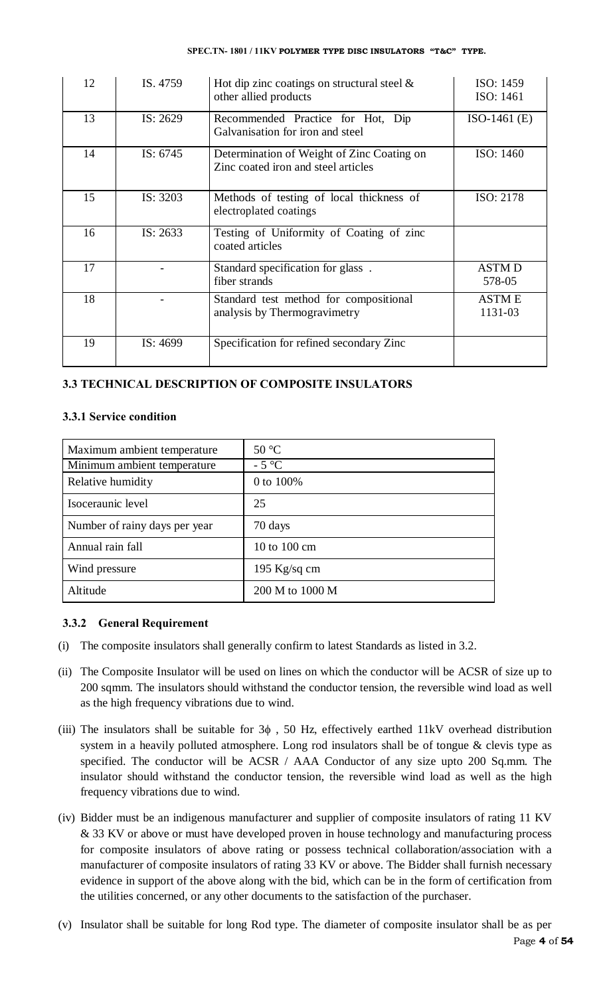#### **SPEC.TN- 1801 / 11KV POLYMER TYPE DISC INSULATORS "T&C" TYPE.**

| 12 | IS. 4759   | Hot dip zinc coatings on structural steel $\&$<br>other allied products           | ISO: 1459<br>ISO: 1461  |
|----|------------|-----------------------------------------------------------------------------------|-------------------------|
| 13 | IS: $2629$ | Recommended Practice for Hot, Dip<br>Galvanisation for iron and steel             | $ISO-1461(E)$           |
| 14 | IS: $6745$ | Determination of Weight of Zinc Coating on<br>Zinc coated iron and steel articles | ISO: 1460               |
| 15 | IS: 3203   | Methods of testing of local thickness of<br>electroplated coatings                | ISO: 2178               |
| 16 | IS: $2633$ | Testing of Uniformity of Coating of zinc<br>coated articles                       |                         |
| 17 |            | Standard specification for glass.<br>fiber strands                                | <b>ASTMD</b><br>578-05  |
| 18 |            | Standard test method for compositional<br>analysis by Thermogravimetry            | <b>ASTME</b><br>1131-03 |
| 19 | IS: 4699   | Specification for refined secondary Zinc                                          |                         |

# **3.3 TECHNICAL DESCRIPTION OF COMPOSITE INSULATORS**

# **3.3.1 Service condition**

| Maximum ambient temperature   | $50^{\circ}$ C  |
|-------------------------------|-----------------|
| Minimum ambient temperature   | $-5^{\circ}C$   |
| Relative humidity             | 0 to 100%       |
| Isoceraunic level             | 25              |
| Number of rainy days per year | 70 days         |
| Annual rain fall              | 10 to 100 cm    |
| Wind pressure                 | 195 Kg/sq cm    |
| Altitude                      | 200 M to 1000 M |

# **3.3.2 General Requirement**

- (i) The composite insulators shall generally confirm to latest Standards as listed in 3.2.
- (ii) The Composite Insulator will be used on lines on which the conductor will be ACSR of size up to 200 sqmm. The insulators should withstand the conductor tension, the reversible wind load as well as the high frequency vibrations due to wind.
- (iii) The insulators shall be suitable for  $3\phi$ , 50 Hz, effectively earthed 11kV overhead distribution system in a heavily polluted atmosphere. Long rod insulators shall be of tongue & clevis type as specified. The conductor will be ACSR / AAA Conductor of any size upto 200 Sq.mm. The insulator should withstand the conductor tension, the reversible wind load as well as the high frequency vibrations due to wind.
- (iv) Bidder must be an indigenous manufacturer and supplier of composite insulators of rating 11 KV & 33 KV or above or must have developed proven in house technology and manufacturing process for composite insulators of above rating or possess technical collaboration/association with a manufacturer of composite insulators of rating 33 KV or above. The Bidder shall furnish necessary evidence in support of the above along with the bid, which can be in the form of certification from the utilities concerned, or any other documents to the satisfaction of the purchaser.
- (v) Insulator shall be suitable for long Rod type. The diameter of composite insulator shall be as per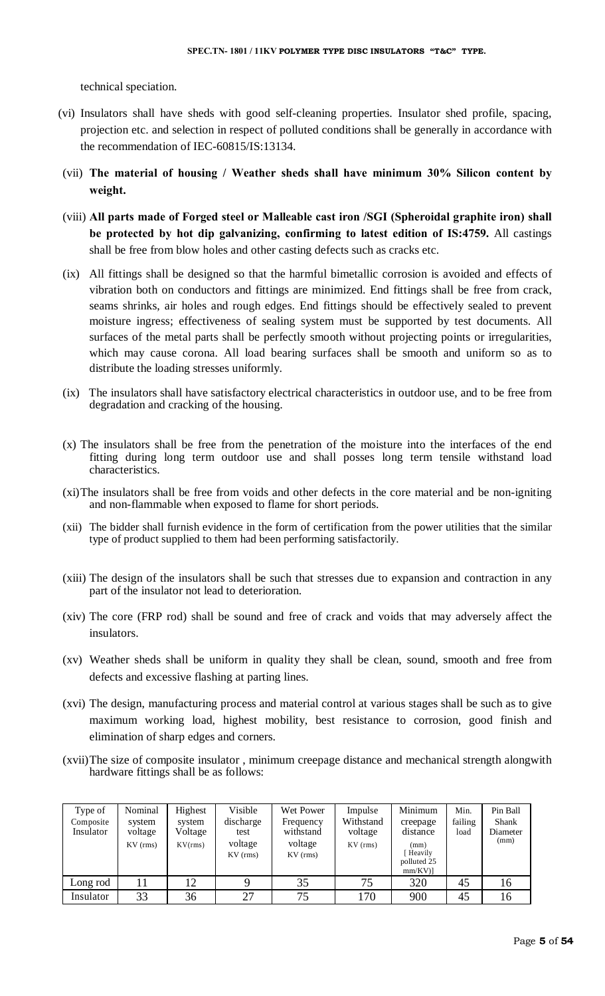technical speciation.

- (vi) Insulators shall have sheds with good self-cleaning properties. Insulator shed profile, spacing, projection etc. and selection in respect of polluted conditions shall be generally in accordance with the recommendation of IEC-60815/IS:13134.
- (vii) **The material of housing / Weather sheds shall have minimum 30% Silicon content by weight.**
- (viii) **All parts made of Forged steel or Malleable cast iron /SGI (Spheroidal graphite iron) shall be protected by hot dip galvanizing, confirming to latest edition of IS:4759.** All castings shall be free from blow holes and other casting defects such as cracks etc.
- (ix) All fittings shall be designed so that the harmful bimetallic corrosion is avoided and effects of vibration both on conductors and fittings are minimized. End fittings shall be free from crack, seams shrinks, air holes and rough edges. End fittings should be effectively sealed to prevent moisture ingress; effectiveness of sealing system must be supported by test documents. All surfaces of the metal parts shall be perfectly smooth without projecting points or irregularities, which may cause corona. All load bearing surfaces shall be smooth and uniform so as to distribute the loading stresses uniformly.
- (ix) The insulators shall have satisfactory electrical characteristics in outdoor use, and to be free from degradation and cracking of the housing.
- (x) The insulators shall be free from the penetration of the moisture into the interfaces of the end fitting during long term outdoor use and shall posses long term tensile withstand load characteristics.
- (xi)The insulators shall be free from voids and other defects in the core material and be non-igniting and non-flammable when exposed to flame for short periods.
- (xii) The bidder shall furnish evidence in the form of certification from the power utilities that the similar type of product supplied to them had been performing satisfactorily.
- (xiii) The design of the insulators shall be such that stresses due to expansion and contraction in any part of the insulator not lead to deterioration.
- (xiv) The core (FRP rod) shall be sound and free of crack and voids that may adversely affect the insulators.
- (xv) Weather sheds shall be uniform in quality they shall be clean, sound, smooth and free from defects and excessive flashing at parting lines.
- (xvi) The design, manufacturing process and material control at various stages shall be such as to give maximum working load, highest mobility, best resistance to corrosion, good finish and elimination of sharp edges and corners.
- (xvii)The size of composite insulator , minimum creepage distance and mechanical strength alongwith hardware fittings shall be as follows:

| Type of<br>Composite<br>Insulator | Nominal<br>system<br>voltage<br>$KV$ (rms) | Highest<br>system<br>Voltage<br>KV(rms) | Visible<br>discharge<br>test<br>voltage<br>$KV$ (rms) | Wet Power<br>Frequency<br>withstand<br>voltage<br>$KV$ (rms) | Impulse<br>Withstand<br>voltage<br>$KV$ (rms) | Minimum<br>creepage<br>distance<br>(mm)<br>Heavily<br>polluted 25<br>$mm/KV$ ] | Min.<br>failing<br>load | Pin Ball<br>Shank<br>Diameter<br>(mm) |
|-----------------------------------|--------------------------------------------|-----------------------------------------|-------------------------------------------------------|--------------------------------------------------------------|-----------------------------------------------|--------------------------------------------------------------------------------|-------------------------|---------------------------------------|
| Long rod                          |                                            | 12                                      |                                                       | 35                                                           | 75                                            | 320                                                                            | 45                      | 16                                    |
| Insulator                         | 33                                         | 36                                      | 27                                                    | 75                                                           | 170                                           | 900                                                                            | 45                      | 16                                    |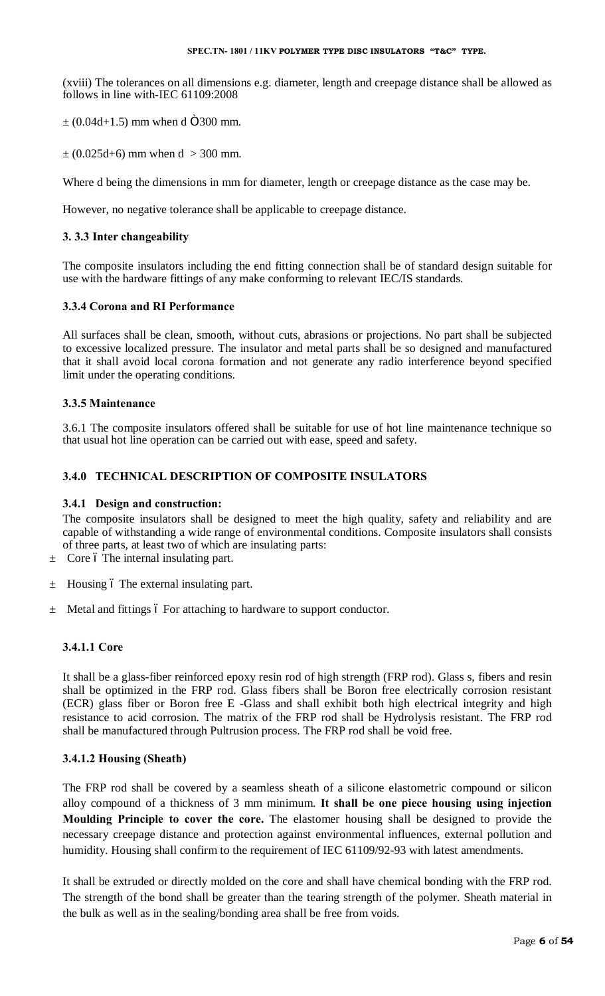(xviii) The tolerances on all dimensions e.g. diameter, length and creepage distance shall be allowed as follows in line with-IEC 61109:2008

 $\pm$  (0.04d+1.5) mm when d  $\ddot{\text{O}}$ 300 mm.

 $\pm (0.025d+6)$  mm when  $d > 300$  mm.

Where d being the dimensions in mm for diameter, length or creepage distance as the case may be.

However, no negative tolerance shall be applicable to creepage distance.

# **3. 3.3 Inter changeability**

The composite insulators including the end fitting connection shall be of standard design suitable for use with the hardware fittings of any make conforming to relevant IEC/IS standards.

# **3.3.4 Corona and RI Performance**

All surfaces shall be clean, smooth, without cuts, abrasions or projections. No part shall be subjected to excessive localized pressure. The insulator and metal parts shall be so designed and manufactured that it shall avoid local corona formation and not generate any radio interference beyond specified limit under the operating conditions.

# **3.3.5 Maintenance**

3.6.1 The composite insulators offered shall be suitable for use of hot line maintenance technique so that usual hot line operation can be carried out with ease, speed and safety.

# **3.4.0 TECHNICAL DESCRIPTION OF COMPOSITE INSULATORS**

# **3.4.1 Design and construction:**

The composite insulators shall be designed to meet the high quality, safety and reliability and are capable of withstanding a wide range of environmental conditions. Composite insulators shall consists of three parts, at least two of which are insulating parts:

- $\pm$  Core 6 The internal insulating part.
- $\pm$  Housing 6 The external insulating part.
- $\pm$  Metal and fittings 6 For attaching to hardware to support conductor.

# **3.4.1.1 Core**

It shall be a glass-fiber reinforced epoxy resin rod of high strength (FRP rod). Glass s, fibers and resin shall be optimized in the FRP rod. Glass fibers shall be Boron free electrically corrosion resistant (ECR) glass fiber or Boron free E -Glass and shall exhibit both high electrical integrity and high resistance to acid corrosion. The matrix of the FRP rod shall be Hydrolysis resistant. The FRP rod shall be manufactured through Pultrusion process. The FRP rod shall be void free.

# **3.4.1.2 Housing (Sheath)**

The FRP rod shall be covered by a seamless sheath of a silicone elastometric compound or silicon alloy compound of a thickness of 3 mm minimum. **It shall be one piece housing using injection Moulding Principle to cover the core.** The elastomer housing shall be designed to provide the necessary creepage distance and protection against environmental influences, external pollution and humidity. Housing shall confirm to the requirement of IEC 61109/92-93 with latest amendments.

It shall be extruded or directly molded on the core and shall have chemical bonding with the FRP rod. The strength of the bond shall be greater than the tearing strength of the polymer. Sheath material in the bulk as well as in the sealing/bonding area shall be free from voids.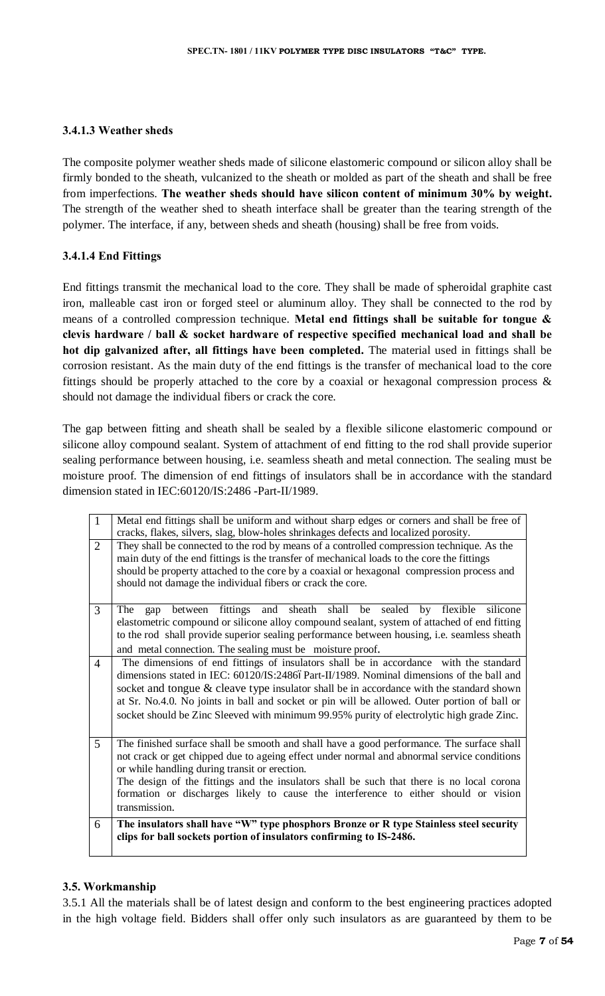# **3.4.1.3 Weather sheds**

The composite polymer weather sheds made of silicone elastomeric compound or silicon alloy shall be firmly bonded to the sheath, vulcanized to the sheath or molded as part of the sheath and shall be free from imperfections. **The weather sheds should have silicon content of minimum 30% by weight.**  The strength of the weather shed to sheath interface shall be greater than the tearing strength of the polymer. The interface, if any, between sheds and sheath (housing) shall be free from voids.

# **3.4.1.4 End Fittings**

End fittings transmit the mechanical load to the core. They shall be made of spheroidal graphite cast iron, malleable cast iron or forged steel or aluminum alloy. They shall be connected to the rod by means of a controlled compression technique. **Metal end fittings shall be suitable for tongue & clevis hardware / ball & socket hardware of respective specified mechanical load and shall be hot dip galvanized after, all fittings have been completed.** The material used in fittings shall be corrosion resistant. As the main duty of the end fittings is the transfer of mechanical load to the core fittings should be properly attached to the core by a coaxial or hexagonal compression process & should not damage the individual fibers or crack the core.

The gap between fitting and sheath shall be sealed by a flexible silicone elastomeric compound or silicone alloy compound sealant. System of attachment of end fitting to the rod shall provide superior sealing performance between housing, i.e. seamless sheath and metal connection. The sealing must be moisture proof. The dimension of end fittings of insulators shall be in accordance with the standard dimension stated in IEC:60120/IS:2486 -Part-II/1989.

| $\mathbf{1}$   | Metal end fittings shall be uniform and without sharp edges or corners and shall be free of<br>cracks, flakes, silvers, slag, blow-holes shrinkages defects and localized porosity.                                                                                                                                                                                                                                                                                        |
|----------------|----------------------------------------------------------------------------------------------------------------------------------------------------------------------------------------------------------------------------------------------------------------------------------------------------------------------------------------------------------------------------------------------------------------------------------------------------------------------------|
| $\overline{2}$ | They shall be connected to the rod by means of a controlled compression technique. As the<br>main duty of the end fittings is the transfer of mechanical loads to the core the fittings<br>should be property attached to the core by a coaxial or hexagonal compression process and<br>should not damage the individual fibers or crack the core.                                                                                                                         |
| 3              | gap between fittings and sheath shall be sealed by flexible<br>The<br>silicone<br>elastometric compound or silicone alloy compound sealant, system of attached of end fitting<br>to the rod shall provide superior sealing performance between housing, i.e. seamless sheath<br>and metal connection. The sealing must be moisture proof.                                                                                                                                  |
| $\overline{4}$ | The dimensions of end fittings of insulators shall be in accordance with the standard<br>dimensions stated in IEC: 60120/IS:24866Part-II/1989. Nominal dimensions of the ball and<br>socket and tongue & cleave type insulator shall be in accordance with the standard shown<br>at Sr. No.4.0. No joints in ball and socket or pin will be allowed. Outer portion of ball or<br>socket should be Zinc Sleeved with minimum 99.95% purity of electrolytic high grade Zinc. |
| 5              | The finished surface shall be smooth and shall have a good performance. The surface shall<br>not crack or get chipped due to ageing effect under normal and abnormal service conditions<br>or while handling during transit or erection.<br>The design of the fittings and the insulators shall be such that there is no local corona<br>formation or discharges likely to cause the interference to either should or vision<br>transmission.                              |
| 6              | The insulators shall have "W" type phosphors Bronze or R type Stainless steel security<br>clips for ball sockets portion of insulators confirming to IS-2486.                                                                                                                                                                                                                                                                                                              |

# **3.5. Workmanship**

3.5.1 All the materials shall be of latest design and conform to the best engineering practices adopted in the high voltage field. Bidders shall offer only such insulators as are guaranteed by them to be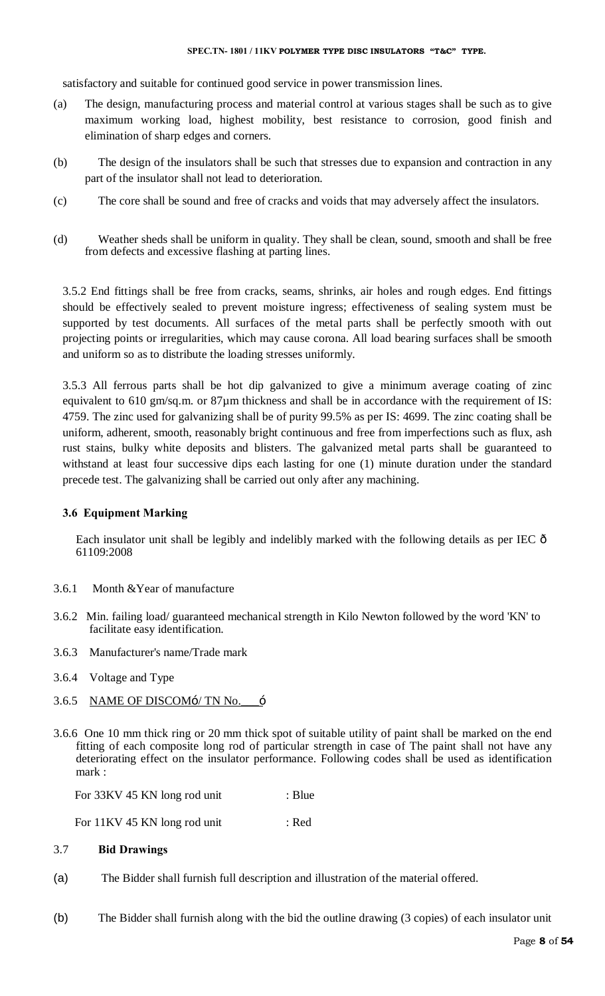#### **SPEC.TN- 1801 / 11KV POLYMER TYPE DISC INSULATORS "T&C" TYPE.**

satisfactory and suitable for continued good service in power transmission lines.

- (a) The design, manufacturing process and material control at various stages shall be such as to give maximum working load, highest mobility, best resistance to corrosion, good finish and elimination of sharp edges and corners.
- (b) The design of the insulators shall be such that stresses due to expansion and contraction in any part of the insulator shall not lead to deterioration.
- (c) The core shall be sound and free of cracks and voids that may adversely affect the insulators.
- (d) Weather sheds shall be uniform in quality. They shall be clean, sound, smooth and shall be free from defects and excessive flashing at parting lines.

3.5.2 End fittings shall be free from cracks, seams, shrinks, air holes and rough edges. End fittings should be effectively sealed to prevent moisture ingress; effectiveness of sealing system must be supported by test documents. All surfaces of the metal parts shall be perfectly smooth with out projecting points or irregularities, which may cause corona. All load bearing surfaces shall be smooth and uniform so as to distribute the loading stresses uniformly.

3.5.3 All ferrous parts shall be hot dip galvanized to give a minimum average coating of zinc equivalent to 610 gm/sq.m. or 87 $\mu$ m thickness and shall be in accordance with the requirement of IS: 4759. The zinc used for galvanizing shall be of purity 99.5% as per IS: 4699. The zinc coating shall be uniform, adherent, smooth, reasonably bright continuous and free from imperfections such as flux, ash rust stains, bulky white deposits and blisters. The galvanized metal parts shall be guaranteed to withstand at least four successive dips each lasting for one (1) minute duration under the standard precede test. The galvanizing shall be carried out only after any machining.

# **3.6 Equipment Marking**

Each insulator unit shall be legibly and indelibly marked with the following details as per IEC  $\delta$ 61109:2008

- 3.6.1 Month &Year of manufacture
- 3.6.2 Min. failing load/ guaranteed mechanical strength in Kilo Newton followed by the word 'KN' to facilitate easy identification.
- 3.6.3 Manufacturer's name/Trade mark
- 3.6.4 Voltage and Type
- 3.6.5 NAME OF DISCOM $\div$ / TN No.  $\div$
- 3.6.6 One 10 mm thick ring or 20 mm thick spot of suitable utility of paint shall be marked on the end fitting of each composite long rod of particular strength in case of The paint shall not have any deteriorating effect on the insulator performance. Following codes shall be used as identification mark :

| For 33KV 45 KN long rod unit | $\therefore$ Blue |
|------------------------------|-------------------|
|------------------------------|-------------------|

| For 11KV 45 KN long rod unit | : Red |
|------------------------------|-------|
|------------------------------|-------|

# 3.7 **Bid Drawings**

- (a) The Bidder shall furnish full description and illustration of the material offered.
- (b) The Bidder shall furnish along with the bid the outline drawing (3 copies) of each insulator unit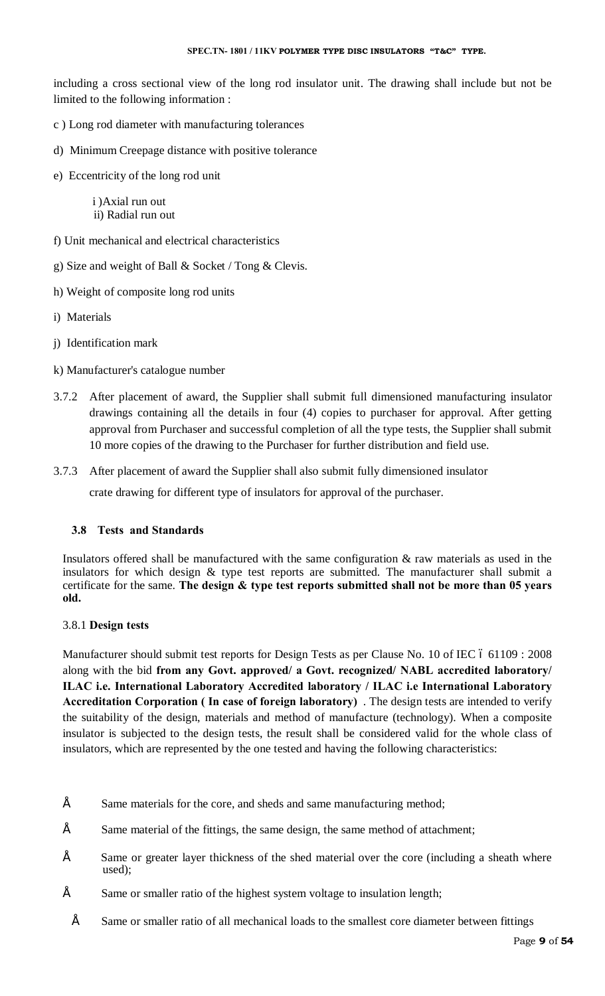including a cross sectional view of the long rod insulator unit. The drawing shall include but not be limited to the following information :

- c ) Long rod diameter with manufacturing tolerances
- d) Minimum Creepage distance with positive tolerance
- e) Eccentricity of the long rod unit

 i )Axial run out ii) Radial run out

- f) Unit mechanical and electrical characteristics
- g) Size and weight of Ball & Socket / Tong & Clevis.
- h) Weight of composite long rod units
- i) Materials
- j) Identification mark
- k) Manufacturer's catalogue number
- 3.7.2 After placement of award, the Supplier shall submit full dimensioned manufacturing insulator drawings containing all the details in four (4) copies to purchaser for approval. After getting approval from Purchaser and successful completion of all the type tests, the Supplier shall submit 10 more copies of the drawing to the Purchaser for further distribution and field use.
- 3.7.3 After placement of award the Supplier shall also submit fully dimensioned insulator

crate drawing for different type of insulators for approval of the purchaser.

# **3.8 Tests and Standards**

Insulators offered shall be manufactured with the same configuration & raw materials as used in the insulators for which design & type test reports are submitted. The manufacturer shall submit a certificate for the same. **The design & type test reports submitted shall not be more than 05 years old.**

# 3.8.1 **Design tests**

Manufacturer should submit test reports for Design Tests as per Clause No. 10 of IEC 6 61109 : 2008 along with the bid **from any Govt. approved/ a Govt. recognized/ NABL accredited laboratory/ ILAC i.e. International Laboratory Accredited laboratory / ILAC i.e International Laboratory Accreditation Corporation ( In case of foreign laboratory)** . The design tests are intended to verify the suitability of the design, materials and method of manufacture (technology). When a composite insulator is subjected to the design tests, the result shall be considered valid for the whole class of insulators, which are represented by the one tested and having the following characteristics:

- $\acute{E}$  Same materials for the core, and sheds and same manufacturing method;
- $\acute{E}$  Same material of the fittings, the same design, the same method of attachment;
- $\acute{E}$  Same or greater layer thickness of the shed material over the core (including a sheath where used);
- $\acute{E}$  Same or smaller ratio of the highest system voltage to insulation length;
	- $\acute{E}$  Same or smaller ratio of all mechanical loads to the smallest core diameter between fittings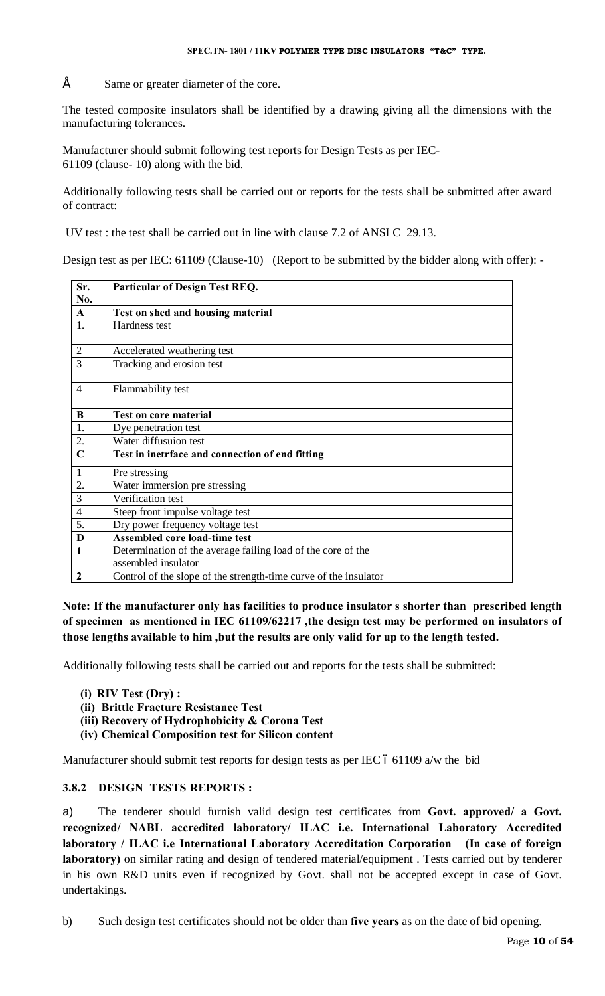$\acute{E}$  Same or greater diameter of the core.

The tested composite insulators shall be identified by a drawing giving all the dimensions with the manufacturing tolerances.

Manufacturer should submit following test reports for Design Tests as per IEC-61109 (clause- 10) along with the bid.

Additionally following tests shall be carried out or reports for the tests shall be submitted after award of contract:

UV test : the test shall be carried out in line with clause 7.2 of ANSI C 29.13.

Design test as per IEC: 61109 (Clause-10) (Report to be submitted by the bidder along with offer): -

| Sr.            | <b>Particular of Design Test REQ.</b>                            |
|----------------|------------------------------------------------------------------|
| No.            |                                                                  |
| $\mathbf{A}$   | Test on shed and housing material                                |
| 1.             | Hardness test                                                    |
| $\overline{2}$ | Accelerated weathering test                                      |
| 3              | Tracking and erosion test                                        |
| $\overline{4}$ | Flammability test                                                |
| B              | <b>Test on core material</b>                                     |
| 1.             | Dye penetration test                                             |
| 2.             | Water diffusuion test                                            |
| $\overline{C}$ | Test in inetrface and connection of end fitting                  |
| 1              | Pre stressing                                                    |
| 2.             | Water immersion pre stressing                                    |
| 3              | Verification test                                                |
| $\overline{4}$ | Steep front impulse voltage test                                 |
| 5.             | Dry power frequency voltage test                                 |
| D              | <b>Assembled core load-time test</b>                             |
| $\mathbf{1}$   | Determination of the average failing load of the core of the     |
|                | assembled insulator                                              |
| $\mathbf{2}$   | Control of the slope of the strength-time curve of the insulator |

**Note: If the manufacturer only has facilities to produce insulator s shorter than prescribed length of specimen as mentioned in IEC 61109/62217 ,the design test may be performed on insulators of those lengths available to him ,but the results are only valid for up to the length tested.** 

Additionally following tests shall be carried out and reports for the tests shall be submitted:

- **(i) RIV Test (Dry) :**
- **(ii) Brittle Fracture Resistance Test**
- **(iii) Recovery of Hydrophobicity & Corona Test**
- **(iv) Chemical Composition test for Silicon content**

Manufacturer should submit test reports for design tests as per IEC  $\acute{o}$  61109 a/w the bid

# **3.8.2 DESIGN TESTS REPORTS :**

a) The tenderer should furnish valid design test certificates from **Govt. approved/ a Govt. recognized/ NABL accredited laboratory/ ILAC i.e. International Laboratory Accredited laboratory / ILAC i.e International Laboratory Accreditation Corporation (In case of foreign laboratory)** on similar rating and design of tendered material/equipment . Tests carried out by tenderer in his own R&D units even if recognized by Govt. shall not be accepted except in case of Govt. undertakings.

b) Such design test certificates should not be older than **five years** as on the date of bid opening.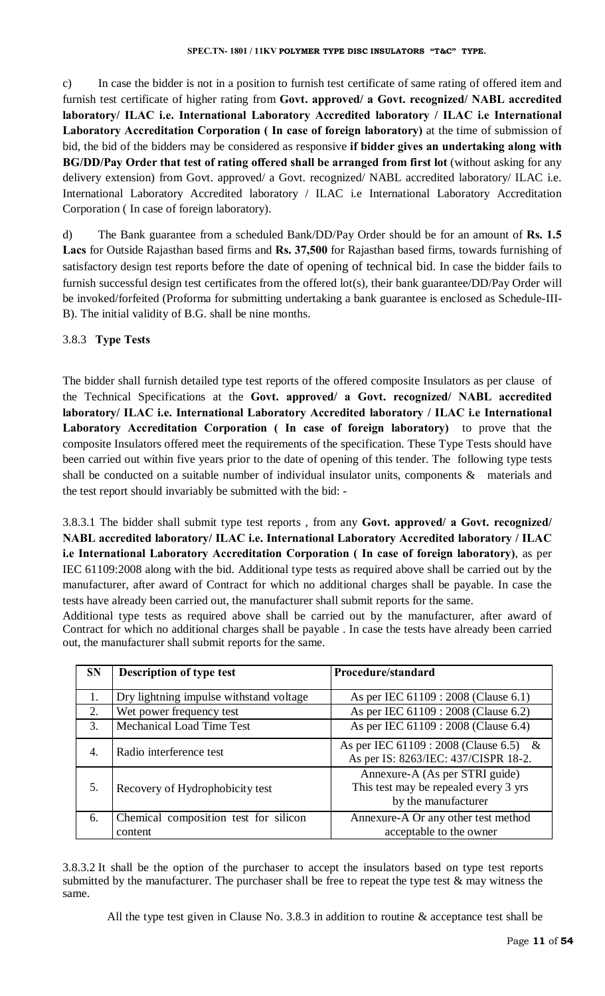c) In case the bidder is not in a position to furnish test certificate of same rating of offered item and furnish test certificate of higher rating from **Govt. approved/ a Govt. recognized/ NABL accredited laboratory/ ILAC i.e. International Laboratory Accredited laboratory / ILAC i.e International Laboratory Accreditation Corporation ( In case of foreign laboratory)** at the time of submission of bid, the bid of the bidders may be considered as responsive **if bidder gives an undertaking along with BG/DD/Pay Order that test of rating offered shall be arranged from first lot** (without asking for any delivery extension) from Govt. approved/ a Govt. recognized/ NABL accredited laboratory/ ILAC i.e. International Laboratory Accredited laboratory / ILAC i.e International Laboratory Accreditation Corporation ( In case of foreign laboratory).

d) The Bank guarantee from a scheduled Bank/DD/Pay Order should be for an amount of **Rs. 1.5 Lacs** for Outside Rajasthan based firms and **Rs. 37,500** for Rajasthan based firms, towards furnishing of satisfactory design test reports before the date of opening of technical bid. In case the bidder fails to furnish successful design test certificates from the offered lot(s), their bank guarantee/DD/Pay Order will be invoked/forfeited (Proforma for submitting undertaking a bank guarantee is enclosed as Schedule-III-B). The initial validity of B.G. shall be nine months.

# 3.8.3 **Type Tests**

The bidder shall furnish detailed type test reports of the offered composite Insulators as per clause of the Technical Specifications at the **Govt. approved/ a Govt. recognized/ NABL accredited laboratory/ ILAC i.e. International Laboratory Accredited laboratory / ILAC i.e International Laboratory Accreditation Corporation ( In case of foreign laboratory)** to prove that the composite Insulators offered meet the requirements of the specification. These Type Tests should have been carried out within five years prior to the date of opening of this tender. The following type tests shall be conducted on a suitable number of individual insulator units, components  $\&$  materials and the test report should invariably be submitted with the bid: -

3.8.3.1 The bidder shall submit type test reports , from any **Govt. approved/ a Govt. recognized/ NABL accredited laboratory/ ILAC i.e. International Laboratory Accredited laboratory / ILAC i.e International Laboratory Accreditation Corporation ( In case of foreign laboratory)**, as per IEC 61109:2008 along with the bid. Additional type tests as required above shall be carried out by the manufacturer, after award of Contract for which no additional charges shall be payable. In case the tests have already been carried out, the manufacturer shall submit reports for the same.

Additional type tests as required above shall be carried out by the manufacturer, after award of Contract for which no additional charges shall be payable . In case the tests have already been carried out, the manufacturer shall submit reports for the same.

| <b>SN</b> | <b>Description of type test</b>                  | Procedure/standard                                                                             |
|-----------|--------------------------------------------------|------------------------------------------------------------------------------------------------|
|           | Dry lightning impulse withstand voltage          | As per IEC 61109 : 2008 (Clause 6.1)                                                           |
| 2.        | Wet power frequency test                         | As per IEC 61109 : 2008 (Clause 6.2)                                                           |
| 3.        | Mechanical Load Time Test                        | As per IEC 61109 : 2008 (Clause 6.4)                                                           |
| 4.        | Radio interference test                          | As per IEC 61109 : 2008 (Clause 6.5) &<br>As per IS: 8263/IEC: 437/CISPR 18-2.                 |
| 5.        | Recovery of Hydrophobicity test                  | Annexure-A (As per STRI guide)<br>This test may be repealed every 3 yrs<br>by the manufacturer |
| 6.        | Chemical composition test for silicon<br>content | Annexure-A Or any other test method<br>acceptable to the owner                                 |

3.8.3.2 It shall be the option of the purchaser to accept the insulators based on type test reports submitted by the manufacturer. The purchaser shall be free to repeat the type test & may witness the same.

All the type test given in Clause No. 3.8.3 in addition to routine  $\&$  acceptance test shall be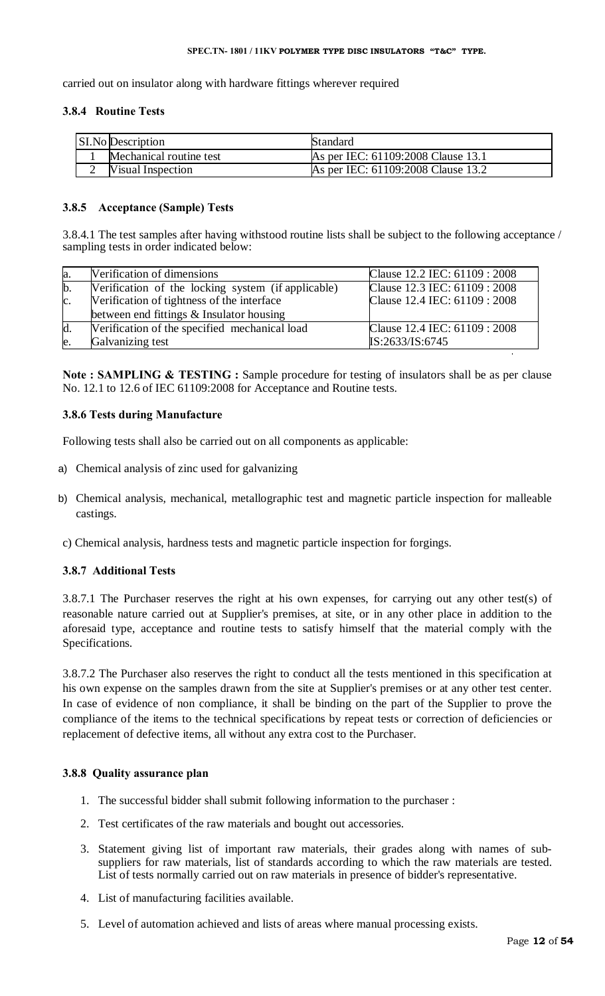#### **SPEC.TN- 1801 / 11KV POLYMER TYPE DISC INSULATORS "T&C" TYPE.**

carried out on insulator along with hardware fittings wherever required

# **3.8.4 Routine Tests**

| <b>SI.No Description</b> | Standard                           |
|--------------------------|------------------------------------|
| Mechanical routine test  | As per IEC: 61109:2008 Clause 13.1 |
| <b>Visual Inspection</b> | As per IEC: 61109:2008 Clause 13.2 |

# **3.8.5 Acceptance (Sample) Tests**

3.8.4.1 The test samples after having withstood routine lists shall be subject to the following acceptance / sampling tests in order indicated below:

| la.            | Verification of dimensions                                                             | Clause 12.2 IEC: 61109 : 2008 |
|----------------|----------------------------------------------------------------------------------------|-------------------------------|
| $\mathbf{b}$ . | Verification of the locking system (if applicable)                                     | Clause 12.3 IEC: 61109 : 2008 |
| $\mathbf{c}$ . | Verification of tightness of the interface<br>between end fittings & Insulator housing | Clause 12.4 IEC: 61109 : 2008 |
| d.             | Verification of the specified mechanical load                                          | Clause 12.4 IEC: 61109 : 2008 |
| le             | Galvanizing test                                                                       | IS:2633/IS:6745               |

**Note : SAMPLING & TESTING :** Sample procedure for testing of insulators shall be as per clause No. 12.1 to 12.6 of IEC 61109:2008 for Acceptance and Routine tests.

# **3.8.6 Tests during Manufacture**

Following tests shall also be carried out on all components as applicable:

- a) Chemical analysis of zinc used for galvanizing
- b) Chemical analysis, mechanical, metallographic test and magnetic particle inspection for malleable castings.
- c) Chemical analysis, hardness tests and magnetic particle inspection for forgings.

# **3.8.7 Additional Tests**

3.8.7.1 The Purchaser reserves the right at his own expenses, for carrying out any other test(s) of reasonable nature carried out at Supplier's premises, at site, or in any other place in addition to the aforesaid type, acceptance and routine tests to satisfy himself that the material comply with the Specifications.

3.8.7.2 The Purchaser also reserves the right to conduct all the tests mentioned in this specification at his own expense on the samples drawn from the site at Supplier's premises or at any other test center. In case of evidence of non compliance, it shall be binding on the part of the Supplier to prove the compliance of the items to the technical specifications by repeat tests or correction of deficiencies or replacement of defective items, all without any extra cost to the Purchaser.

# **3.8.8 Quality assurance plan**

- 1. The successful bidder shall submit following information to the purchaser :
- 2. Test certificates of the raw materials and bought out accessories.
- 3. Statement giving list of important raw materials, their grades along with names of subsuppliers for raw materials, list of standards according to which the raw materials are tested. List of tests normally carried out on raw materials in presence of bidder's representative.
- 4. List of manufacturing facilities available.
- 5. Level of automation achieved and lists of areas where manual processing exists.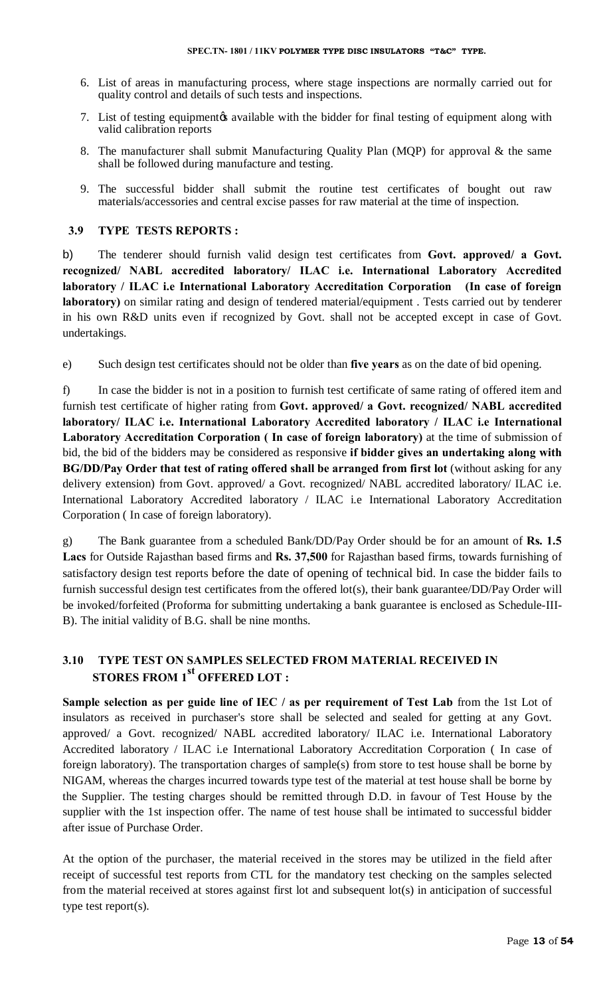- 6. List of areas in manufacturing process, where stage inspections are normally carried out for quality control and details of such tests and inspections.
- 7. List of testing equipment to available with the bidder for final testing of equipment along with valid calibration reports
- 8. The manufacturer shall submit Manufacturing Quality Plan (MQP) for approval & the same shall be followed during manufacture and testing.
- 9. The successful bidder shall submit the routine test certificates of bought out raw materials/accessories and central excise passes for raw material at the time of inspection.

#### **3.9 TYPE TESTS REPORTS :**

b) The tenderer should furnish valid design test certificates from **Govt. approved/ a Govt. recognized/ NABL accredited laboratory/ ILAC i.e. International Laboratory Accredited laboratory / ILAC i.e International Laboratory Accreditation Corporation (In case of foreign laboratory)** on similar rating and design of tendered material/equipment . Tests carried out by tenderer in his own R&D units even if recognized by Govt. shall not be accepted except in case of Govt. undertakings.

e) Such design test certificates should not be older than **five years** as on the date of bid opening.

f) In case the bidder is not in a position to furnish test certificate of same rating of offered item and furnish test certificate of higher rating from **Govt. approved/ a Govt. recognized/ NABL accredited laboratory/ ILAC i.e. International Laboratory Accredited laboratory / ILAC i.e International Laboratory Accreditation Corporation ( In case of foreign laboratory)** at the time of submission of bid, the bid of the bidders may be considered as responsive **if bidder gives an undertaking along with BG/DD/Pay Order that test of rating offered shall be arranged from first lot** (without asking for any delivery extension) from Govt. approved/ a Govt. recognized/ NABL accredited laboratory/ ILAC i.e. International Laboratory Accredited laboratory / ILAC i.e International Laboratory Accreditation Corporation ( In case of foreign laboratory).

g) The Bank guarantee from a scheduled Bank/DD/Pay Order should be for an amount of **Rs. 1.5 Lacs** for Outside Rajasthan based firms and **Rs. 37,500** for Rajasthan based firms, towards furnishing of satisfactory design test reports before the date of opening of technical bid. In case the bidder fails to furnish successful design test certificates from the offered lot(s), their bank guarantee/DD/Pay Order will be invoked/forfeited (Proforma for submitting undertaking a bank guarantee is enclosed as Schedule-III-B). The initial validity of B.G. shall be nine months.

# **3.10 TYPE TEST ON SAMPLES SELECTED FROM MATERIAL RECEIVED IN STORES FROM 1st OFFERED LOT :**

**Sample selection as per guide line of IEC / as per requirement of Test Lab** from the 1st Lot of insulators as received in purchaser's store shall be selected and sealed for getting at any Govt. approved/ a Govt. recognized/ NABL accredited laboratory/ ILAC i.e. International Laboratory Accredited laboratory / ILAC i.e International Laboratory Accreditation Corporation ( In case of foreign laboratory). The transportation charges of sample(s) from store to test house shall be borne by NIGAM, whereas the charges incurred towards type test of the material at test house shall be borne by the Supplier. The testing charges should be remitted through D.D. in favour of Test House by the supplier with the 1st inspection offer. The name of test house shall be intimated to successful bidder after issue of Purchase Order.

At the option of the purchaser, the material received in the stores may be utilized in the field after receipt of successful test reports from CTL for the mandatory test checking on the samples selected from the material received at stores against first lot and subsequent lot(s) in anticipation of successful type test report(s).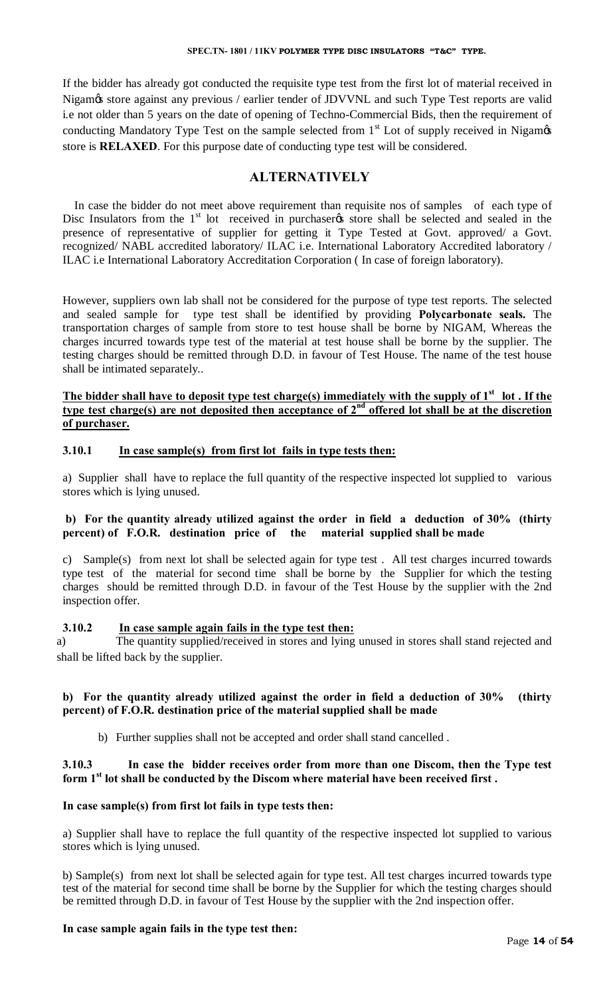#### **SPEC.TN- 1801 / 11KV POLYMER TYPE DISC INSULATORS "T&C" TYPE.**

If the bidder has already got conducted the requisite type test from the first lot of material received in Nigam $\alpha$  store against any previous / earlier tender of JDVVNL and such Type Test reports are valid i.e not older than 5 years on the date of opening of Techno-Commercial Bids, then the requirement of conducting Mandatory Type Test on the sample selected from  $1<sup>st</sup>$  Lot of supply received in Nigam $\alpha$ store is **RELAXED**. For this purpose date of conducting type test will be considered.

# **ALTERNATIVELY**

 In case the bidder do not meet above requirement than requisite nos of samples of each type of Disc Insulators from the 1<sup>st</sup> lot received in purchaser to store shall be selected and sealed in the presence of representative of supplier for getting it Type Tested at Govt. approved/ a Govt. recognized/ NABL accredited laboratory/ ILAC i.e. International Laboratory Accredited laboratory / ILAC i.e International Laboratory Accreditation Corporation ( In case of foreign laboratory).

However, suppliers own lab shall not be considered for the purpose of type test reports. The selected and sealed sample for type test shall be identified by providing **Polycarbonate seals.** The transportation charges of sample from store to test house shall be borne by NIGAM, Whereas the charges incurred towards type test of the material at test house shall be borne by the supplier. The testing charges should be remitted through D.D. in favour of Test House. The name of the test house shall be intimated separately..

# The bidder shall have to deposit type test charge(s) immediately with the supply of 1<sup>st</sup> lot. If the **type test charge(s) are not deposited then acceptance of**  $2<sup>nd</sup>$  **offered lot shall be at the discretion of purchaser.**

# **3.10.1 In case sample(s) from first lot fails in type tests then:**

a) Supplier shall have to replace the full quantity of the respective inspected lot supplied to various stores which is lying unused.

# **b) For the quantity already utilized against the order in field a deduction of 30% (thirty percent) of F.O.R. destination price of the material supplied shall be made**

c) Sample(s) from next lot shall be selected again for type test . All test charges incurred towards type test of the material for second time shall be borne by the Supplier for which the testing charges should be remitted through D.D. in favour of the Test House by the supplier with the 2nd inspection offer.

# **3.10.2 In case sample again fails in the type test then:**

a) The quantity supplied/received in stores and lying unused in stores shall stand rejected and shall be lifted back by the supplier.

# **b) For the quantity already utilized against the order in field a deduction of 30% (thirty percent) of F.O.R. destination price of the material supplied shall be made**

b) Further supplies shall not be accepted and order shall stand cancelled .

# **3.10.3 In case the bidder receives order from more than one Discom, then the Type test**  form 1<sup>st</sup> lot shall be conducted by the Discom where material have been received first.

# **In case sample(s) from first lot fails in type tests then:**

a) Supplier shall have to replace the full quantity of the respective inspected lot supplied to various stores which is lying unused.

b) Sample(s) from next lot shall be selected again for type test. All test charges incurred towards type test of the material for second time shall be borne by the Supplier for which the testing charges should be remitted through D.D. in favour of Test House by the supplier with the 2nd inspection offer.

# **In case sample again fails in the type test then:**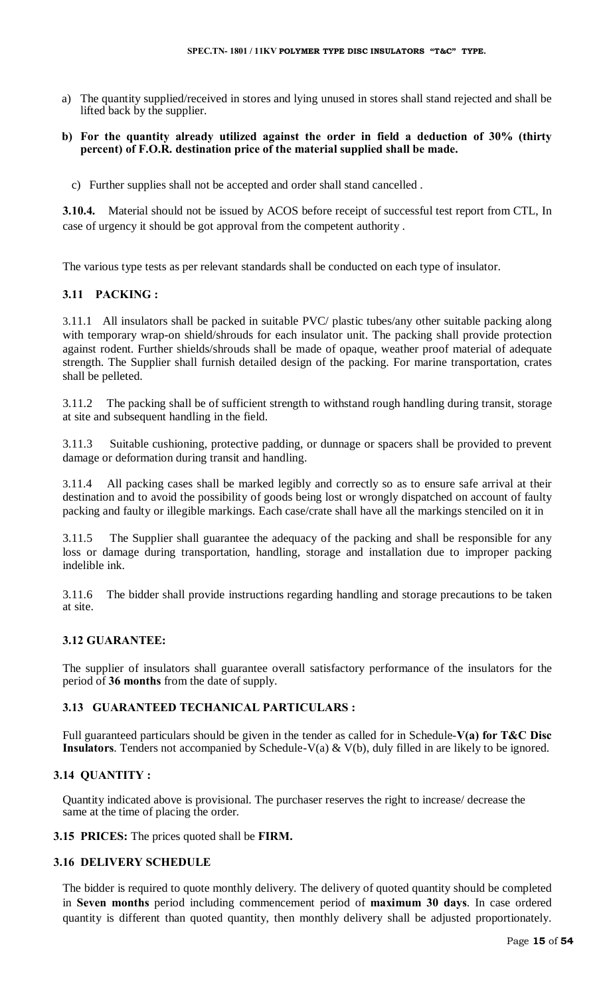a) The quantity supplied/received in stores and lying unused in stores shall stand rejected and shall be lifted back by the supplier.

#### **b) For the quantity already utilized against the order in field a deduction of 30% (thirty percent) of F.O.R. destination price of the material supplied shall be made.**

c) Further supplies shall not be accepted and order shall stand cancelled .

**3.10.4.** Material should not be issued by ACOS before receipt of successful test report from CTL, In case of urgency it should be got approval from the competent authority .

The various type tests as per relevant standards shall be conducted on each type of insulator.

# **3.11 PACKING :**

3.11.1 All insulators shall be packed in suitable PVC/ plastic tubes/any other suitable packing along with temporary wrap-on shield/shrouds for each insulator unit. The packing shall provide protection against rodent. Further shields/shrouds shall be made of opaque, weather proof material of adequate strength. The Supplier shall furnish detailed design of the packing. For marine transportation, crates shall be pelleted.

3.11.2 The packing shall be of sufficient strength to withstand rough handling during transit, storage at site and subsequent handling in the field.

3.11.3 Suitable cushioning, protective padding, or dunnage or spacers shall be provided to prevent damage or deformation during transit and handling.

3.11.4 All packing cases shall be marked legibly and correctly so as to ensure safe arrival at their destination and to avoid the possibility of goods being lost or wrongly dispatched on account of faulty packing and faulty or illegible markings. Each case/crate shall have all the markings stenciled on it in

3.11.5 The Supplier shall guarantee the adequacy of the packing and shall be responsible for any loss or damage during transportation, handling, storage and installation due to improper packing indelible ink.

3.11.6 The bidder shall provide instructions regarding handling and storage precautions to be taken at site.

# **3.12 GUARANTEE:**

The supplier of insulators shall guarantee overall satisfactory performance of the insulators for the period of **36 months** from the date of supply.

# **3.13 GUARANTEED TECHANICAL PARTICULARS :**

Full guaranteed particulars should be given in the tender as called for in Schedule-**V(a) for T&C Disc Insulators**. Tenders not accompanied by Schedule-V(a) & V(b), duly filled in are likely to be ignored.

# **3.14 QUANTITY :**

Quantity indicated above is provisional. The purchaser reserves the right to increase/ decrease the same at the time of placing the order.

#### **3.15 PRICES:** The prices quoted shall be **FIRM.**

# **3.16 DELIVERY SCHEDULE**

The bidder is required to quote monthly delivery. The delivery of quoted quantity should be completed in **Seven months** period including commencement period of **maximum 30 days**. In case ordered quantity is different than quoted quantity, then monthly delivery shall be adjusted proportionately.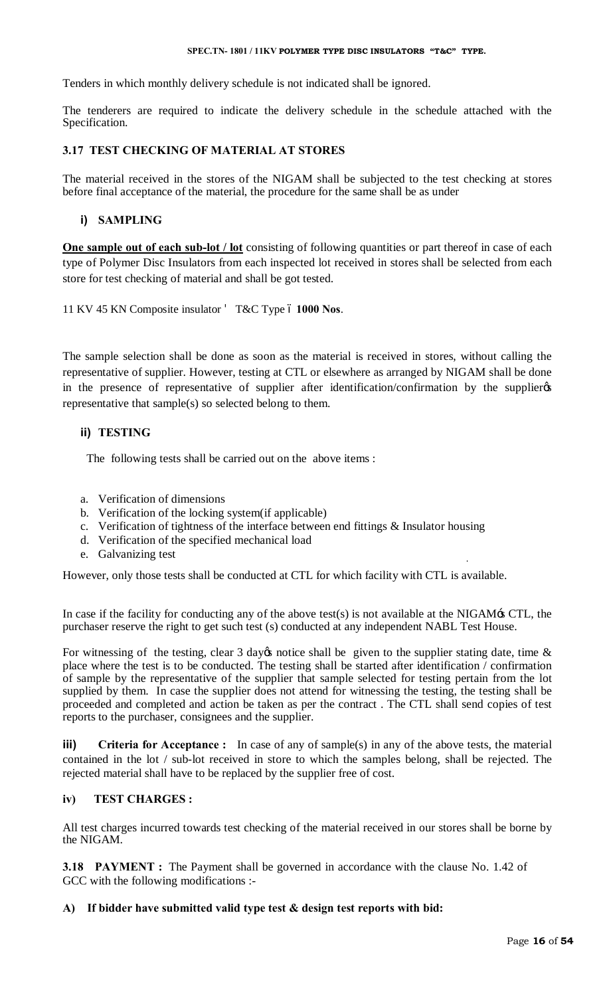#### **SPEC.TN- 1801 / 11KV POLYMER TYPE DISC INSULATORS "T&C" TYPE.**

Tenders in which monthly delivery schedule is not indicated shall be ignored.

The tenderers are required to indicate the delivery schedule in the schedule attached with the Specification.

# **3.17 TEST CHECKING OF MATERIAL AT STORES**

The material received in the stores of the NIGAM shall be subjected to the test checking at stores before final acceptance of the material, the procedure for the same shall be as under

# **i) SAMPLING**

**One sample out of each sub-lot / lot** consisting of following quantities or part thereof in case of each type of Polymer Disc Insulators from each inspected lot received in stores shall be selected from each store for test checking of material and shall be got tested.

11 KV 45 KN Composite insulator T&C Type 6 1000 Nos.

The sample selection shall be done as soon as the material is received in stores, without calling the representative of supplier. However, testing at CTL or elsewhere as arranged by NIGAM shall be done in the presence of representative of supplier after identification/confirmation by the supplier representative that sample(s) so selected belong to them.

# **ii) TESTING**

The following tests shall be carried out on the above items :

- a. Verification of dimensions
- b. Verification of the locking system(if applicable)
- c. Verification of tightness of the interface between end fittings & Insulator housing
- d. Verification of the specified mechanical load
- e. Galvanizing test

However, only those tests shall be conducted at CTL for which facility with CTL is available.

In case if the facility for conducting any of the above test(s) is not available at the NIGAM's CTL, the purchaser reserve the right to get such test (s) conducted at any independent NABL Test House.

For witnessing of the testing, clear 3 day $\alpha$  notice shall be given to the supplier stating date, time  $\alpha$ place where the test is to be conducted. The testing shall be started after identification / confirmation of sample by the representative of the supplier that sample selected for testing pertain from the lot supplied by them. In case the supplier does not attend for witnessing the testing, the testing shall be proceeded and completed and action be taken as per the contract . The CTL shall send copies of test reports to the purchaser, consignees and the supplier.

**iii) Criteria for Acceptance :** In case of any of sample(s) in any of the above tests, the material contained in the lot / sub-lot received in store to which the samples belong, shall be rejected. The rejected material shall have to be replaced by the supplier free of cost.

# **iv) TEST CHARGES :**

All test charges incurred towards test checking of the material received in our stores shall be borne by the NIGAM.

**3.18 PAYMENT :** The Payment shall be governed in accordance with the clause No. 1.42 of GCC with the following modifications :-

# **A) If bidder have submitted valid type test & design test reports with bid:**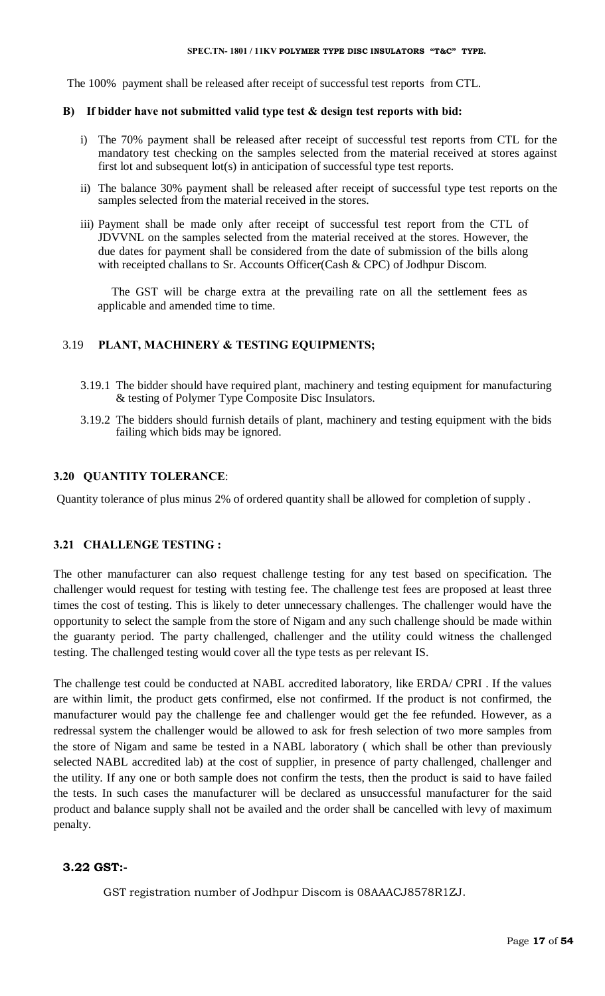The 100% payment shall be released after receipt of successful test reports from CTL.

#### **B) If bidder have not submitted valid type test & design test reports with bid:**

- i) The 70% payment shall be released after receipt of successful test reports from CTL for the mandatory test checking on the samples selected from the material received at stores against first lot and subsequent lot(s) in anticipation of successful type test reports.
- ii) The balance 30% payment shall be released after receipt of successful type test reports on the samples selected from the material received in the stores.
- iii) Payment shall be made only after receipt of successful test report from the CTL of JDVVNL on the samples selected from the material received at the stores. However, the due dates for payment shall be considered from the date of submission of the bills along with receipted challans to Sr. Accounts Officer(Cash & CPC) of Jodhpur Discom.

The GST will be charge extra at the prevailing rate on all the settlement fees as applicable and amended time to time.

#### 3.19 **PLANT, MACHINERY & TESTING EQUIPMENTS;**

- 3.19.1 The bidder should have required plant, machinery and testing equipment for manufacturing & testing of Polymer Type Composite Disc Insulators.
- 3.19.2 The bidders should furnish details of plant, machinery and testing equipment with the bids failing which bids may be ignored.

#### **3.20 QUANTITY TOLERANCE**:

Quantity tolerance of plus minus 2% of ordered quantity shall be allowed for completion of supply .

#### **3.21 CHALLENGE TESTING :**

The other manufacturer can also request challenge testing for any test based on specification. The challenger would request for testing with testing fee. The challenge test fees are proposed at least three times the cost of testing. This is likely to deter unnecessary challenges. The challenger would have the opportunity to select the sample from the store of Nigam and any such challenge should be made within the guaranty period. The party challenged, challenger and the utility could witness the challenged testing. The challenged testing would cover all the type tests as per relevant IS.

The challenge test could be conducted at NABL accredited laboratory, like ERDA/ CPRI . If the values are within limit, the product gets confirmed, else not confirmed. If the product is not confirmed, the manufacturer would pay the challenge fee and challenger would get the fee refunded. However, as a redressal system the challenger would be allowed to ask for fresh selection of two more samples from the store of Nigam and same be tested in a NABL laboratory ( which shall be other than previously selected NABL accredited lab) at the cost of supplier, in presence of party challenged, challenger and the utility. If any one or both sample does not confirm the tests, then the product is said to have failed the tests. In such cases the manufacturer will be declared as unsuccessful manufacturer for the said product and balance supply shall not be availed and the order shall be cancelled with levy of maximum penalty.

#### **3.22 GST:-**

GST registration number of Jodhpur Discom is 08AAACJ8578R1ZJ.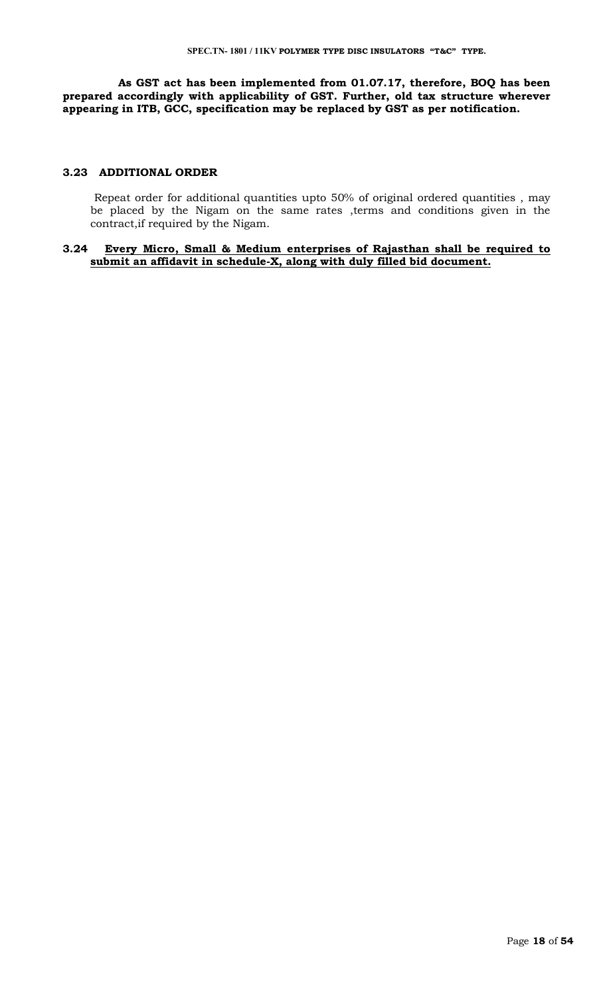**As GST act has been implemented from 01.07.17, therefore, BOQ has been prepared accordingly with applicability of GST. Further, old tax structure wherever appearing in ITB, GCC, specification may be replaced by GST as per notification.**

#### **3.23 ADDITIONAL ORDER**

 Repeat order for additional quantities upto 50% of original ordered quantities , may be placed by the Nigam on the same rates ,terms and conditions given in the contract,if required by the Nigam.

#### **3.24 Every Micro, Small & Medium enterprises of Rajasthan shall be required to submit an affidavit in schedule-X, along with duly filled bid document.**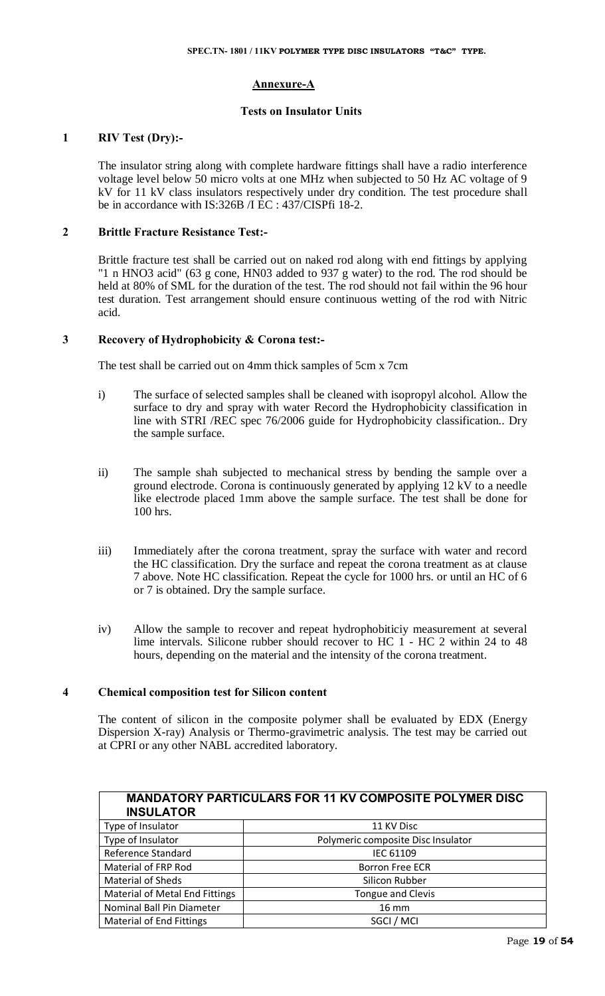#### **Annexure-A**

#### **Tests on Insulator Units**

# **1 RIV Test (Dry):-**

The insulator string along with complete hardware fittings shall have a radio interference voltage level below 50 micro volts at one MHz when subjected to 50 Hz AC voltage of 9 kV for 11 kV class insulators respectively under dry condition. The test procedure shall be in accordance with IS:326B /I EC : 437/CISPfi 18-2.

#### **2 Brittle Fracture Resistance Test:-**

Brittle fracture test shall be carried out on naked rod along with end fittings by applying "1 n HNO3 acid" (63 g cone, HN03 added to 937 g water) to the rod. The rod should be held at 80% of SML for the duration of the test. The rod should not fail within the 96 hour test duration. Test arrangement should ensure continuous wetting of the rod with Nitric acid.

#### **3 Recovery of Hydrophobicity & Corona test:-**

The test shall be carried out on 4mm thick samples of 5cm x 7cm

- i) The surface of selected samples shall be cleaned with isopropyl alcohol. Allow the surface to dry and spray with water Record the Hydrophobicity classification in line with STRI /REC spec 76/2006 guide for Hydrophobicity classification.. Dry the sample surface.
- ii) The sample shah subjected to mechanical stress by bending the sample over a ground electrode. Corona is continuously generated by applying 12 kV to a needle like electrode placed 1mm above the sample surface. The test shall be done for 100 hrs.
- iii) Immediately after the corona treatment, spray the surface with water and record the HC classification. Dry the surface and repeat the corona treatment as at clause 7 above. Note HC classification. Repeat the cycle for 1000 hrs. or until an HC of 6 or 7 is obtained. Dry the sample surface.
- iv) Allow the sample to recover and repeat hydrophobiticiy measurement at several lime intervals. Silicone rubber should recover to HC 1 - HC 2 within 24 to 48 hours, depending on the material and the intensity of the corona treatment.

#### **4 Chemical composition test for Silicon content**

The content of silicon in the composite polymer shall be evaluated by EDX (Energy Dispersion X-ray) Analysis or Thermo-gravimetric analysis. The test may be carried out at CPRI or any other NABL accredited laboratory.

| <b>MANDATORY PARTICULARS FOR 11 KV COMPOSITE POLYMER DISC</b><br><b>INSULATOR</b> |                                    |  |  |  |
|-----------------------------------------------------------------------------------|------------------------------------|--|--|--|
| Type of Insulator                                                                 | 11 KV Disc                         |  |  |  |
| Type of Insulator                                                                 | Polymeric composite Disc Insulator |  |  |  |
| <b>Reference Standard</b>                                                         | IEC 61109                          |  |  |  |
| <b>Material of FRP Rod</b>                                                        | <b>Borron Free ECR</b>             |  |  |  |
| <b>Material of Sheds</b>                                                          | Silicon Rubber                     |  |  |  |
| <b>Material of Metal End Fittings</b>                                             | <b>Tongue and Clevis</b>           |  |  |  |
| Nominal Ball Pin Diameter                                                         | $16 \, \text{mm}$                  |  |  |  |
| <b>Material of End Fittings</b>                                                   | SGCI / MCI                         |  |  |  |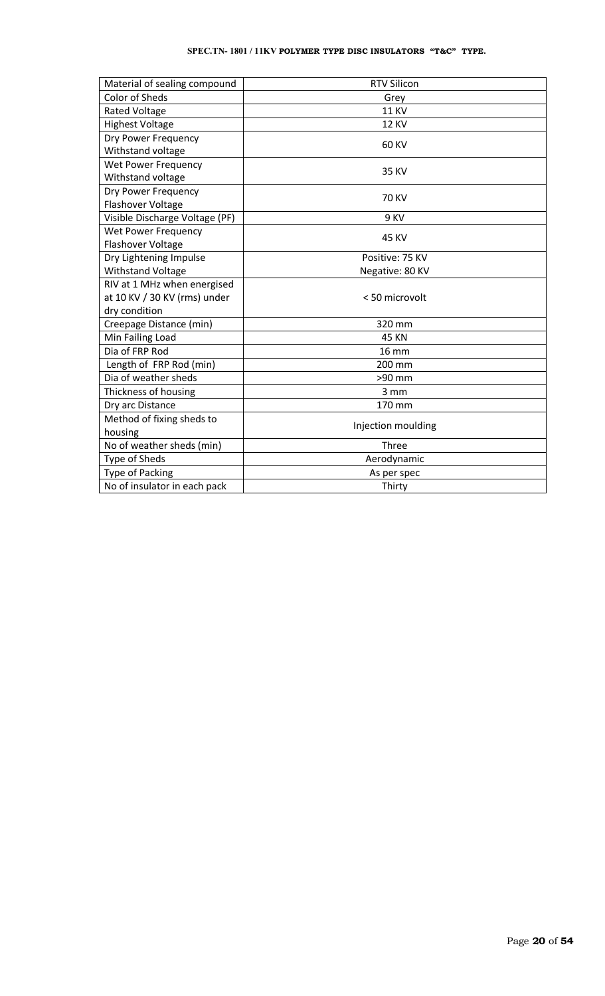#### **SPEC.TN- 1801 / 11KV POLYMER TYPE DISC INSULATORS "T&C" TYPE.**

| Material of sealing compound   | <b>RTV Silicon</b> |  |
|--------------------------------|--------------------|--|
| <b>Color of Sheds</b>          | Grey               |  |
| <b>Rated Voltage</b>           | <b>11 KV</b>       |  |
| <b>Highest Voltage</b>         | <b>12 KV</b>       |  |
| Dry Power Frequency            |                    |  |
| Withstand voltage              | 60 KV              |  |
| <b>Wet Power Frequency</b>     |                    |  |
| Withstand voltage              | 35 KV              |  |
| Dry Power Frequency            | <b>70 KV</b>       |  |
| Flashover Voltage              |                    |  |
| Visible Discharge Voltage (PF) | 9 KV               |  |
| <b>Wet Power Frequency</b>     | 45 KV              |  |
| Flashover Voltage              |                    |  |
| Dry Lightening Impulse         | Positive: 75 KV    |  |
| <b>Withstand Voltage</b>       | Negative: 80 KV    |  |
| RIV at 1 MHz when energised    |                    |  |
| at 10 KV / 30 KV (rms) under   | < 50 microvolt     |  |
| dry condition                  |                    |  |
| Creepage Distance (min)        | 320 mm             |  |
| Min Failing Load               | 45 KN              |  |
| Dia of FRP Rod                 | $16 \text{ mm}$    |  |
| Length of FRP Rod (min)        | 200 mm             |  |
| Dia of weather sheds           | >90 mm             |  |
| Thickness of housing           | 3 mm               |  |
| Dry arc Distance               | 170 mm             |  |
| Method of fixing sheds to      |                    |  |
| housing                        | Injection moulding |  |
| No of weather sheds (min)      | Three              |  |
| Type of Sheds                  | Aerodynamic        |  |
| <b>Type of Packing</b>         | As per spec        |  |
| No of insulator in each pack   | Thirty             |  |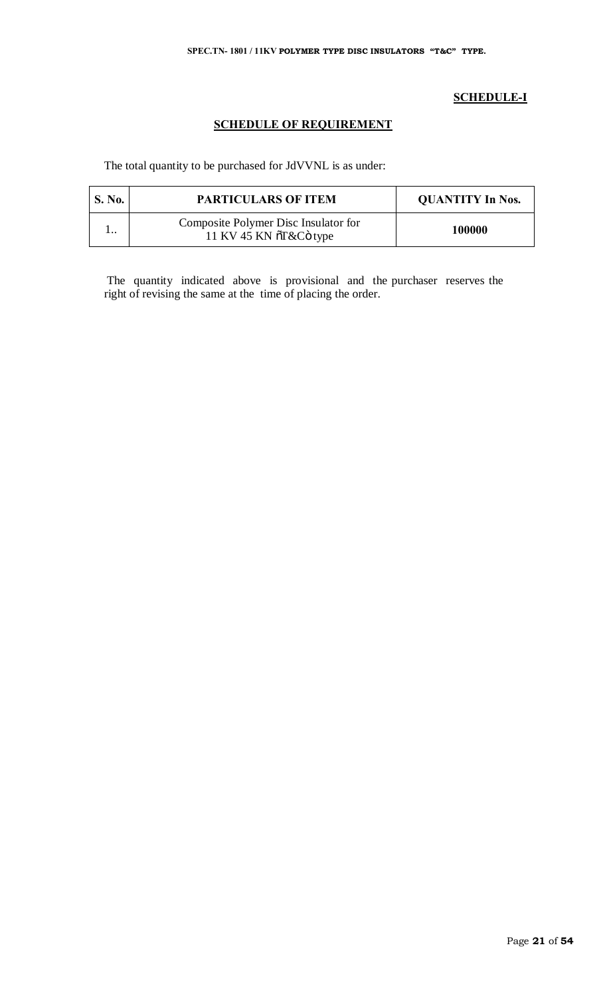# **SCHEDULE-I**

# **SCHEDULE OF REQUIREMENT**

The total quantity to be purchased for JdVVNL is as under:

| <b>S. No.</b> | <b>PARTICULARS OF ITEM</b>                                     | <b>QUANTITY In Nos.</b> |
|---------------|----------------------------------------------------------------|-------------------------|
|               | Composite Polymer Disc Insulator for<br>11 KV 45 KN õT&Cö type | 100000                  |

The quantity indicated above is provisional and the purchaser reserves the right of revising the same at the time of placing the order.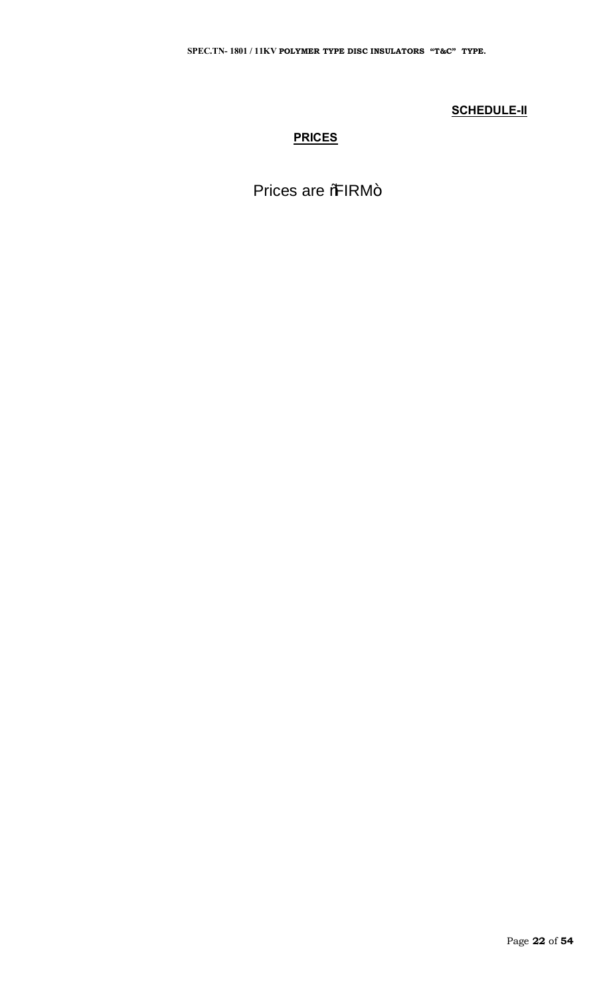# **SCHEDULE-II**

# **PRICES**

Prices are %RM+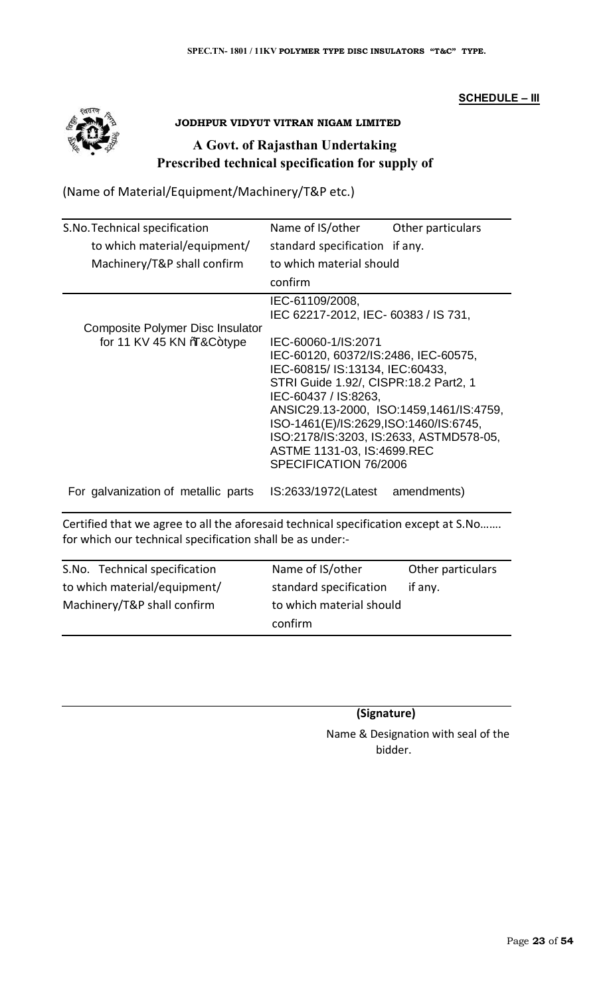# **SCHEDULE – III**



# **JODHPUR VIDYUT VITRAN NIGAM LIMITED**

# **A Govt. of Rajasthan Undertaking Prescribed technical specification for supply of**

(Name of Material/Equipment/Machinery/T&P etc.)

| S.No. Technical specification                                 | Name of IS/other                                                                                                                                                                                                                                                                                                                                      | Other particulars |
|---------------------------------------------------------------|-------------------------------------------------------------------------------------------------------------------------------------------------------------------------------------------------------------------------------------------------------------------------------------------------------------------------------------------------------|-------------------|
| to which material/equipment/                                  | standard specification if any.                                                                                                                                                                                                                                                                                                                        |                   |
| Machinery/T&P shall confirm                                   | to which material should                                                                                                                                                                                                                                                                                                                              |                   |
|                                                               | confirm                                                                                                                                                                                                                                                                                                                                               |                   |
|                                                               | IEC-61109/2008,<br>IEC 62217-2012, IEC- 60383 / IS 731,                                                                                                                                                                                                                                                                                               |                   |
| Composite Polymer Disc Insulator<br>for 11 KV 45 KN \‰&C+type | IEC-60060-1/IS:2071<br>IEC-60120, 60372/IS:2486, IEC-60575,<br>IEC-60815/ IS:13134, IEC:60433,<br>STRI Guide 1.92/, CISPR:18.2 Part2, 1<br>IEC-60437 / IS:8263,<br>ANSIC29.13-2000, ISO:1459,1461/IS:4759,<br>ISO-1461(E)/IS:2629,ISO:1460/IS:6745,<br>ISO:2178/IS:3203, IS:2633, ASTMD578-05,<br>ASTME 1131-03, IS:4699.REC<br>SPECIFICATION 76/2006 |                   |
| For galvanization of metallic parts                           | IS:2633/1972(Latest                                                                                                                                                                                                                                                                                                                                   | amendments)       |

Certified that we agree to all the aforesaid technical specification except at S.No……. for which our technical specification shall be as under:-

| S.No. Technical specification | Name of IS/other         | Other particulars |
|-------------------------------|--------------------------|-------------------|
| to which material/equipment/  | standard specification   | if any.           |
| Machinery/T&P shall confirm   | to which material should |                   |
|                               | confirm                  |                   |

 **(Signature)**

 Name & Designation with seal of the bidder.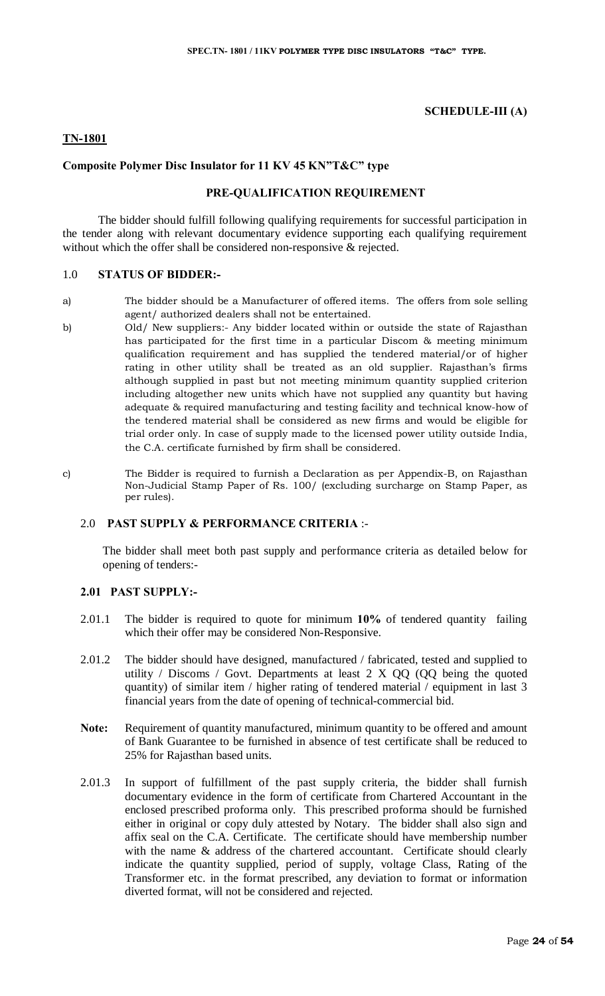#### **SCHEDULE-III (A)**

#### **TN-1801**

#### **Composite Polymer Disc Insulator for 11 KV 45 KN"T&C" type**

#### **PRE-QUALIFICATION REQUIREMENT**

The bidder should fulfill following qualifying requirements for successful participation in the tender along with relevant documentary evidence supporting each qualifying requirement without which the offer shall be considered non-responsive & rejected.

#### 1.0 **STATUS OF BIDDER:-**

- a) The bidder should be a Manufacturer of offered items. The offers from sole selling agent/ authorized dealers shall not be entertained.
- b) Old/ New suppliers:- Any bidder located within or outside the state of Rajasthan has participated for the first time in a particular Discom & meeting minimum qualification requirement and has supplied the tendered material/or of higher rating in other utility shall be treated as an old supplier. Rajasthan's firms although supplied in past but not meeting minimum quantity supplied criterion including altogether new units which have not supplied any quantity but having adequate & required manufacturing and testing facility and technical know-how of the tendered material shall be considered as new firms and would be eligible for trial order only. In case of supply made to the licensed power utility outside India, the C.A. certificate furnished by firm shall be considered.
- 

c) The Bidder is required to furnish a Declaration as per Appendix-B, on Rajasthan Non-Judicial Stamp Paper of Rs. 100/ (excluding surcharge on Stamp Paper, as per rules).

## 2.0 **PAST SUPPLY & PERFORMANCE CRITERIA** :-

The bidder shall meet both past supply and performance criteria as detailed below for opening of tenders:-

#### **2.01 PAST SUPPLY:-**

- 2.01.1 The bidder is required to quote for minimum **10%** of tendered quantity failing which their offer may be considered Non-Responsive.
- 2.01.2 The bidder should have designed, manufactured / fabricated, tested and supplied to utility / Discoms / Govt. Departments at least  $2 \times QQ$  (QQ being the quoted quantity) of similar item / higher rating of tendered material / equipment in last 3 financial years from the date of opening of technical-commercial bid.
- **Note:** Requirement of quantity manufactured, minimum quantity to be offered and amount of Bank Guarantee to be furnished in absence of test certificate shall be reduced to 25% for Rajasthan based units.
- 2.01.3 In support of fulfillment of the past supply criteria, the bidder shall furnish documentary evidence in the form of certificate from Chartered Accountant in the enclosed prescribed proforma only. This prescribed proforma should be furnished either in original or copy duly attested by Notary. The bidder shall also sign and affix seal on the C.A. Certificate. The certificate should have membership number with the name & address of the chartered accountant. Certificate should clearly indicate the quantity supplied, period of supply, voltage Class, Rating of the Transformer etc. in the format prescribed, any deviation to format or information diverted format, will not be considered and rejected.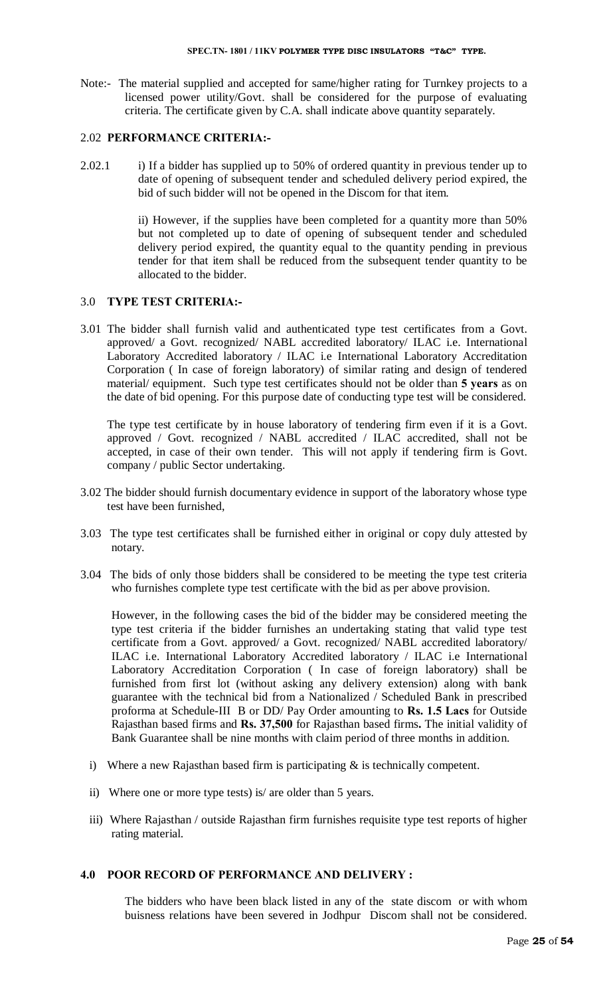Note:- The material supplied and accepted for same/higher rating for Turnkey projects to a licensed power utility/Govt. shall be considered for the purpose of evaluating criteria. The certificate given by C.A. shall indicate above quantity separately.

# 2.02 **PERFORMANCE CRITERIA:-**

2.02.1 i) If a bidder has supplied up to 50% of ordered quantity in previous tender up to date of opening of subsequent tender and scheduled delivery period expired, the bid of such bidder will not be opened in the Discom for that item.

> ii) However, if the supplies have been completed for a quantity more than 50% but not completed up to date of opening of subsequent tender and scheduled delivery period expired, the quantity equal to the quantity pending in previous tender for that item shall be reduced from the subsequent tender quantity to be allocated to the bidder.

#### 3.0 **TYPE TEST CRITERIA:-**

3.01 The bidder shall furnish valid and authenticated type test certificates from a Govt. approved/ a Govt. recognized/ NABL accredited laboratory/ ILAC i.e. International Laboratory Accredited laboratory / ILAC i.e International Laboratory Accreditation Corporation ( In case of foreign laboratory) of similar rating and design of tendered material/ equipment. Such type test certificates should not be older than **5 years** as on the date of bid opening. For this purpose date of conducting type test will be considered.

The type test certificate by in house laboratory of tendering firm even if it is a Govt. approved / Govt. recognized / NABL accredited / ILAC accredited, shall not be accepted, in case of their own tender. This will not apply if tendering firm is Govt. company / public Sector undertaking.

- 3.02 The bidder should furnish documentary evidence in support of the laboratory whose type test have been furnished,
- 3.03 The type test certificates shall be furnished either in original or copy duly attested by notary.
- 3.04 The bids of only those bidders shall be considered to be meeting the type test criteria who furnishes complete type test certificate with the bid as per above provision.

However, in the following cases the bid of the bidder may be considered meeting the type test criteria if the bidder furnishes an undertaking stating that valid type test certificate from a Govt. approved/ a Govt. recognized/ NABL accredited laboratory/ ILAC i.e. International Laboratory Accredited laboratory / ILAC i.e International Laboratory Accreditation Corporation ( In case of foreign laboratory) shall be furnished from first lot (without asking any delivery extension) along with bank guarantee with the technical bid from a Nationalized / Scheduled Bank in prescribed proforma at Schedule-III B or DD/ Pay Order amounting to **Rs. 1.5 Lacs** for Outside Rajasthan based firms and **Rs. 37,500** for Rajasthan based firms**.** The initial validity of Bank Guarantee shall be nine months with claim period of three months in addition.

- i) Where a new Rajasthan based firm is participating & is technically competent.
- ii) Where one or more type tests) is/ are older than 5 years.
- iii) Where Rajasthan / outside Rajasthan firm furnishes requisite type test reports of higher rating material.

# **4.0 POOR RECORD OF PERFORMANCE AND DELIVERY :**

The bidders who have been black listed in any of the state discom or with whom buisness relations have been severed in Jodhpur Discom shall not be considered.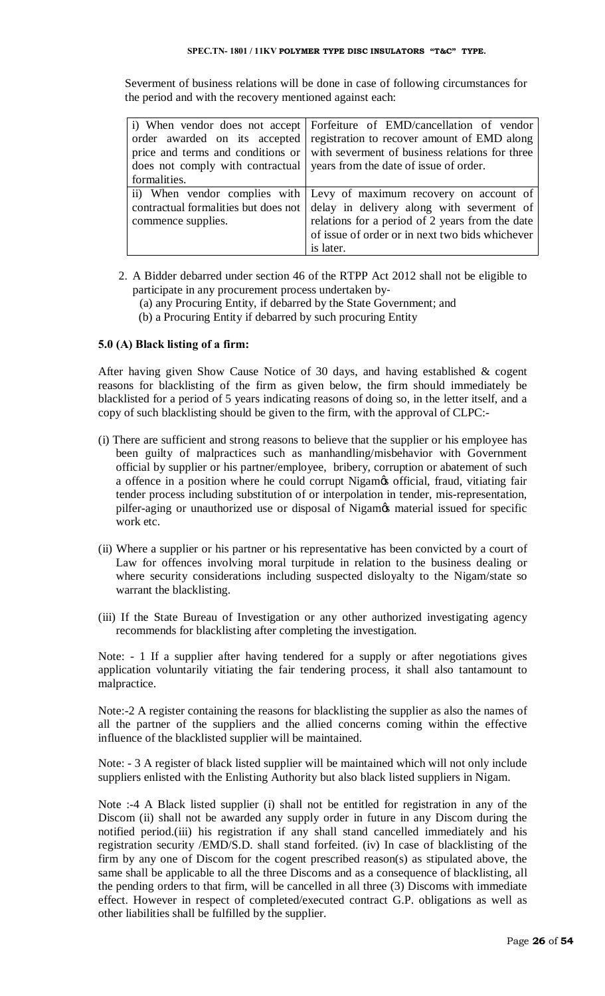#### **SPEC.TN- 1801 / 11KV POLYMER TYPE DISC INSULATORS "T&C" TYPE.**

Severment of business relations will be done in case of following circumstances for the period and with the recovery mentioned against each:

|                    | i) When vendor does not accept Forfeiture of EMD/cancellation of vendor                  |  |
|--------------------|------------------------------------------------------------------------------------------|--|
|                    | order awarded on its accepted registration to recover amount of EMD along                |  |
|                    | price and terms and conditions or $\vert$ with severment of business relations for three |  |
|                    | does not comply with contractual vears from the date of issue of order.                  |  |
| formalities.       |                                                                                          |  |
|                    | ii) When vendor complies with Levy of maximum recovery on account of                     |  |
|                    | contractual formalities but does not delay in delivery along with severment of           |  |
| commence supplies. | relations for a period of 2 years from the date                                          |  |
|                    | of issue of order or in next two bids whichever                                          |  |
|                    | is later.                                                                                |  |

- 2. A Bidder debarred under section 46 of the RTPP Act 2012 shall not be eligible to participate in any procurement process undertaken by‐
	- (a) any Procuring Entity, if debarred by the State Government; and
	- (b) a Procuring Entity if debarred by such procuring Entity

# **5.0 (A) Black listing of a firm:**

After having given Show Cause Notice of 30 days, and having established & cogent reasons for blacklisting of the firm as given below, the firm should immediately be blacklisted for a period of 5 years indicating reasons of doing so, in the letter itself, and a copy of such blacklisting should be given to the firm, with the approval of CLPC:-

- (i) There are sufficient and strong reasons to believe that the supplier or his employee has been guilty of malpractices such as manhandling/misbehavior with Government official by supplier or his partner/employee, bribery, corruption or abatement of such a offence in a position where he could corrupt Nigamos official, fraud, vitiating fair tender process including substitution of or interpolation in tender, mis-representation, pilfer-aging or unauthorized use or disposal of Nigamos material issued for specific work etc.
- (ii) Where a supplier or his partner or his representative has been convicted by a court of Law for offences involving moral turpitude in relation to the business dealing or where security considerations including suspected disloyalty to the Nigam/state so warrant the blacklisting.
- (iii) If the State Bureau of Investigation or any other authorized investigating agency recommends for blacklisting after completing the investigation.

Note: - 1 If a supplier after having tendered for a supply or after negotiations gives application voluntarily vitiating the fair tendering process, it shall also tantamount to malpractice.

Note:-2 A register containing the reasons for blacklisting the supplier as also the names of all the partner of the suppliers and the allied concerns coming within the effective influence of the blacklisted supplier will be maintained.

Note: - 3 A register of black listed supplier will be maintained which will not only include suppliers enlisted with the Enlisting Authority but also black listed suppliers in Nigam.

Note :-4 A Black listed supplier (i) shall not be entitled for registration in any of the Discom (ii) shall not be awarded any supply order in future in any Discom during the notified period.(iii) his registration if any shall stand cancelled immediately and his registration security /EMD/S.D. shall stand forfeited. (iv) In case of blacklisting of the firm by any one of Discom for the cogent prescribed reason(s) as stipulated above, the same shall be applicable to all the three Discoms and as a consequence of blacklisting, all the pending orders to that firm, will be cancelled in all three (3) Discoms with immediate effect. However in respect of completed/executed contract G.P. obligations as well as other liabilities shall be fulfilled by the supplier.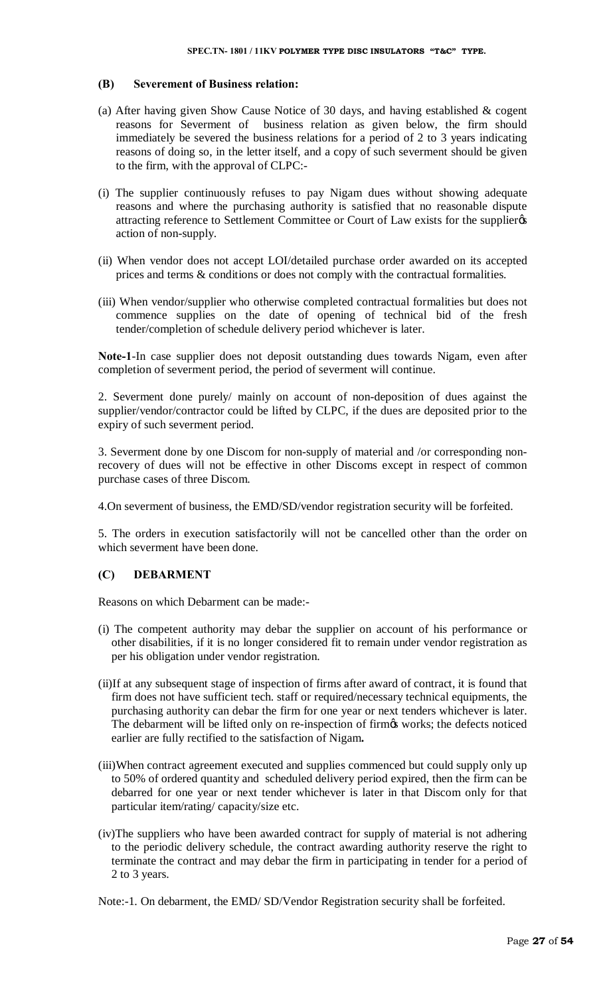#### **(B) Severement of Business relation:**

- (a) After having given Show Cause Notice of 30 days, and having established & cogent reasons for Severment of business relation as given below, the firm should immediately be severed the business relations for a period of 2 to 3 years indicating reasons of doing so, in the letter itself, and a copy of such severment should be given to the firm, with the approval of CLPC:-
- (i) The supplier continuously refuses to pay Nigam dues without showing adequate reasons and where the purchasing authority is satisfied that no reasonable dispute attracting reference to Settlement Committee or Court of Law exists for the supplier  $\alpha$ action of non-supply.
- (ii) When vendor does not accept LOI/detailed purchase order awarded on its accepted prices and terms & conditions or does not comply with the contractual formalities.
- (iii) When vendor/supplier who otherwise completed contractual formalities but does not commence supplies on the date of opening of technical bid of the fresh tender/completion of schedule delivery period whichever is later.

**Note-1**-In case supplier does not deposit outstanding dues towards Nigam, even after completion of severment period, the period of severment will continue.

2. Severment done purely/ mainly on account of non-deposition of dues against the supplier/vendor/contractor could be lifted by CLPC, if the dues are deposited prior to the expiry of such severment period.

3. Severment done by one Discom for non-supply of material and /or corresponding nonrecovery of dues will not be effective in other Discoms except in respect of common purchase cases of three Discom.

4.On severment of business, the EMD/SD/vendor registration security will be forfeited.

5. The orders in execution satisfactorily will not be cancelled other than the order on which severment have been done.

# **(C) DEBARMENT**

Reasons on which Debarment can be made:-

- (i) The competent authority may debar the supplier on account of his performance or other disabilities, if it is no longer considered fit to remain under vendor registration as per his obligation under vendor registration.
- (ii)If at any subsequent stage of inspection of firms after award of contract, it is found that firm does not have sufficient tech. staff or required/necessary technical equipments, the purchasing authority can debar the firm for one year or next tenders whichever is later. The debarment will be lifted only on re-inspection of firmgs works; the defects noticed earlier are fully rectified to the satisfaction of Nigam**.**
- (iii)When contract agreement executed and supplies commenced but could supply only up to 50% of ordered quantity and scheduled delivery period expired, then the firm can be debarred for one year or next tender whichever is later in that Discom only for that particular item/rating/ capacity/size etc.
- (iv)The suppliers who have been awarded contract for supply of material is not adhering to the periodic delivery schedule, the contract awarding authority reserve the right to terminate the contract and may debar the firm in participating in tender for a period of 2 to 3 years.

Note:-1. On debarment, the EMD/ SD/Vendor Registration security shall be forfeited.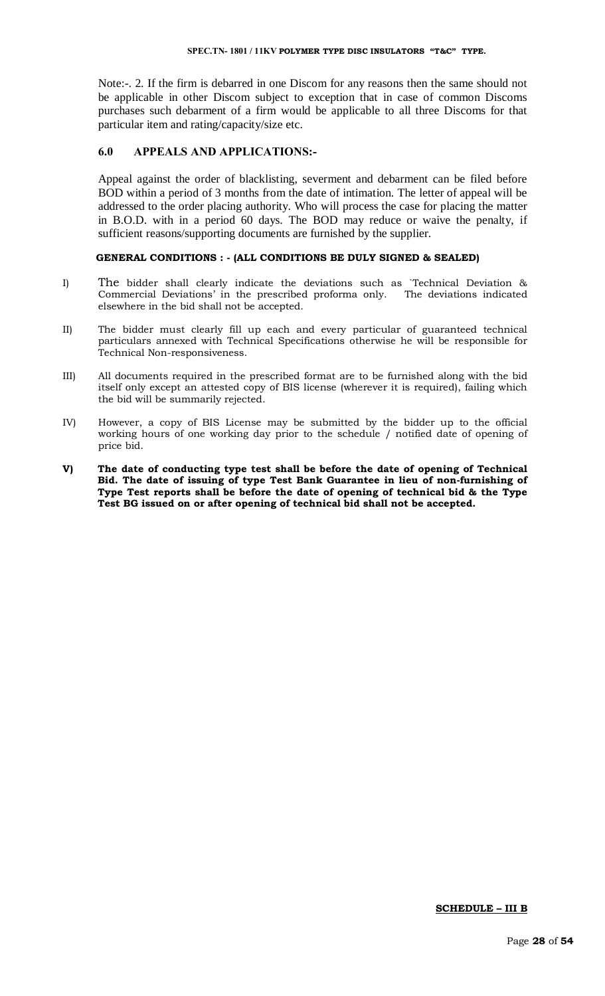Note:-. 2. If the firm is debarred in one Discom for any reasons then the same should not be applicable in other Discom subject to exception that in case of common Discoms purchases such debarment of a firm would be applicable to all three Discoms for that particular item and rating/capacity/size etc.

#### **6.0 APPEALS AND APPLICATIONS:-**

Appeal against the order of blacklisting, severment and debarment can be filed before BOD within a period of 3 months from the date of intimation. The letter of appeal will be addressed to the order placing authority. Who will process the case for placing the matter in B.O.D. with in a period 60 days. The BOD may reduce or waive the penalty, if sufficient reasons/supporting documents are furnished by the supplier.

#### **GENERAL CONDITIONS : - (ALL CONDITIONS BE DULY SIGNED & SEALED)**

- I) The bidder shall clearly indicate the deviations such as `Technical Deviation & Commercial Deviations' in the prescribed proforma only. The deviations indicated elsewhere in the bid shall not be accepted.
- II) The bidder must clearly fill up each and every particular of guaranteed technical particulars annexed with Technical Specifications otherwise he will be responsible for Technical Non-responsiveness.
- III) All documents required in the prescribed format are to be furnished along with the bid itself only except an attested copy of BIS license (wherever it is required), failing which the bid will be summarily rejected.
- IV) However, a copy of BIS License may be submitted by the bidder up to the official working hours of one working day prior to the schedule / notified date of opening of price bid.
- **V) The date of conducting type test shall be before the date of opening of Technical Bid. The date of issuing of type Test Bank Guarantee in lieu of non-furnishing of Type Test reports shall be before the date of opening of technical bid & the Type Test BG issued on or after opening of technical bid shall not be accepted.**

#### **SCHEDULE – III B**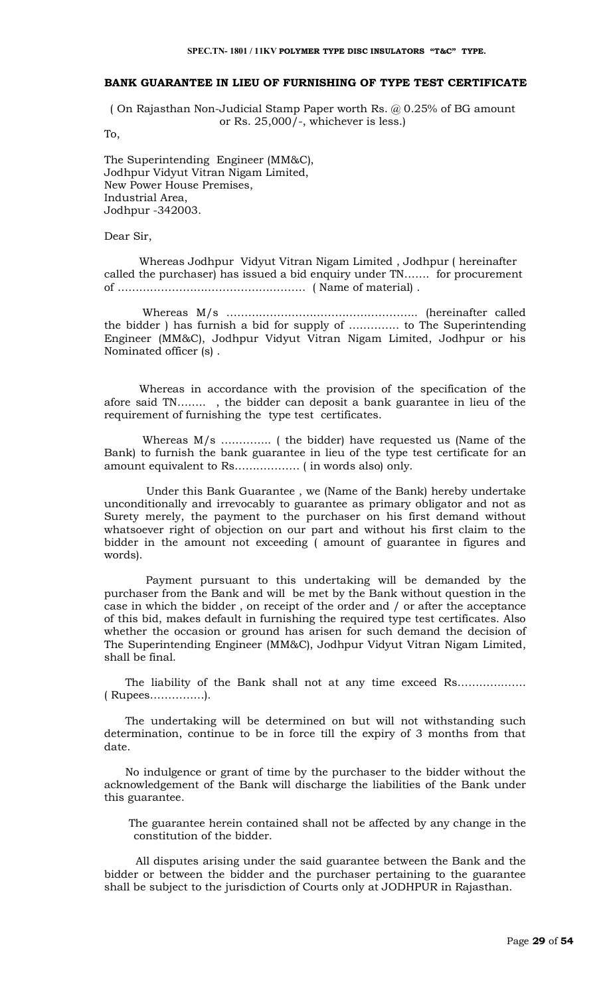#### **BANK GUARANTEE IN LIEU OF FURNISHING OF TYPE TEST CERTIFICATE**

( On Rajasthan Non-Judicial Stamp Paper worth Rs. @ 0.25% of BG amount or Rs.  $25,000/$ -, whichever is less.)

To,

The Superintending Engineer (MM&C), Jodhpur Vidyut Vitran Nigam Limited, New Power House Premises, Industrial Area, Jodhpur -342003.

Dear Sir,

 Whereas Jodhpur Vidyut Vitran Nigam Limited , Jodhpur ( hereinafter called the purchaser) has issued a bid enquiry under TN……. for procurement of ……………………………………………. ( Name of material) .

 Whereas M/s …………………………………………….. (hereinafter called the bidder ) has furnish a bid for supply of ………….. to The Superintending Engineer (MM&C), Jodhpur Vidyut Vitran Nigam Limited, Jodhpur or his Nominated officer (s) .

 Whereas in accordance with the provision of the specification of the afore said TN…….. , the bidder can deposit a bank guarantee in lieu of the requirement of furnishing the type test certificates.

 Whereas M/s ………….. ( the bidder) have requested us (Name of the Bank) to furnish the bank guarantee in lieu of the type test certificate for an amount equivalent to Rs……………… ( in words also) only.

 Under this Bank Guarantee , we (Name of the Bank) hereby undertake unconditionally and irrevocably to guarantee as primary obligator and not as Surety merely, the payment to the purchaser on his first demand without whatsoever right of objection on our part and without his first claim to the bidder in the amount not exceeding ( amount of guarantee in figures and words).

 Payment pursuant to this undertaking will be demanded by the purchaser from the Bank and will be met by the Bank without question in the case in which the bidder , on receipt of the order and / or after the acceptance of this bid, makes default in furnishing the required type test certificates. Also whether the occasion or ground has arisen for such demand the decision of The Superintending Engineer (MM&C), Jodhpur Vidyut Vitran Nigam Limited, shall be final.

The liability of the Bank shall not at any time exceed Rs……………… ( Rupees……………).

 The undertaking will be determined on but will not withstanding such determination, continue to be in force till the expiry of 3 months from that date.

 No indulgence or grant of time by the purchaser to the bidder without the acknowledgement of the Bank will discharge the liabilities of the Bank under this guarantee.

 The guarantee herein contained shall not be affected by any change in the constitution of the bidder.

 All disputes arising under the said guarantee between the Bank and the bidder or between the bidder and the purchaser pertaining to the guarantee shall be subject to the jurisdiction of Courts only at JODHPUR in Rajasthan.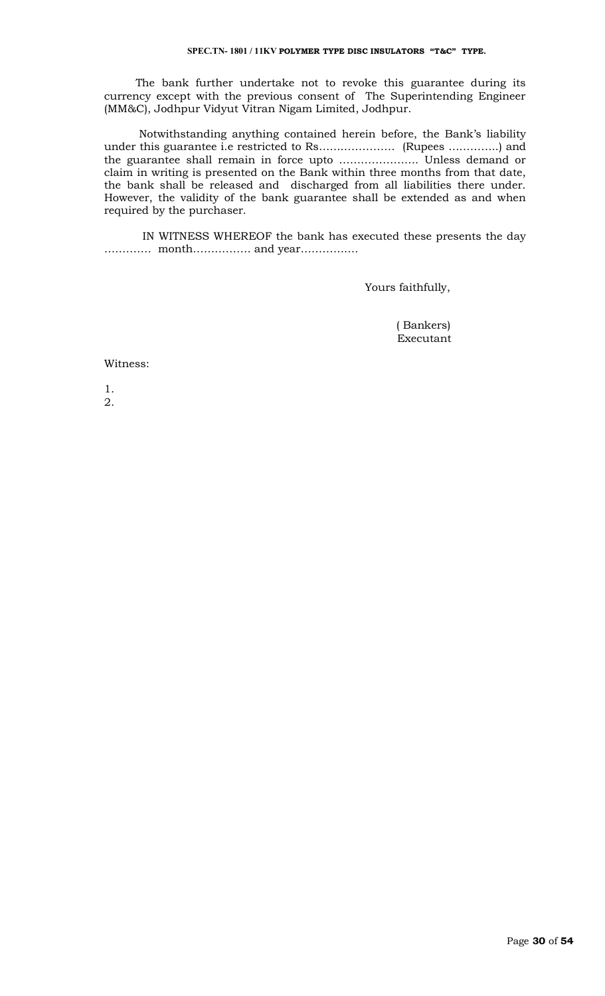The bank further undertake not to revoke this guarantee during its currency except with the previous consent of The Superintending Engineer (MM&C), Jodhpur Vidyut Vitran Nigam Limited, Jodhpur.

 Notwithstanding anything contained herein before, the Bank's liability under this guarantee i.e restricted to Rs………………… (Rupees …………..) and the guarantee shall remain in force upto …………………. Unless demand or claim in writing is presented on the Bank within three months from that date, the bank shall be released and discharged from all liabilities there under. However, the validity of the bank guarantee shall be extended as and when required by the purchaser.

 IN WITNESS WHEREOF the bank has executed these presents the day …………. month……………. and year…………….

Yours faithfully,

 ( Bankers) Executant

#### Witness:

1. 2.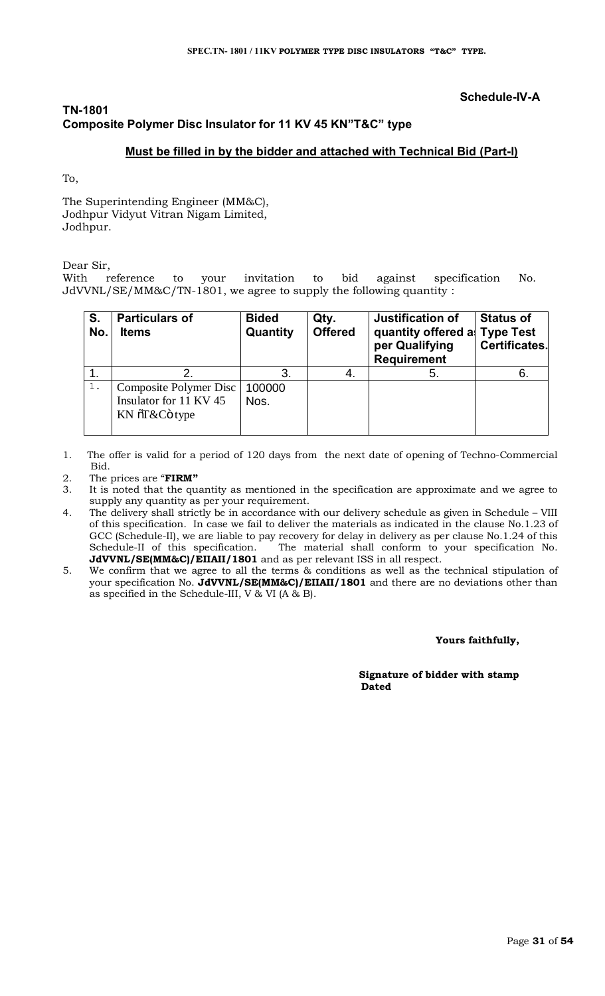# **Schedule-IV-A**

# **TN-1801 Composite Polymer Disc Insulator for 11 KV 45 KN"T&C" type**

# **Must be filled in by the bidder and attached with Technical Bid (Part-I)**

To,

The Superintending Engineer (MM&C), Jodhpur Vidyut Vitran Nigam Limited, Jodhpur.

Dear Sir,

With reference to your invitation to bid against specification No. JdVVNL/SE/MM&C/TN-1801, we agree to supply the following quantity :

| S.<br>No. | <b>Particulars of</b><br><b>Items</b>                             | <b>Bided</b><br>Quantity | Qty.<br><b>Offered</b> | <b>Justification of</b><br>quantity offered a<br>per Qualifying<br><b>Requirement</b> | <b>Status of</b><br><b>Type Test</b><br><b>Certificates.</b> |
|-----------|-------------------------------------------------------------------|--------------------------|------------------------|---------------------------------------------------------------------------------------|--------------------------------------------------------------|
|           |                                                                   | 3.                       |                        | 5.                                                                                    | 6.                                                           |
| 1.        | Composite Polymer Disc<br>Insulator for 11 KV 45<br>KN õT&Cö type | 100000<br>Nos.           |                        |                                                                                       |                                                              |

- 1. The offer is valid for a period of 120 days from the next date of opening of Techno-Commercial Bid.
- 2. The prices are "**FIRM"**
- It is noted that the quantity as mentioned in the specification are approximate and we agree to supply any quantity as per your requirement.
- 4. The delivery shall strictly be in accordance with our delivery schedule as given in Schedule VIII of this specification. In case we fail to deliver the materials as indicated in the clause No.1.23 of GCC (Schedule-II), we are liable to pay recovery for delay in delivery as per clause No.1.24 of this Schedule-II of this specification. The material shall conform to your specification No. **JdVVNL/SE(MM&C)/EIIAII/1801** and as per relevant ISS in all respect.
- 5. We confirm that we agree to all the terms & conditions as well as the technical stipulation of your specification No. **JdVVNL/SE(MM&C)/EIIAII/1801** and there are no deviations other than as specified in the Schedule-III, V & VI (A & B).

 **Yours faithfully,** 

 **Signature of bidder with stamp**  *Dated* **Dated**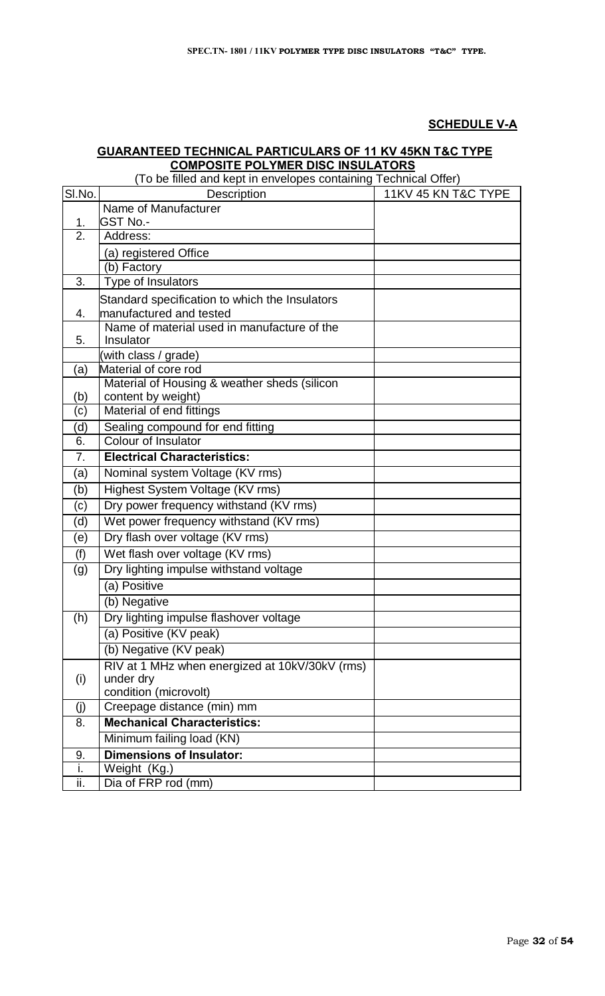# **SCHEDULE V-A**

#### **GUARANTEED TECHNICAL PARTICULARS OF 11 KV 45KN T&C TYPE COMPOSITE POLYMER DISC INSULATORS**

(To be filled and kept in envelopes containing Technical Offer) SI.No. Description 11KV 45 KN T&C TYPE 1. Name of Manufacturer GST No.- 2. Address: (a) registered Office (b) Factory 3. Type of Insulators 4. Standard specification to which the Insulators manufactured and tested 5. Name of material used in manufacture of the Insulator (with class / grade) (a) Material of core rod (b) Material of Housing & weather sheds (silicon content by weight) (c) Material of end fittings (d) Sealing compound for end fitting 6. Colour of Insulator 7. **Electrical Characteristics:** (a) Nominal system Voltage (KV rms) (b) Highest System Voltage (KV rms) (c) Dry power frequency withstand (KV rms) (d) Wet power frequency withstand (KV rms) (e) Dry flash over voltage (KV rms) (f) Wet flash over voltage (KV rms) (g) Dry lighting impulse withstand voltage (a) Positive (b) Negative (h) Dry lighting impulse flashover voltage (a) Positive (KV peak) (b) Negative (KV peak) (i) RIV at 1 MHz when energized at 10kV/30kV (rms) under dry condition (microvolt) (j) Creepage distance (min) mm 8. **Mechanical Characteristics:** Minimum failing load (KN) 9. **Dimensions of Insulator:** i. Weight (Kg.) ii. Dia of FRP rod (mm)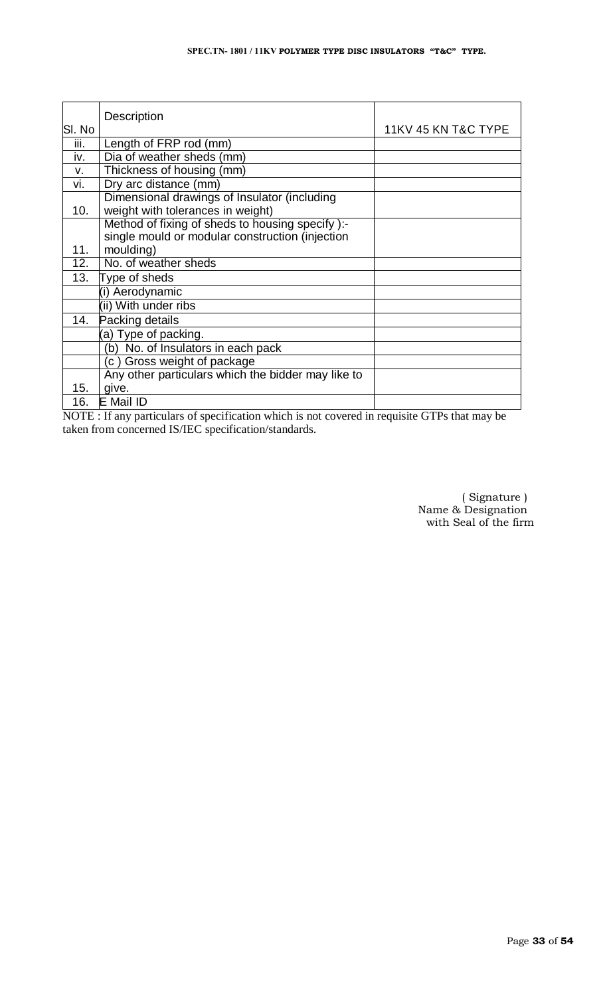| SI. No | <b>Description</b>                                                                                  | 11KV 45 KN T&C TYPE |
|--------|-----------------------------------------------------------------------------------------------------|---------------------|
| iii.   | Length of FRP rod (mm)                                                                              |                     |
| iv.    | Dia of weather sheds (mm)                                                                           |                     |
| V.     | Thickness of housing (mm)                                                                           |                     |
| vi.    | Dry arc distance (mm)                                                                               |                     |
| 10.    | Dimensional drawings of Insulator (including<br>weight with tolerances in weight)                   |                     |
|        | Method of fixing of sheds to housing specify ):-<br>single mould or modular construction (injection |                     |
| 11.    | moulding)                                                                                           |                     |
| 12.    | No. of weather sheds                                                                                |                     |
| 13.    | Type of sheds                                                                                       |                     |
|        | (i) Aerodynamic                                                                                     |                     |
|        | (ii) With under ribs                                                                                |                     |
| 14.    | Packing details                                                                                     |                     |
|        | (a) Type of packing.                                                                                |                     |
|        | (b) No. of Insulators in each pack                                                                  |                     |
|        | (c) Gross weight of package                                                                         |                     |
|        | Any other particulars which the bidder may like to                                                  |                     |
| 15.    | give.                                                                                               |                     |
| 16.    | E Mail ID                                                                                           |                     |

NOTE : If any particulars of specification which is not covered in requisite GTPs that may be taken from concerned IS/IEC specification/standards.

> ( Signature ) Name & Designation with Seal of the firm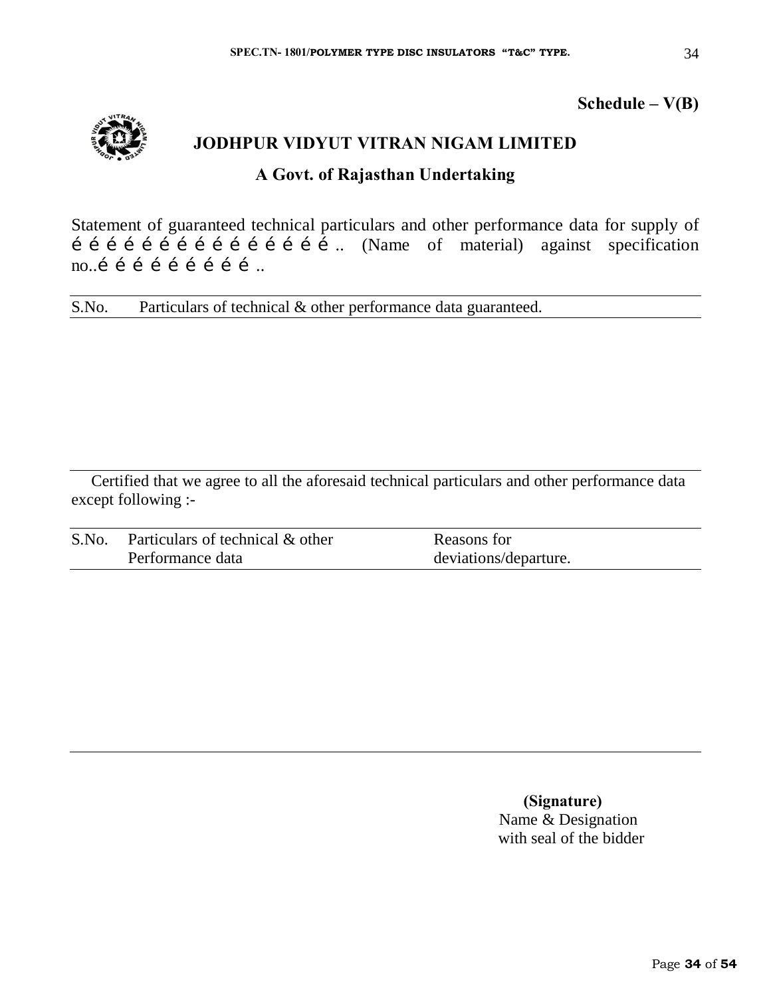# **Schedule – V(B)**



Statement of guaranteed technical particulars and other performance data for supply of  $\hat{i}$   $\hat{i}$   $\hat{j}$   $\hat{j}$   $\hat{i}$   $\hat{j}$   $\hat{i}$   $\hat{j}$   $\hat{i}$   $\hat{j}$   $\hat{k}$   $\hat{k}$   $\hat{k}$   $\hat{k}$   $\hat{k}$   $\hat{k}$   $\hat{k}$   $\hat{k}$   $\hat{k}$   $\hat{k}$   $\hat{k}$   $\hat{k}$   $\hat{k}$   $\hat{k}$   $\hat{k}$   $\hat{k}$   $\hat{k}$   $\hat{k}$   $\hat{k}$   $\hat{k}$   $\hat{k}$   $\hat{k$  $no.$ i i i i i i i i  $\ldots$ 

S.No. Particulars of technical & other performance data guaranteed.

Certified that we agree to all the aforesaid technical particulars and other performance data except following :-

| S.No. | Particulars of technical & other | Reasons for           |
|-------|----------------------------------|-----------------------|
|       | Performance data                 | deviations/departure. |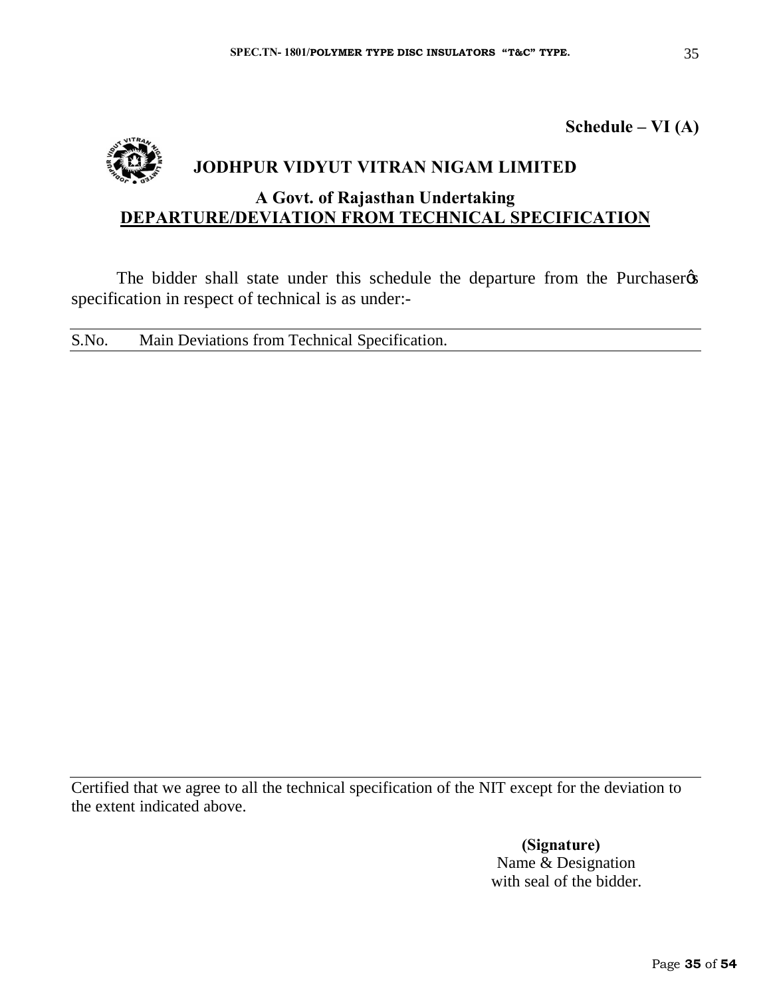**Schedule – VI (A)**



# **JODHPUR VIDYUT VITRAN NIGAM LIMITED**

# **A Govt. of Rajasthan Undertaking DEPARTURE/DEVIATION FROM TECHNICAL SPECIFICATION**

The bidder shall state under this schedule the departure from the Purchaser  $\alpha$ specification in respect of technical is as under:-

S.No. Main Deviations from Technical Specification.

Certified that we agree to all the technical specification of the NIT except for the deviation to the extent indicated above.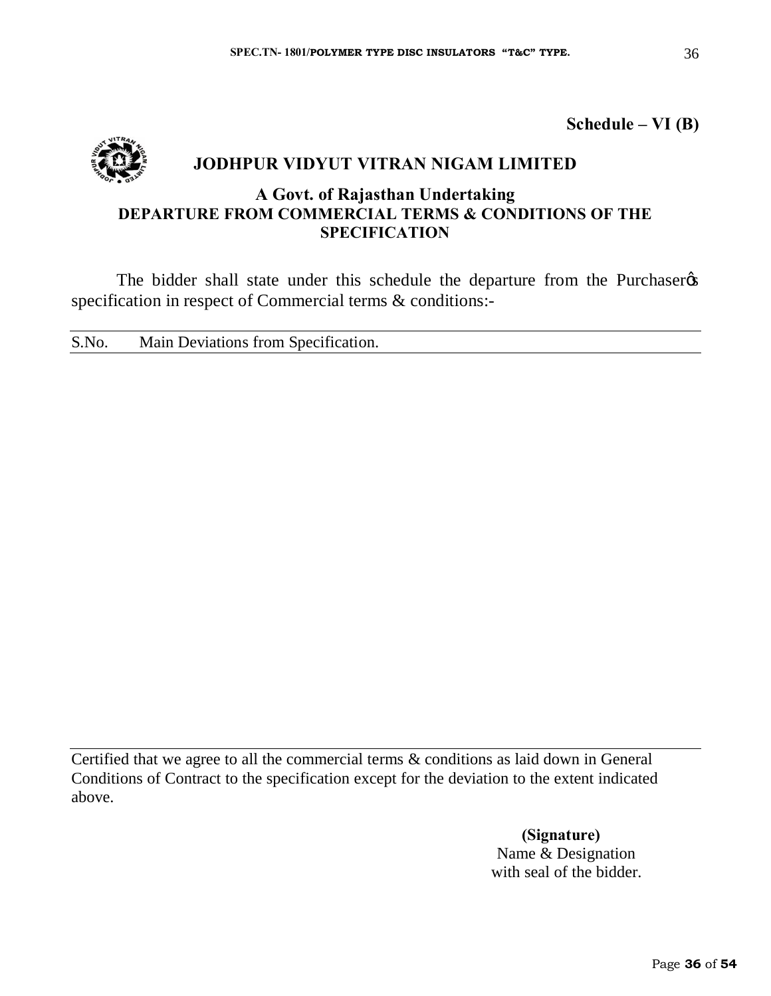**Schedule – VI (B)**



# **JODHPUR VIDYUT VITRAN NIGAM LIMITED**

# **A Govt. of Rajasthan Undertaking DEPARTURE FROM COMMERCIAL TERMS & CONDITIONS OF THE SPECIFICATION**

The bidder shall state under this schedule the departure from the Purchaser specification in respect of Commercial terms & conditions:-

S.No. Main Deviations from Specification.

Certified that we agree to all the commercial terms & conditions as laid down in General Conditions of Contract to the specification except for the deviation to the extent indicated above.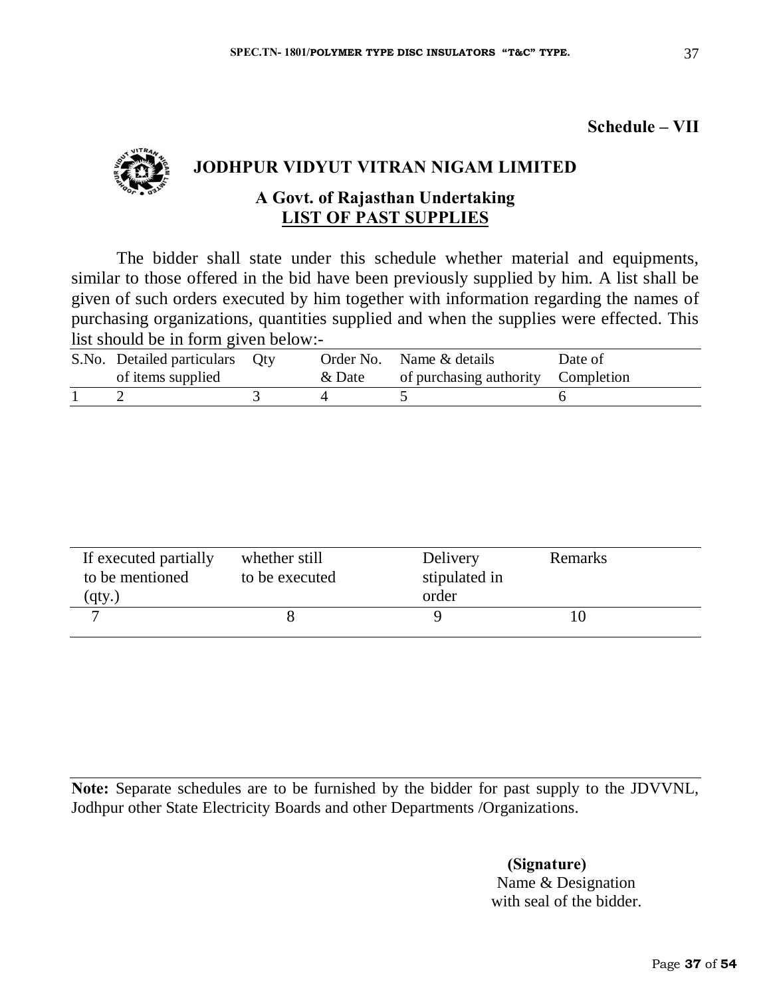**Schedule – VII**



# **JODHPUR VIDYUT VITRAN NIGAM LIMITED**

# **A Govt. of Rajasthan Undertaking LIST OF PAST SUPPLIES**

The bidder shall state under this schedule whether material and equipments, similar to those offered in the bid have been previously supplied by him. A list shall be given of such orders executed by him together with information regarding the names of purchasing organizations, quantities supplied and when the supplies were effected. This list should be in form given below:-

| S.No. Detailed particulars Qty |        | Order No. Name & details           | Date of |
|--------------------------------|--------|------------------------------------|---------|
| of items supplied              | & Date | of purchasing authority Completion |         |
|                                |        |                                    |         |

| If executed partially<br>to be mentioned<br>(qty.) | whether still<br>to be executed | Delivery<br>stipulated in<br>order | Remarks |  |
|----------------------------------------------------|---------------------------------|------------------------------------|---------|--|
| $\overline{ }$                                     |                                 |                                    |         |  |

**Note:** Separate schedules are to be furnished by the bidder for past supply to the JDVVNL, Jodhpur other State Electricity Boards and other Departments /Organizations.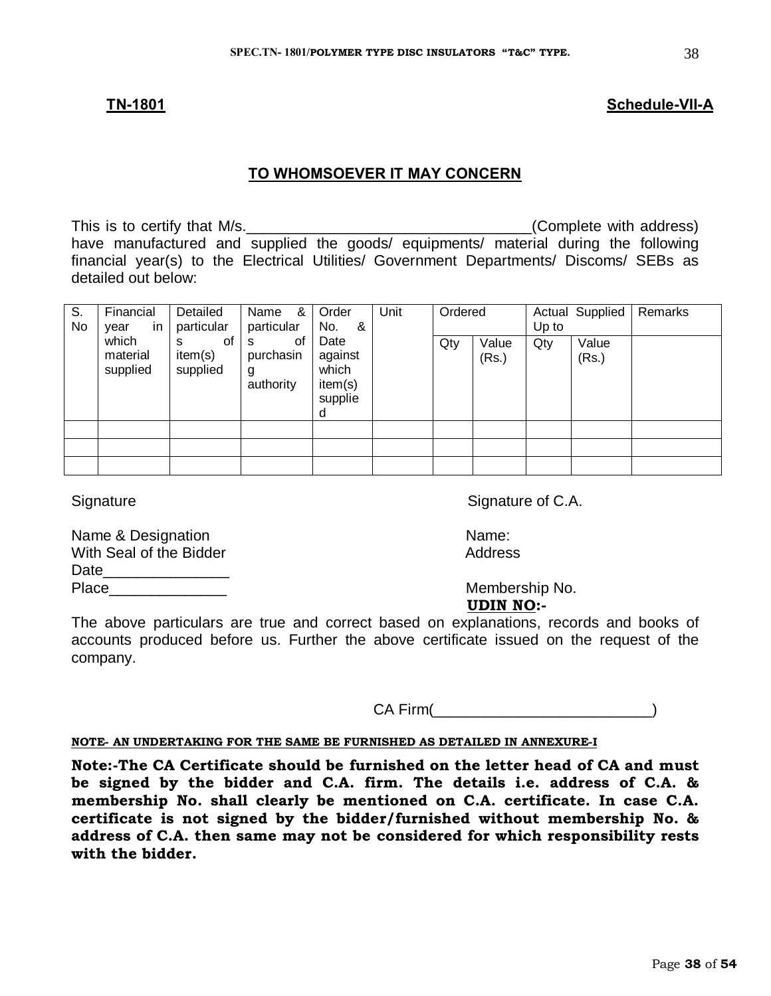#### **TN-1801 Schedule-VII-A**

#### **TO WHOMSOEVER IT MAY CONCERN**

This is to certify that M/s. have manufactured and supplied the goods/ equipments/ material during the following financial year(s) to the Electrical Utilities/ Government Departments/ Discoms/ SEBs as detailed out below:

| S.<br>No | Financial<br>in.<br>vear      | Detailed<br>particular         | &<br>Name<br>particular                | Order<br>&<br>No.                                   | Unit | Ordered |                | Up to | <b>Actual Supplied</b> | Remarks |
|----------|-------------------------------|--------------------------------|----------------------------------------|-----------------------------------------------------|------|---------|----------------|-------|------------------------|---------|
|          | which<br>material<br>supplied | οf<br>s<br>item(s)<br>supplied | οf<br>s<br>purchasin<br>g<br>authority | Date<br>against<br>which<br>item(s)<br>supplie<br>d |      | Qty     | Value<br>(Rs.) | Qty   | Value<br>(Rs.)         |         |
|          |                               |                                |                                        |                                                     |      |         |                |       |                        |         |
|          |                               |                                |                                        |                                                     |      |         |                |       |                        |         |
|          |                               |                                |                                        |                                                     |      |         |                |       |                        |         |

Name & Designation Name: With Seal of the Bidder Address Address Date\_\_\_\_\_\_\_\_\_\_\_\_\_\_\_ Place\_\_\_\_\_\_\_\_\_\_\_\_\_\_ Membership No.

Signature Signature of C.A.

 **UDIN NO:-**

The above particulars are true and correct based on explanations, records and books of accounts produced before us. Further the above certificate issued on the request of the company.

CA Firm( )

#### **NOTE- AN UNDERTAKING FOR THE SAME BE FURNISHED AS DETAILED IN ANNEXURE-I**

**Note:-The CA Certificate should be furnished on the letter head of CA and must be signed by the bidder and C.A. firm. The details i.e. address of C.A. & membership No. shall clearly be mentioned on C.A. certificate. In case C.A. certificate is not signed by the bidder/furnished without membership No. & address of C.A. then same may not be considered for which responsibility rests with the bidder.**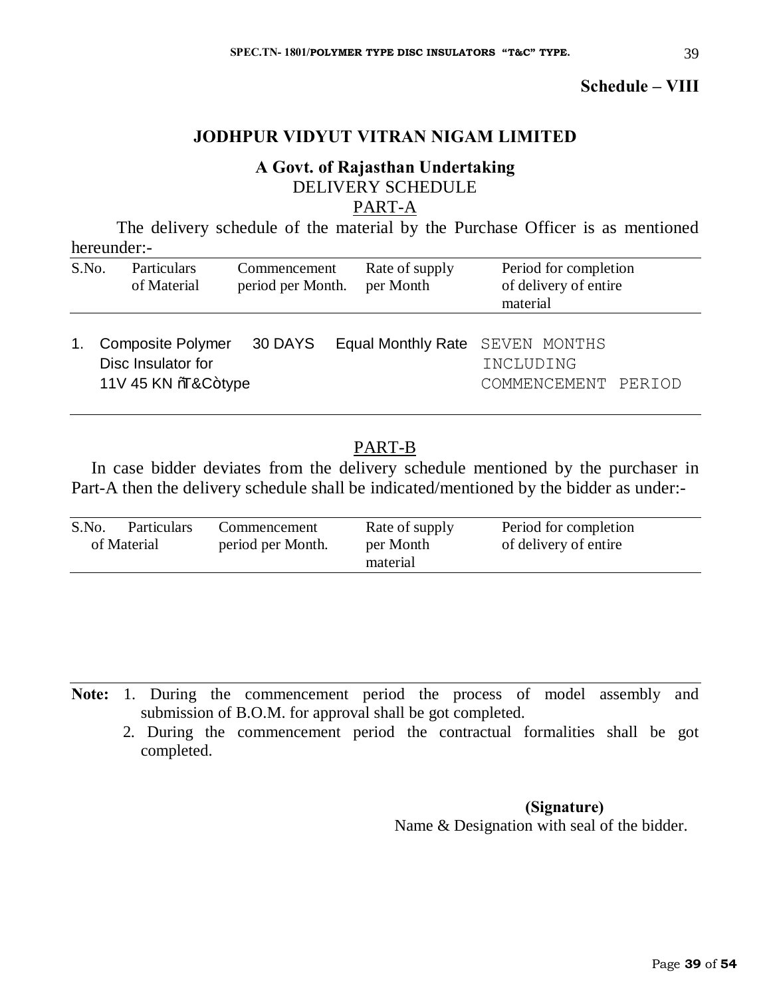**Schedule – VIII**

# **JODHPUR VIDYUT VITRAN NIGAM LIMITED**

# **A Govt. of Rajasthan Undertaking** DELIVERY SCHEDULE

# PART-A

The delivery schedule of the material by the Purchase Officer is as mentioned hereunder:-

| S.No. | Particulars<br>of Material                                           | Commencement<br>period per Month. | Rate of supply<br>per Month | Period for completion<br>of delivery of entire<br>material          |  |
|-------|----------------------------------------------------------------------|-----------------------------------|-----------------------------|---------------------------------------------------------------------|--|
| 1.    | <b>Composite Polymer</b><br>Disc Insulator for<br>11V 45 KN %&C+type | 30 DAYS                           |                             | Equal Monthly Rate SEVEN MONTHS<br>INCLUDING<br>COMMENCEMENT PERIOD |  |

# PART-B

In case bidder deviates from the delivery schedule mentioned by the purchaser in Part-A then the delivery schedule shall be indicated/mentioned by the bidder as under:-

| S.No.<br>of Material | <b>Particulars</b> | Commencement<br>period per Month. | Rate of supply<br>per Month<br>material | Period for completion<br>of delivery of entire |
|----------------------|--------------------|-----------------------------------|-----------------------------------------|------------------------------------------------|
|                      |                    |                                   |                                         |                                                |

**Note:** 1. During the commencement period the process of model assembly and submission of B.O.M. for approval shall be got completed.

 2. During the commencement period the contractual formalities shall be got completed.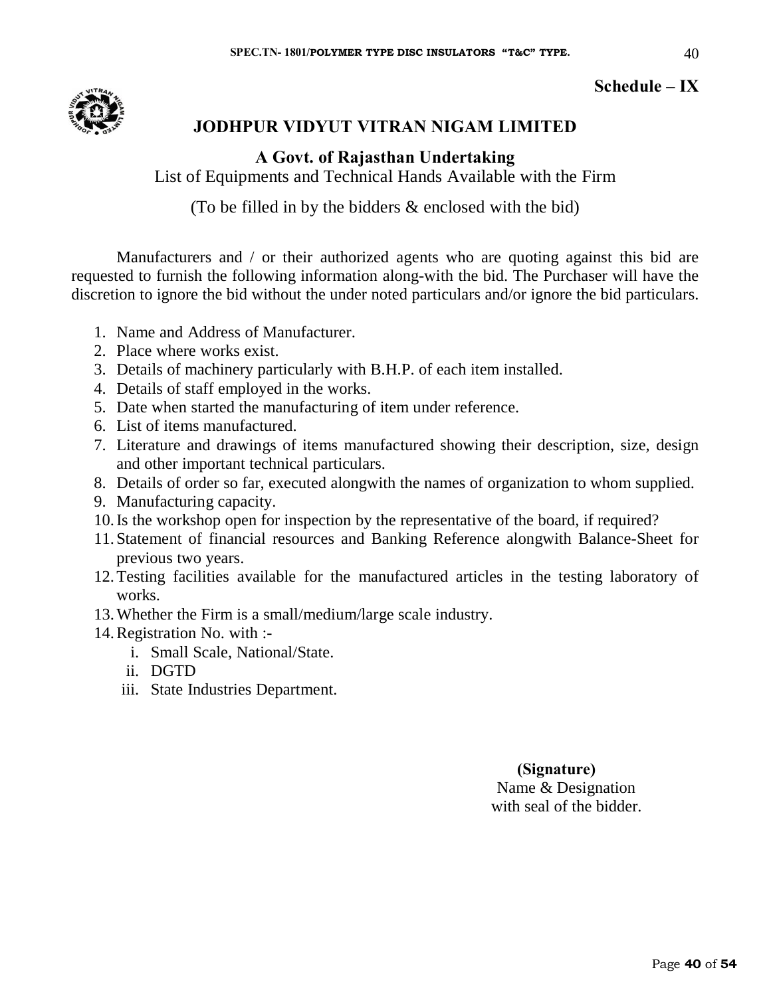# **Schedule – IX**

40



# **JODHPUR VIDYUT VITRAN NIGAM LIMITED**

# **A Govt. of Rajasthan Undertaking**

List of Equipments and Technical Hands Available with the Firm

(To be filled in by the bidders & enclosed with the bid)

Manufacturers and / or their authorized agents who are quoting against this bid are requested to furnish the following information along-with the bid. The Purchaser will have the discretion to ignore the bid without the under noted particulars and/or ignore the bid particulars.

- 1. Name and Address of Manufacturer.
- 2. Place where works exist.
- 3. Details of machinery particularly with B.H.P. of each item installed.
- 4. Details of staff employed in the works.
- 5. Date when started the manufacturing of item under reference.
- 6. List of items manufactured.
- 7. Literature and drawings of items manufactured showing their description, size, design and other important technical particulars.
- 8. Details of order so far, executed alongwith the names of organization to whom supplied.
- 9. Manufacturing capacity.
- 10.Is the workshop open for inspection by the representative of the board, if required?
- 11. Statement of financial resources and Banking Reference alongwith Balance-Sheet for previous two years.
- 12.Testing facilities available for the manufactured articles in the testing laboratory of works.
- 13.Whether the Firm is a small/medium/large scale industry.
- 14.Registration No. with :
	- i. Small Scale, National/State.
	- ii. DGTD
	- iii. State Industries Department.

# **(Signature)** Name & Designation

with seal of the bidder.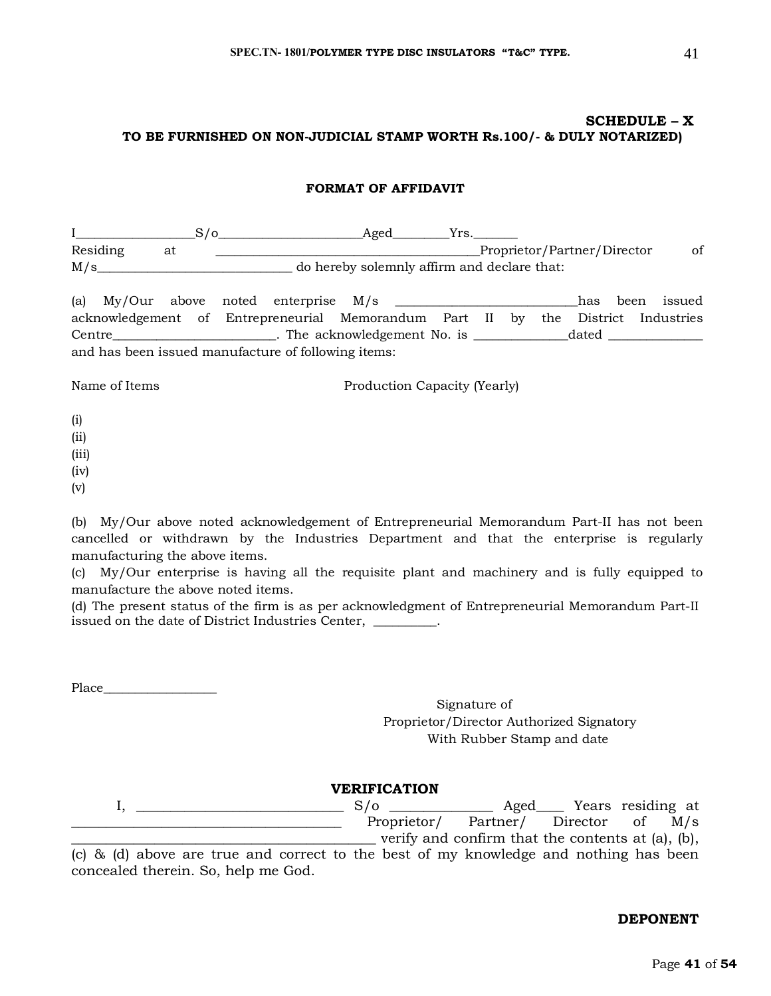#### **SCHEDULE – X TO BE FURNISHED ON NON-JUDICIAL STAMP WORTH Rs.100/- & DULY NOTARIZED)**

#### **FORMAT OF AFFIDAVIT**

I\_\_\_\_\_\_\_\_\_\_\_\_\_\_\_\_\_\_\_S/o\_\_\_\_\_\_\_\_\_\_\_\_\_\_\_\_\_\_\_\_\_\_\_Aged\_\_\_\_\_\_\_\_\_Yrs.\_\_\_\_\_\_\_ Residing at \_\_\_\_\_\_\_\_\_\_\_\_\_\_\_\_\_\_\_\_\_\_\_\_\_\_\_\_\_\_\_\_\_\_\_\_\_\_\_\_\_\_Proprietor/Partner/Director of M/s\_\_\_\_\_\_\_\_\_\_\_\_\_\_\_\_\_\_\_\_\_\_\_\_\_\_\_\_\_\_\_ do hereby solemnly affirm and declare that:

(a) My/Our above noted enterprise M/s \_\_\_\_\_\_\_\_\_\_\_\_\_\_\_\_\_\_\_\_\_\_\_\_\_\_\_\_\_has been issued acknowledgement of Entrepreneurial Memorandum Part II by the District Industries Centre\_\_\_\_\_\_\_\_\_\_\_\_\_\_\_\_\_\_\_\_\_\_\_\_\_\_. The acknowledgement No. is \_\_\_\_\_\_\_\_\_\_\_\_\_\_\_\_\_\_\_dated \_\_\_\_\_\_\_\_\_\_\_\_\_\_ and has been issued manufacture of following items:

Name of Items Production Capacity (Yearly)

- (i)
- (ii)
- (iii)
- (iv)
- (v)

(b) My/Our above noted acknowledgement of Entrepreneurial Memorandum Part-II has not been cancelled or withdrawn by the Industries Department and that the enterprise is regularly manufacturing the above items.

(c) My/Our enterprise is having all the requisite plant and machinery and is fully equipped to manufacture the above noted items.

(d) The present status of the firm is as per acknowledgment of Entrepreneurial Memorandum Part-II issued on the date of District Industries Center, \_\_\_\_\_\_\_\_\_.

Place\_\_\_\_\_\_\_\_\_\_\_\_\_\_\_\_\_\_

Signature of Proprietor/Director Authorized Signatory With Rubber Stamp and date

**VERIFICATION** I, \_\_\_\_\_\_\_\_\_\_\_\_\_\_\_\_\_\_\_\_\_\_\_\_\_\_\_\_\_\_ S/o \_\_\_\_\_\_\_\_\_\_\_\_\_\_\_ Aged\_\_\_\_ Years residing at \_\_\_\_\_\_\_\_\_\_\_\_\_\_\_\_\_\_\_\_\_\_\_\_\_\_\_\_\_\_\_\_\_\_\_\_\_\_\_ Proprietor/ Partner/ Director of M/s \_\_\_\_\_\_\_\_\_\_\_\_\_\_\_\_\_\_\_\_\_\_\_\_\_\_\_\_\_\_\_\_\_\_\_\_\_\_\_\_\_\_\_\_ verify and confirm that the contents at (a), (b),

(c) & (d) above are true and correct to the best of my knowledge and nothing has been concealed therein. So, help me God.

#### **DEPONENT**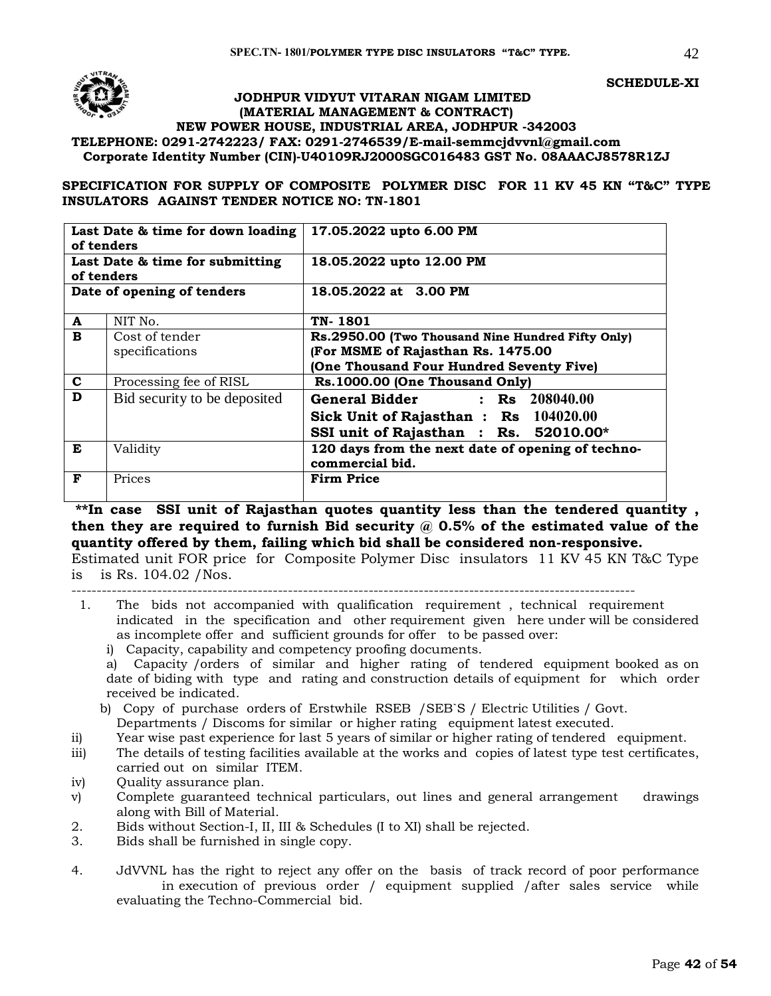

#### **JODHPUR VIDYUT VITARAN NIGAM LIMITED (MATERIAL MANAGEMENT & CONTRACT) NEW POWER HOUSE, INDUSTRIAL AREA, JODHPUR -342003 TELEPHONE: 0291-2742223/ FAX: 0291-2746539/E-mail[-semmcjdvvnl@gmail.com](mailto:semmcjdvvnl@gmail.com) Corporate Identity Number (CIN)-U40109RJ2000SGC016483 GST No. 08AAACJ8578R1ZJ**

**SPECIFICATION FOR SUPPLY OF COMPOSITE POLYMER DISC FOR 11 KV 45 KN "T&C" TYPE INSULATORS AGAINST TENDER NOTICE NO: TN-1801**

| Last Date & time for down loading |                                 | 17.05.2022 upto 6.00 PM                           |
|-----------------------------------|---------------------------------|---------------------------------------------------|
| of tenders                        |                                 |                                                   |
|                                   | Last Date & time for submitting | 18.05.2022 upto 12.00 PM                          |
| of tenders                        |                                 |                                                   |
|                                   | Date of opening of tenders      | 18.05.2022 at 3.00 PM                             |
|                                   |                                 |                                                   |
| A                                 | NIT No.                         | TN-1801                                           |
| B                                 | Cost of tender                  | Rs.2950.00 (Two Thousand Nine Hundred Fifty Only) |
|                                   | specifications                  | (For MSME of Rajasthan Rs. 1475.00                |
|                                   |                                 | (One Thousand Four Hundred Seventy Five)          |
| $\mathbf c$                       | Processing fee of RISL          | Rs.1000.00 (One Thousand Only)                    |
| D                                 | Bid security to be deposited    | <b>General Bidder</b><br>: $\text{Rs}$ 208040.00  |
|                                   |                                 | Sick Unit of Rajasthan: Rs 104020.00              |
|                                   |                                 | SSI unit of Rajasthan : Rs. 52010.00*             |
| E                                 | Validity                        | 120 days from the next date of opening of techno- |
|                                   |                                 | commercial bid.                                   |
| F                                 | Prices                          | <b>Firm Price</b>                                 |

**\*\*In case SSI unit of Rajasthan quotes quantity less than the tendered quantity , then they are required to furnish Bid security @ 0.5% of the estimated value of the quantity offered by them, failing which bid shall be considered non-responsive.**

Estimated unit FOR price for Composite Polymer Disc insulators 11 KV 45 KN T&C Type is is Rs. 104.02 /Nos.

----------------------------------------------------------------------------------------------------------------

- 1. The bids not accompanied with qualification requirement , technical requirement indicated in the specification and other requirement given here under will be considered as incomplete offer and sufficient grounds for offer to be passed over:
	- i) Capacity, capability and competency proofing documents.

a) Capacity /orders of similar and higher rating of tendered equipment booked as on date of biding with type and rating and construction details of equipment for which order received be indicated.

- b) Copy of purchase orders of Erstwhile RSEB /SEB`S / Electric Utilities / Govt. Departments / Discoms for similar or higher rating equipment latest executed.
- ii) Year wise past experience for last 5 years of similar or higher rating of tendered equipment.
- iii) The details of testing facilities available at the works and copies of latest type test certificates, carried out on similar ITEM.
- iv) Quality assurance plan.
- v) Complete guaranteed technical particulars, out lines and general arrangement drawings along with Bill of Material.
- 2. Bids without Section-I, II, III & Schedules (I to XI) shall be rejected.
- 3. Bids shall be furnished in single copy.
- 4. JdVVNL has the right to reject any offer on the basis of track record of poor performance in execution of previous order / equipment supplied /after sales service while evaluating the Techno-Commercial bid.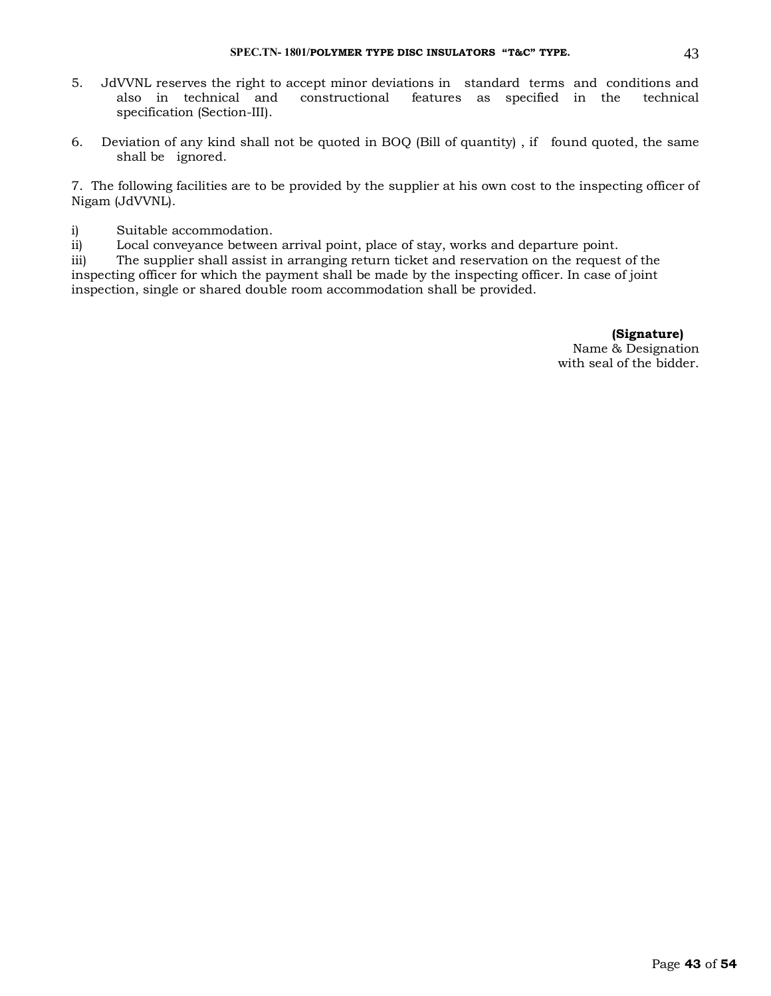- 5. JdVVNL reserves the right to accept minor deviations in standard terms and conditions and features as specified in the technical specification (Section-III).
- 6. Deviation of any kind shall not be quoted in BOQ (Bill of quantity) , if found quoted, the same shall be ignored.

7. The following facilities are to be provided by the supplier at his own cost to the inspecting officer of Nigam (JdVVNL).

i) Suitable accommodation.

ii) Local conveyance between arrival point, place of stay, works and departure point.

iii) The supplier shall assist in arranging return ticket and reservation on the request of the inspecting officer for which the payment shall be made by the inspecting officer. In case of joint inspection, single or shared double room accommodation shall be provided.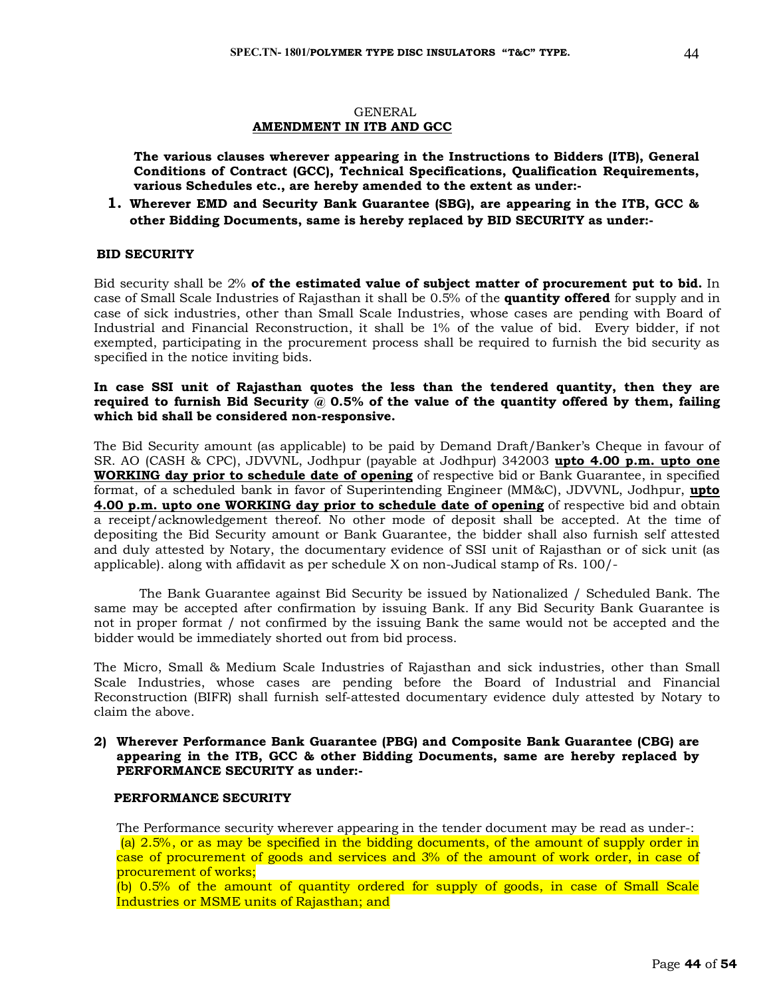#### GENERAL **AMENDMENT IN ITB AND GCC**

**The various clauses wherever appearing in the Instructions to Bidders (ITB), General Conditions of Contract (GCC), Technical Specifications, Qualification Requirements, various Schedules etc., are hereby amended to the extent as under:-**

**1. Wherever EMD and Security Bank Guarantee (SBG), are appearing in the ITB, GCC & other Bidding Documents, same is hereby replaced by BID SECURITY as under:-**

#### **BID SECURITY**

Bid security shall be 2% **of the estimated value of subject matter of procurement put to bid.** In case of Small Scale Industries of Rajasthan it shall be 0.5% of the **quantity offered** for supply and in case of sick industries, other than Small Scale Industries, whose cases are pending with Board of Industrial and Financial Reconstruction, it shall be 1% of the value of bid. Every bidder, if not exempted, participating in the procurement process shall be required to furnish the bid security as specified in the notice inviting bids.

#### **In case SSI unit of Rajasthan quotes the less than the tendered quantity, then they are required to furnish Bid Security @ 0.5% of the value of the quantity offered by them, failing which bid shall be considered non-responsive.**

The Bid Security amount (as applicable) to be paid by Demand Draft/Banker's Cheque in favour of SR. AO (CASH & CPC), JDVVNL, Jodhpur (payable at Jodhpur) 342003 **upto 4.00 p.m. upto one WORKING day prior to schedule date of opening** of respective bid or Bank Guarantee, in specified format, of a scheduled bank in favor of Superintending Engineer (MM&C), JDVVNL, Jodhpur, **upto 4.00 p.m. upto one WORKING day prior to schedule date of opening** of respective bid and obtain a receipt/acknowledgement thereof. No other mode of deposit shall be accepted. At the time of depositing the Bid Security amount or Bank Guarantee, the bidder shall also furnish self attested and duly attested by Notary, the documentary evidence of SSI unit of Rajasthan or of sick unit (as applicable). along with affidavit as per schedule X on non-Judical stamp of Rs. 100/-

The Bank Guarantee against Bid Security be issued by Nationalized / Scheduled Bank. The same may be accepted after confirmation by issuing Bank. If any Bid Security Bank Guarantee is not in proper format / not confirmed by the issuing Bank the same would not be accepted and the bidder would be immediately shorted out from bid process.

The Micro, Small & Medium Scale Industries of Rajasthan and sick industries, other than Small Scale Industries, whose cases are pending before the Board of Industrial and Financial Reconstruction (BIFR) shall furnish self-attested documentary evidence duly attested by Notary to claim the above.

#### **2) Wherever Performance Bank Guarantee (PBG) and Composite Bank Guarantee (CBG) are appearing in the ITB, GCC & other Bidding Documents, same are hereby replaced by PERFORMANCE SECURITY as under:-**

#### **PERFORMANCE SECURITY**

The Performance security wherever appearing in the tender document may be read as under-: (a) 2.5%, or as may be specified in the bidding documents, of the amount of supply order in case of procurement of goods and services and 3% of the amount of work order, in case of procurement of works;

(b) 0.5% of the amount of quantity ordered for supply of goods, in case of Small Scale Industries or MSME units of Rajasthan; and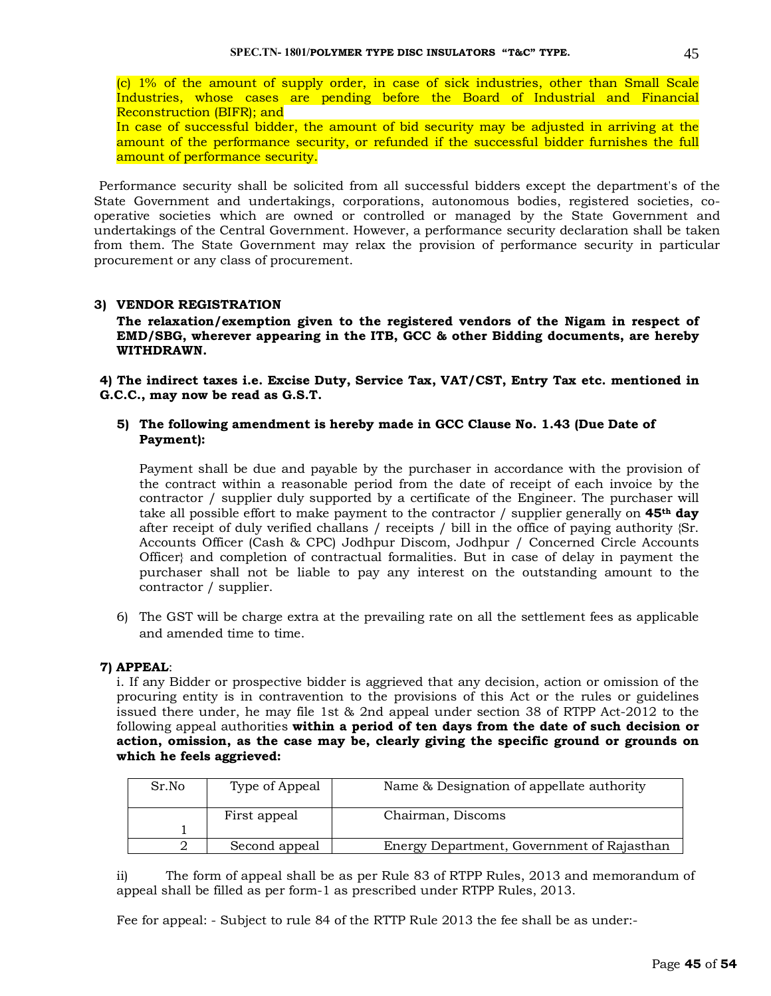(c) 1% of the amount of supply order, in case of sick industries, other than Small Scale Industries, whose cases are pending before the Board of Industrial and Financial Reconstruction (BIFR); and

In case of successful bidder, the amount of bid security may be adjusted in arriving at the amount of the performance security, or refunded if the successful bidder furnishes the full amount of performance security.

 Performance security shall be solicited from all successful bidders except the department's of the State Government and undertakings, corporations, autonomous bodies, registered societies, cooperative societies which are owned or controlled or managed by the State Government and undertakings of the Central Government. However, a performance security declaration shall be taken from them. The State Government may relax the provision of performance security in particular procurement or any class of procurement.

#### **3) VENDOR REGISTRATION**

**The relaxation/exemption given to the registered vendors of the Nigam in respect of EMD/SBG, wherever appearing in the ITB, GCC & other Bidding documents, are hereby WITHDRAWN.** 

**4) The indirect taxes i.e. Excise Duty, Service Tax, VAT/CST, Entry Tax etc. mentioned in G.C.C., may now be read as G.S.T.** 

#### **5) The following amendment is hereby made in GCC Clause No. 1.43 (Due Date of Payment):**

Payment shall be due and payable by the purchaser in accordance with the provision of the contract within a reasonable period from the date of receipt of each invoice by the contractor / supplier duly supported by a certificate of the Engineer. The purchaser will take all possible effort to make payment to the contractor / supplier generally on **45th day** after receipt of duly verified challans / receipts / bill in the office of paying authority {Sr. Accounts Officer (Cash & CPC) Jodhpur Discom, Jodhpur / Concerned Circle Accounts Officer} and completion of contractual formalities. But in case of delay in payment the purchaser shall not be liable to pay any interest on the outstanding amount to the contractor / supplier.

6) The GST will be charge extra at the prevailing rate on all the settlement fees as applicable and amended time to time.

#### **7) APPEAL**:

i. If any Bidder or prospective bidder is aggrieved that any decision, action or omission of the procuring entity is in contravention to the provisions of this Act or the rules or guidelines issued there under, he may file 1st & 2nd appeal under section 38 of RTPP Act-2012 to the following appeal authorities **within a period of ten days from the date of such decision or action, omission, as the case may be, clearly giving the specific ground or grounds on which he feels aggrieved:** 

| Sr.No | Type of Appeal | Name & Designation of appellate authority  |
|-------|----------------|--------------------------------------------|
|       | First appeal   | Chairman, Discoms                          |
|       | Second appeal  | Energy Department, Government of Rajasthan |

ii) The form of appeal shall be as per Rule 83 of RTPP Rules, 2013 and memorandum of appeal shall be filled as per form-1 as prescribed under RTPP Rules, 2013.

Fee for appeal: - Subject to rule 84 of the RTTP Rule 2013 the fee shall be as under:-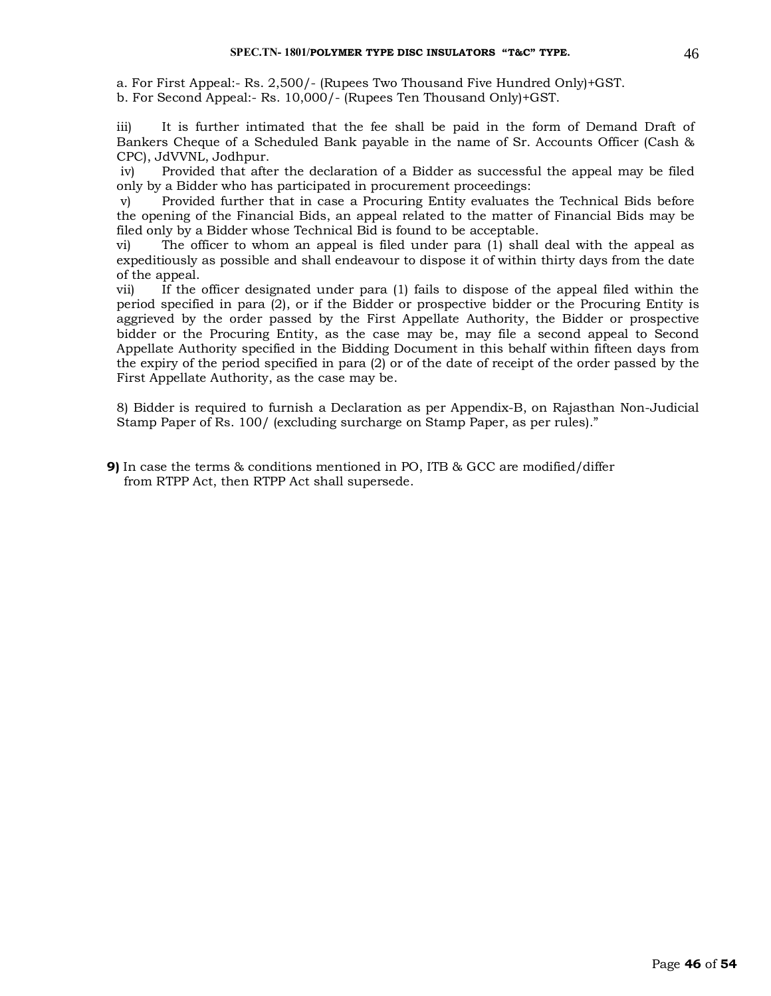a. For First Appeal:- Rs. 2,500/- (Rupees Two Thousand Five Hundred Only)+GST. b. For Second Appeal:- Rs. 10,000/- (Rupees Ten Thousand Only)+GST.

iii) It is further intimated that the fee shall be paid in the form of Demand Draft of Bankers Cheque of a Scheduled Bank payable in the name of Sr. Accounts Officer (Cash & CPC), JdVVNL, Jodhpur.

iv) Provided that after the declaration of a Bidder as successful the appeal may be filed only by a Bidder who has participated in procurement proceedings:

v) Provided further that in case a Procuring Entity evaluates the Technical Bids before the opening of the Financial Bids, an appeal related to the matter of Financial Bids may be filed only by a Bidder whose Technical Bid is found to be acceptable.

vi) The officer to whom an appeal is filed under para (1) shall deal with the appeal as expeditiously as possible and shall endeavour to dispose it of within thirty days from the date of the appeal.

vii) If the officer designated under para (1) fails to dispose of the appeal filed within the period specified in para (2), or if the Bidder or prospective bidder or the Procuring Entity is aggrieved by the order passed by the First Appellate Authority, the Bidder or prospective bidder or the Procuring Entity, as the case may be, may file a second appeal to Second Appellate Authority specified in the Bidding Document in this behalf within fifteen days from the expiry of the period specified in para (2) or of the date of receipt of the order passed by the First Appellate Authority, as the case may be.

8) Bidder is required to furnish a Declaration as per Appendix-B, on Rajasthan Non-Judicial Stamp Paper of Rs. 100/ (excluding surcharge on Stamp Paper, as per rules)."

**9)** In case the terms & conditions mentioned in PO, ITB & GCC are modified/differ from RTPP Act, then RTPP Act shall supersede.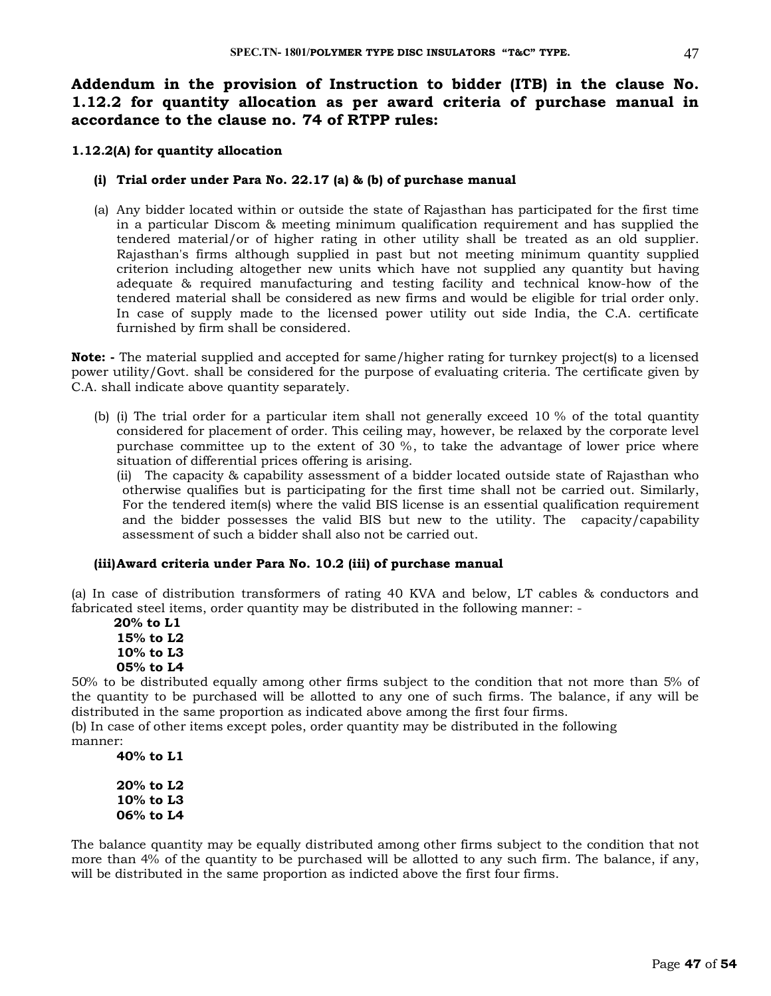**Addendum in the provision of Instruction to bidder (ITB) in the clause No. 1.12.2 for quantity allocation as per award criteria of purchase manual in accordance to the clause no. 74 of RTPP rules:**

#### **1.12.2(A) for quantity allocation**

#### **(i) Trial order under Para No. 22.17 (a) & (b) of purchase manual**

(a) Any bidder located within or outside the state of Rajasthan has participated for the first time in a particular Discom & meeting minimum qualification requirement and has supplied the tendered material/or of higher rating in other utility shall be treated as an old supplier. Rajasthan's firms although supplied in past but not meeting minimum quantity supplied criterion including altogether new units which have not supplied any quantity but having adequate & required manufacturing and testing facility and technical know-how of the tendered material shall be considered as new firms and would be eligible for trial order only. In case of supply made to the licensed power utility out side India, the C.A. certificate furnished by firm shall be considered.

**Note: -** The material supplied and accepted for same/higher rating for turnkey project(s) to a licensed power utility/Govt. shall be considered for the purpose of evaluating criteria. The certificate given by C.A. shall indicate above quantity separately.

(b) (i) The trial order for a particular item shall not generally exceed 10 % of the total quantity considered for placement of order. This ceiling may, however, be relaxed by the corporate level purchase committee up to the extent of 30 %, to take the advantage of lower price where situation of differential prices offering is arising.

(ii) The capacity & capability assessment of a bidder located outside state of Rajasthan who otherwise qualifies but is participating for the first time shall not be carried out. Similarly, For the tendered item(s) where the valid BIS license is an essential qualification requirement and the bidder possesses the valid BIS but new to the utility. The capacity/capability assessment of such a bidder shall also not be carried out.

#### **(iii)Award criteria under Para No. 10.2 (iii) of purchase manual**

(a) In case of distribution transformers of rating 40 KVA and below, LT cables & conductors and fabricated steel items, order quantity may be distributed in the following manner: -

 **20% to L1 15% to L2 10% to L3 05% to L4**

50% to be distributed equally among other firms subject to the condition that not more than 5% of the quantity to be purchased will be allotted to any one of such firms. The balance, if any will be distributed in the same proportion as indicated above among the first four firms.

(b) In case of other items except poles, order quantity may be distributed in the following manner:

**40% to L1**

**20% to L2 10% to L3 06% to L4**

The balance quantity may be equally distributed among other firms subject to the condition that not more than 4% of the quantity to be purchased will be allotted to any such firm. The balance, if any, will be distributed in the same proportion as indicted above the first four firms.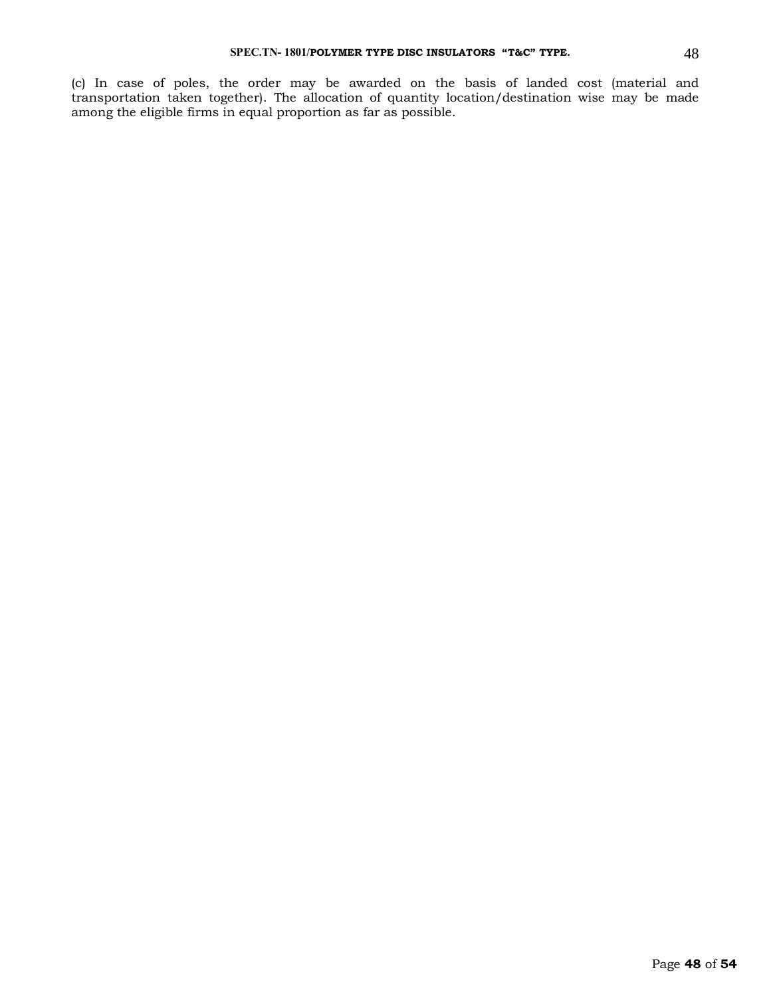(c) In case of poles, the order may be awarded on the basis of landed cost (material and transportation taken together). The allocation of quantity location/destination wise may be made among the eligible firms in equal proportion as far as possible.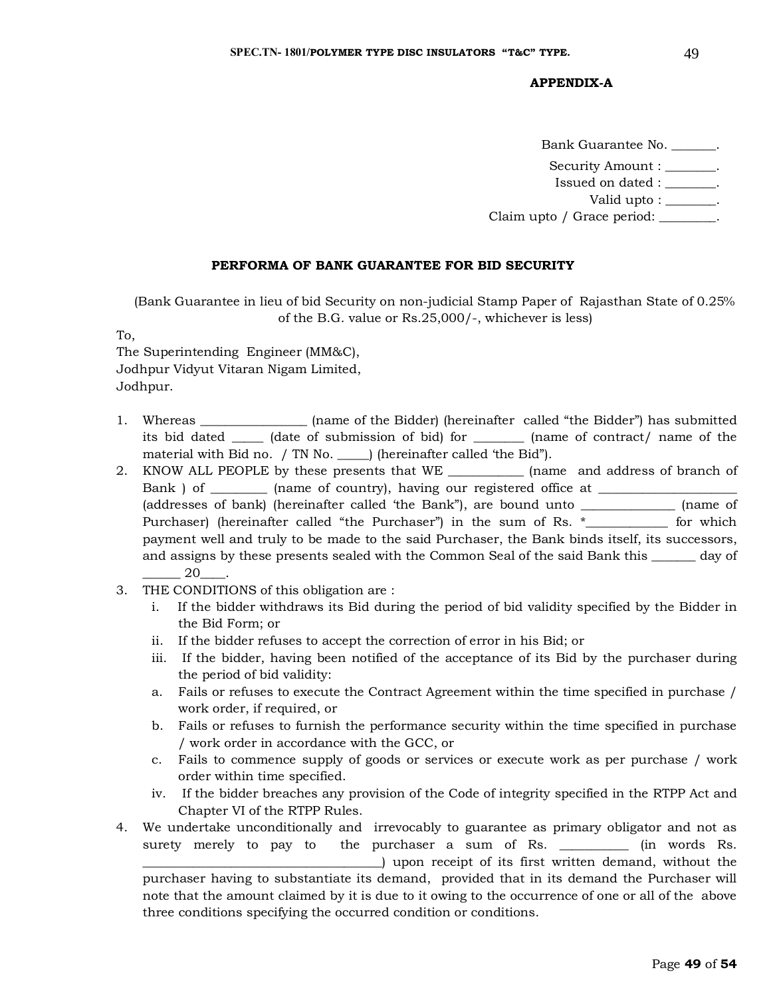#### **APPENDIX-A**

Bank Guarantee No. \_\_\_\_\_\_\_. Security Amount :  $\qquad \qquad$ . Issued on dated : \_\_\_\_\_\_\_\_. Valid upto : \_\_\_\_\_\_\_. Claim upto / Grace period: \_\_\_\_\_\_\_\_.

#### **PERFORMA OF BANK GUARANTEE FOR BID SECURITY**

(Bank Guarantee in lieu of bid Security on non-judicial Stamp Paper of Rajasthan State of 0.25% of the B.G. value or Rs.25,000/-, whichever is less)

To,

The Superintending Engineer (MM&C), Jodhpur Vidyut Vitaran Nigam Limited, Jodhpur.

- 1. Whereas \_\_\_\_\_\_\_\_\_\_\_\_\_\_\_\_\_ (name of the Bidder) (hereinafter called "the Bidder") has submitted its bid dated \_\_\_\_\_ (date of submission of bid) for \_\_\_\_\_\_\_\_ (name of contract/ name of the material with Bid no. / TN No. ) (hereinafter called 'the Bid").
- 2. KNOW ALL PEOPLE by these presents that WE \_\_\_\_\_\_\_\_\_\_\_\_ (name and address of branch of Bank ) of \_\_\_\_\_\_\_\_\_\_ (name of country), having our registered office at \_\_\_\_\_\_\_\_\_ (addresses of bank) (hereinafter called 'the Bank"), are bound unto \_\_\_\_\_\_\_\_\_\_\_\_\_\_\_ (name of Purchaser) (hereinafter called "the Purchaser") in the sum of Rs. \*\_\_\_\_\_\_\_\_\_\_\_\_ for which payment well and truly to be made to the said Purchaser, the Bank binds itself, its successors, and assigns by these presents sealed with the Common Seal of the said Bank this \_\_\_\_\_\_\_ day of \_\_\_\_\_\_ 20\_\_\_\_.
- 3. THE CONDITIONS of this obligation are :
	- i. If the bidder withdraws its Bid during the period of bid validity specified by the Bidder in the Bid Form; or
	- ii. If the bidder refuses to accept the correction of error in his Bid; or
	- iii. If the bidder, having been notified of the acceptance of its Bid by the purchaser during the period of bid validity:
	- a. Fails or refuses to execute the Contract Agreement within the time specified in purchase / work order, if required, or
	- b. Fails or refuses to furnish the performance security within the time specified in purchase / work order in accordance with the GCC, or
	- c. Fails to commence supply of goods or services or execute work as per purchase / work order within time specified.
	- iv. If the bidder breaches any provision of the Code of integrity specified in the RTPP Act and Chapter VI of the RTPP Rules.
- 4. We undertake unconditionally and irrevocably to guarantee as primary obligator and not as surety merely to pay to the purchaser a sum of Rs. \_\_\_\_\_\_\_\_\_\_\_ (in words Rs. \_\_\_\_\_\_\_\_\_\_\_\_\_\_\_\_\_\_\_\_\_\_\_\_\_\_\_\_\_\_\_\_\_\_\_\_\_\_) upon receipt of its first written demand, without the purchaser having to substantiate its demand, provided that in its demand the Purchaser will note that the amount claimed by it is due to it owing to the occurrence of one or all of the above three conditions specifying the occurred condition or conditions.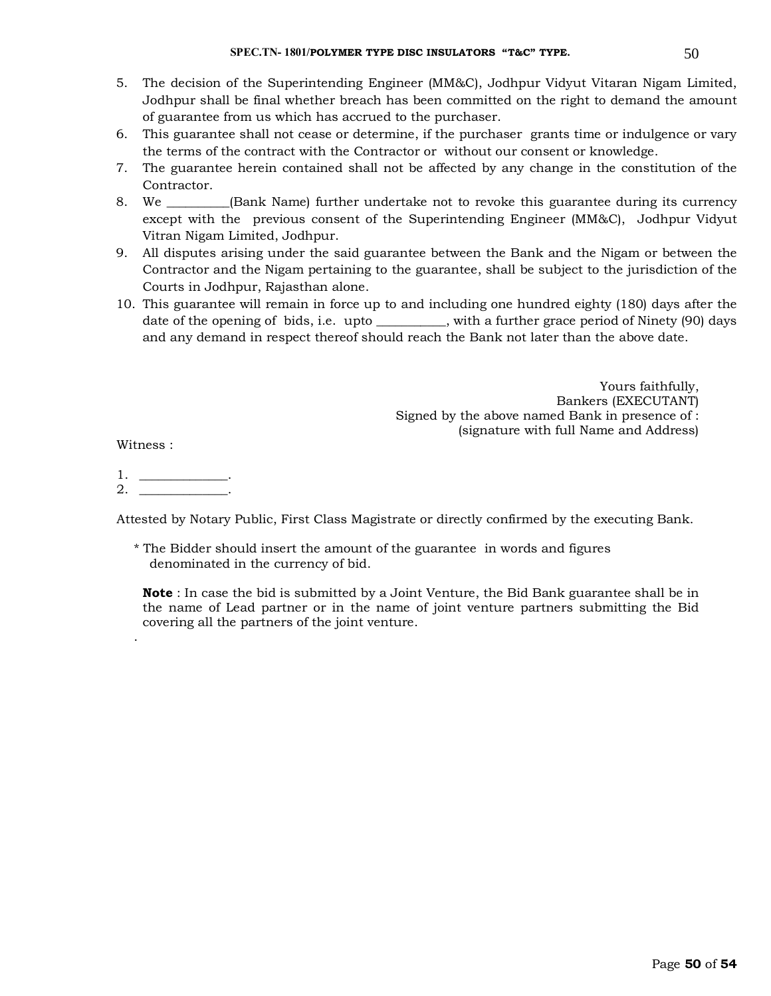- 5. The decision of the Superintending Engineer (MM&C), Jodhpur Vidyut Vitaran Nigam Limited, Jodhpur shall be final whether breach has been committed on the right to demand the amount of guarantee from us which has accrued to the purchaser.
- 6. This guarantee shall not cease or determine, if the purchaser grants time or indulgence or vary the terms of the contract with the Contractor or without our consent or knowledge.
- 7. The guarantee herein contained shall not be affected by any change in the constitution of the Contractor.
- 8. We \_\_\_\_\_\_\_\_\_\_(Bank Name) further undertake not to revoke this guarantee during its currency except with the previous consent of the Superintending Engineer (MM&C), Jodhpur Vidyut Vitran Nigam Limited, Jodhpur.
- 9. All disputes arising under the said guarantee between the Bank and the Nigam or between the Contractor and the Nigam pertaining to the guarantee, shall be subject to the jurisdiction of the Courts in Jodhpur, Rajasthan alone.
- 10. This guarantee will remain in force up to and including one hundred eighty (180) days after the date of the opening of bids, i.e. upto \_\_\_\_\_\_\_\_, with a further grace period of Ninety (90) days and any demand in respect thereof should reach the Bank not later than the above date.

Yours faithfully, Bankers (EXECUTANT) Signed by the above named Bank in presence of : (signature with full Name and Address)

Witness :

.

1. \_\_\_\_\_\_\_\_\_\_\_\_\_\_.  $2.$ 

Attested by Notary Public, First Class Magistrate or directly confirmed by the executing Bank.

\* The Bidder should insert the amount of the guarantee in words and figures denominated in the currency of bid.

**Note** : In case the bid is submitted by a Joint Venture, the Bid Bank guarantee shall be in the name of Lead partner or in the name of joint venture partners submitting the Bid covering all the partners of the joint venture.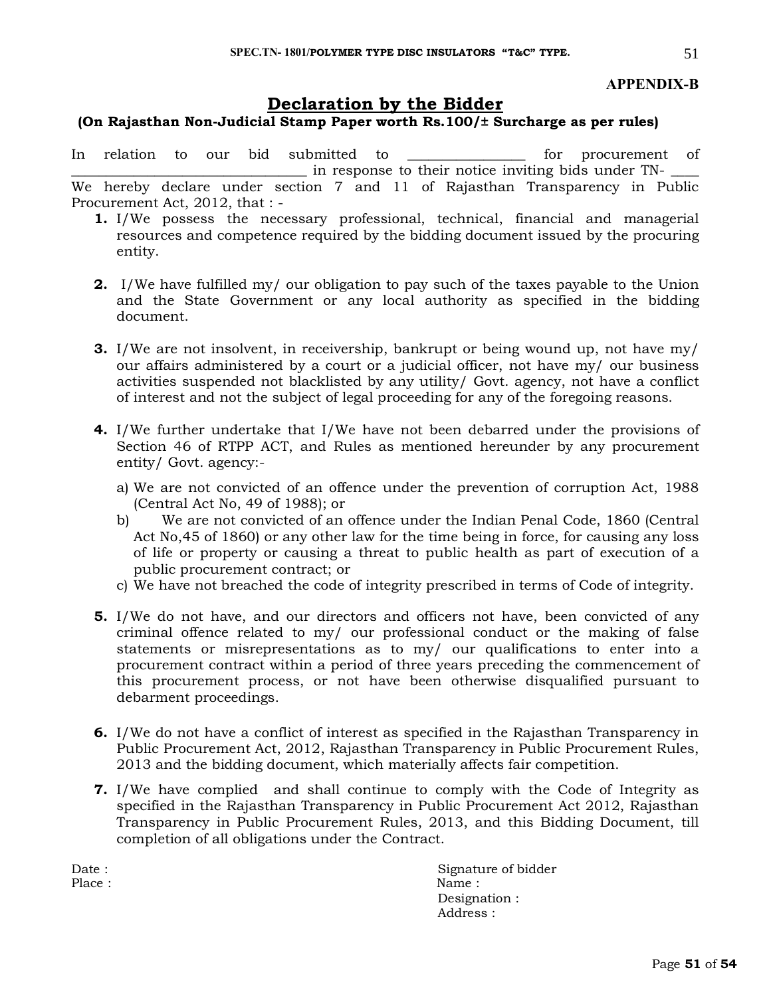#### **APPENDIX-B**

#### **Declaration by the Bidder**

#### **(On Rajasthan Non-Judicial Stamp Paper worth Rs.100/± Surcharge as per rules)**

In relation to our bid submitted to \_\_\_\_\_\_\_\_\_\_\_\_\_\_\_\_ for procurement of in response to their notice inviting bids under TN-

We hereby declare under section 7 and 11 of Rajasthan Transparency in Public Procurement Act, 2012, that : -

- **1.** I/We possess the necessary professional, technical, financial and managerial resources and competence required by the bidding document issued by the procuring entity.
- **2.** I/We have fulfilled my/ our obligation to pay such of the taxes payable to the Union and the State Government or any local authority as specified in the bidding document.
- **3.** I/We are not insolvent, in receivership, bankrupt or being wound up, not have my/ our affairs administered by a court or a judicial officer, not have my/ our business activities suspended not blacklisted by any utility/ Govt. agency, not have a conflict of interest and not the subject of legal proceeding for any of the foregoing reasons.
- **4.** I/We further undertake that I/We have not been debarred under the provisions of Section 46 of RTPP ACT, and Rules as mentioned hereunder by any procurement entity/ Govt. agency:
	- a) We are not convicted of an offence under the prevention of corruption Act, 1988 (Central Act No, 49 of 1988); or
	- b) We are not convicted of an offence under the Indian Penal Code, 1860 (Central Act No,45 of 1860) or any other law for the time being in force, for causing any loss of life or property or causing a threat to public health as part of execution of a public procurement contract; or
	- c) We have not breached the code of integrity prescribed in terms of Code of integrity.
- **5.** I/We do not have, and our directors and officers not have, been convicted of any criminal offence related to my/ our professional conduct or the making of false statements or misrepresentations as to my/ our qualifications to enter into a procurement contract within a period of three years preceding the commencement of this procurement process, or not have been otherwise disqualified pursuant to debarment proceedings.
- **6.** I/We do not have a conflict of interest as specified in the Rajasthan Transparency in Public Procurement Act, 2012, Rajasthan Transparency in Public Procurement Rules, 2013 and the bidding document, which materially affects fair competition.
- **7.** I/We have complied and shall continue to comply with the Code of Integrity as specified in the Rajasthan Transparency in Public Procurement Act 2012, Rajasthan Transparency in Public Procurement Rules, 2013, and this Bidding Document, till completion of all obligations under the Contract.

Date : Signature of bidder Place : Name : Name : Name : Name : Name : Name : Name : Name : Name : Name : Name : Name :  $\mathbb{R}^2$ Designation : Address :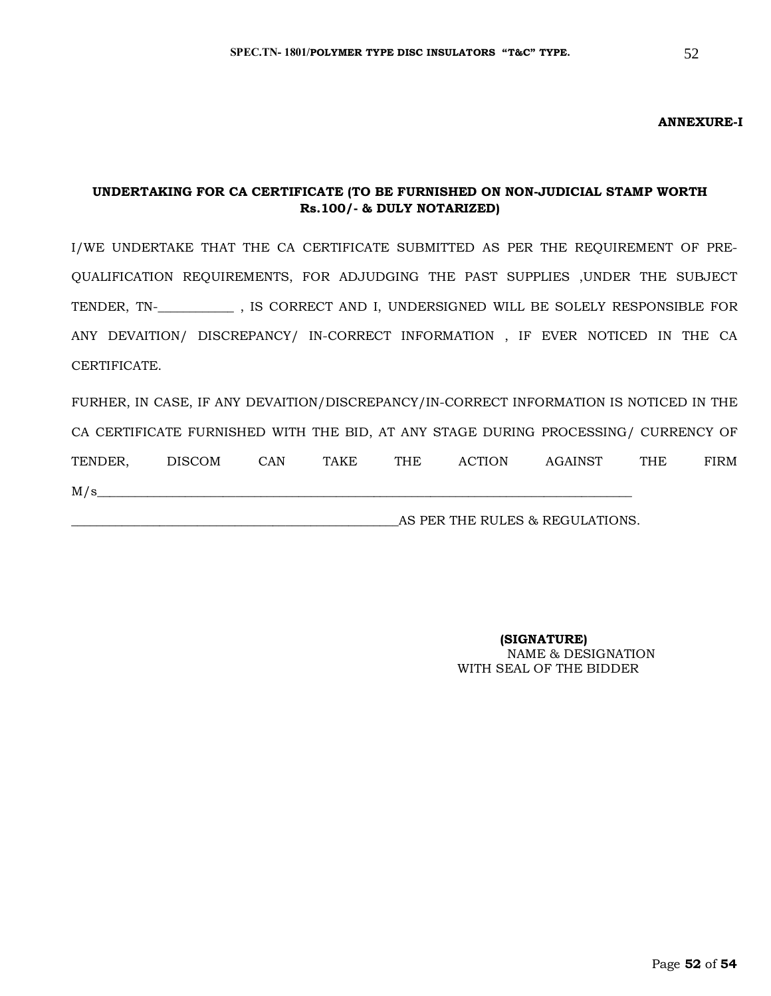#### **ANNEXURE-I**

#### **UNDERTAKING FOR CA CERTIFICATE (TO BE FURNISHED ON NON-JUDICIAL STAMP WORTH Rs.100/- & DULY NOTARIZED)**

I/WE UNDERTAKE THAT THE CA CERTIFICATE SUBMITTED AS PER THE REQUIREMENT OF PRE-QUALIFICATION REQUIREMENTS, FOR ADJUDGING THE PAST SUPPLIES ,UNDER THE SUBJECT TENDER, TN-\_**\_\_\_\_\_\_\_\_\_\_\_** , IS CORRECT AND I, UNDERSIGNED WILL BE SOLELY RESPONSIBLE FOR ANY DEVAITION/ DISCREPANCY/ IN-CORRECT INFORMATION , IF EVER NOTICED IN THE CA CERTIFICATE.

FURHER, IN CASE, IF ANY DEVAITION/DISCREPANCY/IN-CORRECT INFORMATION IS NOTICED IN THE CA CERTIFICATE FURNISHED WITH THE BID, AT ANY STAGE DURING PROCESSING/ CURRENCY OF TENDER, DISCOM CAN TAKE THE ACTION AGAINST THE FIRM  $M/s$ 

AS PER THE RULES & REGULATIONS.

 **(SIGNATURE)** NAME & DESIGNATION WITH SEAL OF THE BIDDER

52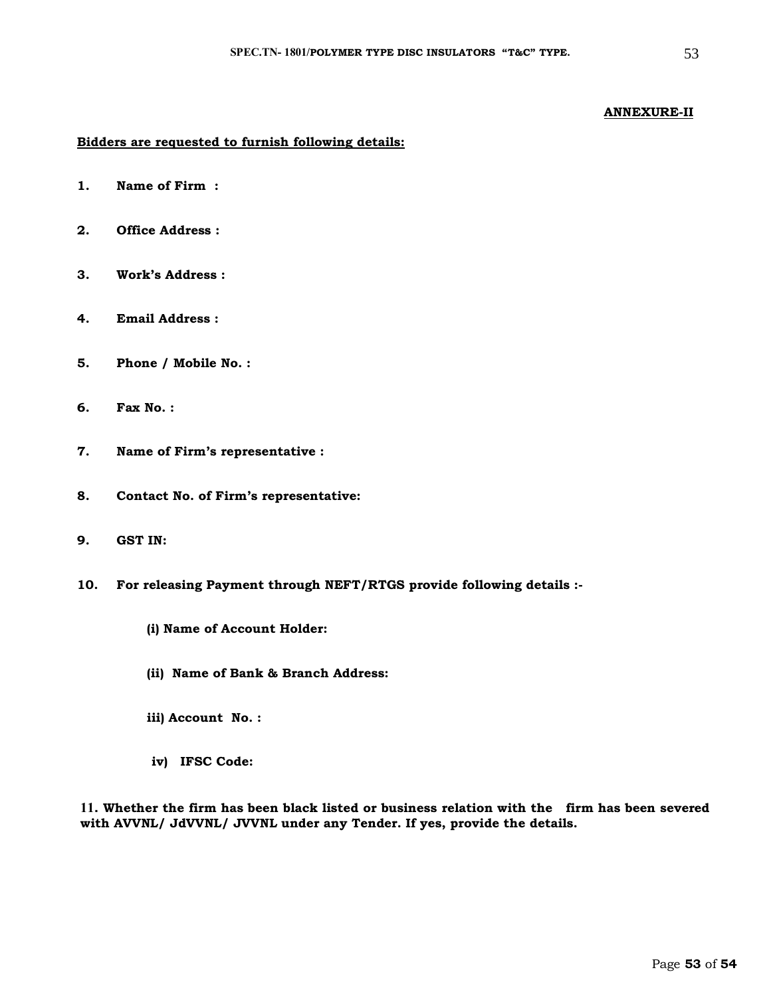#### **ANNEXURE-II**

#### **Bidders are requested to furnish following details:**

- **1. Name of Firm :**
- **2. Office Address :**
- **3. Work's Address :**
- **4. Email Address :**
- **5. Phone / Mobile No. :**
- **6. Fax No. :**
- **7. Name of Firm's representative :**
- **8. Contact No. of Firm's representative:**
- **9. GST IN:**
- **10. For releasing Payment through NEFT/RTGS provide following details :-**
	- **(i) Name of Account Holder:**
	- **(ii) Name of Bank & Branch Address:**
	- **iii) Account No. :**
	- **iv) IFSC Code:**

**11. Whether the firm has been black listed or business relation with the firm has been severed with AVVNL/ JdVVNL/ JVVNL under any Tender. If yes, provide the details.**

Page **53** of **54**